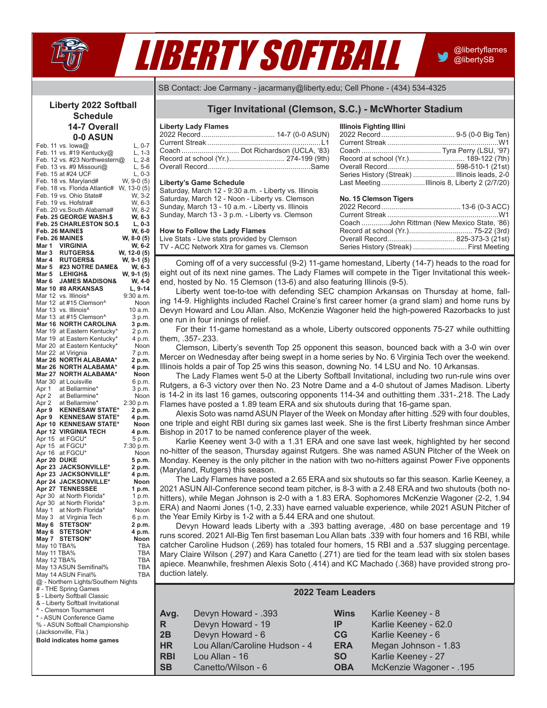

# *2017 Liberty Softball Game Notes*  LIBERTY SOFTBALL

@libertyflames @libertySB

SB Contact: Joe Carmany - jacarmany@liberty.edu; Cell Phone - (434) 534-4325

#### **Liberty 2022 Softball Schedule 14-7 Overall 0-0 ASUN**

|               | Feb. 11 vs. lowa@                   | L, 0-7      |
|---------------|-------------------------------------|-------------|
|               | Feb. 11 vs. #19 Kentucky@           | $L, 1-3$    |
|               |                                     |             |
|               | Feb. 12 vs. #23 Northwestern@       | $L, 2-8$    |
|               | Feb. 13 vs. #9 Missouri@            | $L, 5-6$    |
|               |                                     |             |
|               | Feb. 15 at #24 UCF                  | L, 0-3      |
|               | Feb. 18 vs. Maryland#               | W, 9-0 (5)  |
|               | Feb. 18 vs. Florida Atlantic#       | W, 13-0 (5) |
|               |                                     |             |
|               | Feb. 19 vs. Ohio State#             | W, 3-2      |
|               |                                     | W, 6-3      |
|               | Feb. 19 vs. Hofstra#                |             |
|               | Feb. 20 vs.South Alabama#           | W, 8-2      |
|               | Feb. 25 GEORGE WASH.\$              | W, 6-3      |
|               |                                     |             |
|               | <b>Feb. 25 CHARLESTON SO.\$</b>     | L, 0-3      |
|               | Feb. 26 MAINE\$                     | W, 6-0      |
|               |                                     |             |
|               | Feb. 26 MAINE\$                     | W, 8-0 (5)  |
| Mar 1         | <b>VIRGINIA</b>                     | W, 6-2      |
|               |                                     |             |
| Mar 3         | <b>RUTGERS&amp;</b>                 | W, 12-0 (5) |
| Mar 4         | <b>RUTGERS&amp;</b>                 | W, 9-1 (5)  |
|               | #23 NOTRE DAME&                     |             |
| Mar 5         |                                     | W, 6-3      |
| Mar 5         | <b>LEHIGH&amp;</b>                  | W, 9-1 (5)  |
| Mar 6         | <b>JAMES MADISON&amp;</b>           | W, 4-0      |
|               |                                     |             |
| <b>Mar 10</b> | <b>#8 ARKANSAS</b>                  | L, 9-14     |
| Mar 12        | vs. Illinois <sup>^</sup>           | 9:30 a.m.   |
|               |                                     |             |
| Mar 12        | at #15 Clemson^                     | Noon        |
| Mar 13        | vs. Illinois <sup>^</sup>           | 10 a.m.     |
|               |                                     |             |
| Mar 13        | at #15 Clemson^                     | 3 p.m.      |
| <b>Mar 16</b> | <b>NORTH CAROLINA</b>               | 3 p.m.      |
|               |                                     |             |
| Mar 19        | at Eastern Kentucky*                | 2 p.m.      |
| Mar 19        | at Eastern Kentucky*                | 4 p.m.      |
|               |                                     |             |
| Mar 20        | at Eastern Kentucky*                | Noon        |
| Mar 22        | at Virignia                         | 7 p.m.      |
| <b>Mar 26</b> | <b>NORTH ALABAMA*</b>               | 2 p.m.      |
|               |                                     |             |
| Mar 26        | <b>NORTH ALABAMA*</b>               | 4 p.m.      |
| Mar 27        | <b>NORTH ALABAMA*</b>               | Noon        |
|               |                                     |             |
| Mar 30        | at Louisville                       | 6 p.m.      |
| Apr 1         | at Bellarmine*                      | 3 p.m.      |
|               |                                     |             |
| Apr 2         | at Bellarmine*                      | Noon        |
| Apr 2         | at Bellarmine*                      | 2:30 p.m.   |
|               | <b>KENNESAW STATE*</b>              |             |
| Apr 9         |                                     | 2 p.m.      |
| Apr 9         | <b>KENNESAW STATE*</b>              | 4 p.m.      |
| Apr 10        | <b>KENNESAW STATE*</b>              | Noon        |
|               |                                     |             |
| Apr 12        | <b>VIRGINIA TECH</b>                | 4 p.m.      |
| Apr 15        | at FGCU*                            | 5 p.m.      |
|               |                                     |             |
| Apr 15        | at FGCU*                            | 7:30 p.m.   |
|               | at FGCU*                            |             |
|               |                                     |             |
| Apr 16        |                                     | Noon        |
| Apr 20        | <b>DUKE</b>                         | 5 p.m.      |
| Apr 23        | <b>JACKSONVILLE*</b>                | 2 p.m.      |
|               |                                     |             |
| Apr 23        | JACKSONVILLE*                       | 4 p.m.      |
| Apr 24        | <b>JACKSONVILLE*</b>                | Noon        |
|               |                                     |             |
| Apr 27        | <b>TENNESSEE</b>                    | 1 p.m.      |
| Apr 30        | at North Florida*                   | 1 p.m.      |
| Apr 30        | at North Florida*                   | 3 p.m.      |
|               |                                     |             |
| May 1         | at North Florida*                   | Noon        |
| May 3         | at Virginia Tech                    | 6 p.m.      |
|               |                                     |             |
| May 6         | <b>STETSON*</b>                     | 2 p.m.      |
| May 6         | <b>STETSON*</b>                     | 4 p.m.      |
| May 7         | <b>STETSON*</b>                     | Noon        |
|               |                                     |             |
| May 10 TBA%   |                                     | TBA         |
| May 11 TBA%   |                                     | TBA         |
|               |                                     |             |
| May 12 TBA%   |                                     | TBA         |
|               | May 13 ASUN Semifinal%              | TBA         |
|               |                                     | <b>TBA</b>  |
|               | May 14 ASUN Final%                  |             |
|               | @ - Northern Lights/Southern Nights |             |
|               | # - THE Spring Games                |             |
|               |                                     |             |
|               | \$ - Liberty Softball Classic       |             |
|               | & - Liberty Softball Invitational   |             |
|               |                                     |             |
|               | ^ - Clemson Tournament              |             |
|               | * - ASUN Conference Game            |             |
|               | % - ASUN Softball Championship      |             |
|               |                                     |             |
|               | (Jacksonville, Fla.)                |             |
|               | <b>Bold indicates home games</b>    |             |
|               |                                     |             |
|               |                                     |             |
|               |                                     |             |

# **Tiger Invitational (Clemson, S.C.) - McWhorter Stadium**

| <b>Liberty Lady Flames</b> |                                      |
|----------------------------|--------------------------------------|
|                            |                                      |
|                            |                                      |
|                            |                                      |
|                            | Record at school (Yr.) 274-199 (9th) |
|                            |                                      |

#### **Liberty's Game Schedule**

Saturday, March 12 - 9:30 a.m. - Liberty vs. Illinois Saturday, March 12 - Noon - Liberty vs. Clemson Sunday, March 13 - 10 a.m. - Liberty vs. Illinois Sunday, March 13 - 3 p.m. - Liberty vs. Clemson

#### **How to Follow the Lady Flames**

Live Stats - Live stats provided by Clemson TV - ACC Network Xtra for games vs. Clemson

| <b>Illinois Fighting Illini</b> |                                      |
|---------------------------------|--------------------------------------|
|                                 |                                      |
|                                 |                                      |
|                                 |                                      |
|                                 | Record at school (Yr.) 189-122 (7th) |
|                                 |                                      |
|                                 |                                      |
|                                 |                                      |

#### **No. 15 Clemson Tigers**

| 1.9911991110911119910                      |  |
|--------------------------------------------|--|
|                                            |  |
|                                            |  |
| Coach John Rittman (New Mexico State, '86) |  |
|                                            |  |
|                                            |  |
| Series History (Streak)  First Meeting     |  |
|                                            |  |

Coming off of a very successful (9-2) 11-game homestand, Liberty (14-7) heads to the road for eight out of its next nine games. The Lady Flames will compete in the Tiger Invitational this weekend, hosted by No. 15 Clemson (13-6) and also featuring Illinois (9-5).

Liberty went toe-to-toe with defending SEC champion Arkansas on Thursday at home, falling 14-9. Highlights included Rachel Craine's first career homer (a grand slam) and home runs by Devyn Howard and Lou Allan. Also, McKenzie Wagoner held the high-powered Razorbacks to just one run in four innings of relief.

For their 11-game homestand as a whole, Liberty outscored opponents 75-27 while outhitting them, .357-.233. 

Clemson, Liberty's seventh Top 25 opponent this season, bounced back with a 3-0 win over Mercer on Wednesday after being swept in a home series by No. 6 Virginia Tech over the weekend. Illinois holds a pair of Top 25 wins this season, downing No. 14 LSU and No. 10 Arkansas.

The Lady Flames went 5-0 at the Liberty Softball Invitational, including two run-rule wins over Rutgers, a 6-3 victory over then No. 23 Notre Dame and a 4-0 shutout of James Madison. Liberty is 14-2 in its last 16 games, outscoring opponents 114-34 and outhitting them .331-.218. The Lady Flames have posted a 1.89 team ERA and six shutouts during that 16-game span.

Alexis Soto was namd ASUN Player of the Week on Monday after hitting .529 with four doubles, one triple and eight RBI during six games last week. She is the first Liberty freshman since Amber Bishop in 2017 to be named conference player of the week.

Karlie Keeney went 3-0 with a 1.31 ERA and one save last week, highlighted by her second no-hitter of the season, Thursday against Rutgers. She was named ASUN Pitcher of the Week on Monday. Keeney is the only pitcher in the nation with two no-hitters against Power Five opponents (Maryland, Rutgers) this season.

The Lady Flames have posted a 2.65 ERA and six shutouts so far this season. Karlie Keeney, a 2021 ASUN All-Conference second team pitcher, is 8-3 with a 2.48 ERA and two shutouts (both nohitters), while Megan Johnson is 2-0 with a 1.83 ERA. Sophomores McKenzie Wagoner (2-2, 1.94 ERA) and Naomi Jones (1-0, 2.33) have earned valuable experience, while 2021 ASUN Pitcher of the Year Emily Kirby is 1-2 with a 5.44 ERA and one shutout.

Devyn Howard leads Liberty with a .393 batting average, .480 on base percentage and 19 runs scored. 2021 All-Big Ten first baseman Lou Allan bats .339 with four homers and 16 RBI, while catcher Caroline Hudson (.269) has totaled four homers, 15 RBI and a .537 slugging percentage. Mary Claire Wilson (.297) and Kara Canetto (.271) are tied for the team lead with six stolen bases apiece. Meanwhile, freshmen Alexis Soto (.414) and KC Machado (.368) have provided strong production lately.

| <b>2022 Team Leaders</b> |                               |                 |                         |  |  |  |  |
|--------------------------|-------------------------------|-----------------|-------------------------|--|--|--|--|
| Avg.                     | Devyn Howard - .393           | Wins            | Karlie Keeney - 8       |  |  |  |  |
| l R                      | Devyn Howard - 19             | IP.             | Karlie Keeney - 62.0    |  |  |  |  |
| 2B                       | Devyn Howard - 6              | CG <sub>1</sub> | Karlie Keeney - 6       |  |  |  |  |
| HR                       | Lou Allan/Caroline Hudson - 4 | <b>ERA</b>      | Megan Johnson - 1.83    |  |  |  |  |
| <b>RBI</b>               | Lou Allan - 16                | <b>SO</b>       | Karlie Keeney - 27      |  |  |  |  |
| ∣ SB                     | Canetto/Wilson - 6            | <b>OBA</b>      | McKenzie Wagoner - .195 |  |  |  |  |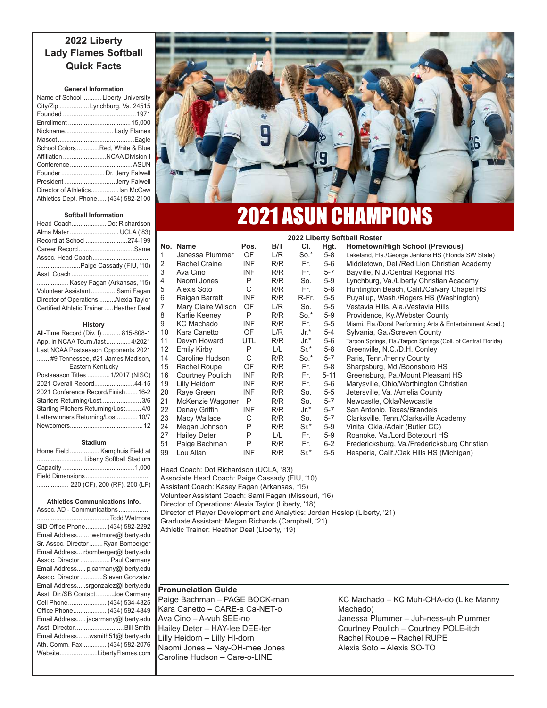# **2022 Liberty Lady Flames Softball Quick Facts**

#### **General Information**

| Name of School Liberty University     |  |
|---------------------------------------|--|
| City/Zip  Lynchburg, Va. 24515        |  |
|                                       |  |
|                                       |  |
| Nickname Lady Flames                  |  |
|                                       |  |
| School Colors Red, White & Blue       |  |
| Affiliation NCAA Division I           |  |
|                                       |  |
| Founder  Dr. Jerry Falwell            |  |
| President Jerry Falwell               |  |
| Director of Athletics lan McCaw       |  |
| Athletics Dept. Phone  (434) 582-2100 |  |

#### **Softball Information**

| Head Coach Dot Richardson               |
|-----------------------------------------|
| Alma Mater  UCLA ('83)                  |
| Record at School274-199                 |
| Career RecordSame                       |
| Assoc. Head Coach                       |
| Paige Cassady (FIU, '10)                |
|                                         |
| Kasey Fagan (Arkansas, '15)             |
| Volunteer Assistant Sami Fagan          |
| Director of Operations Alexia Taylor    |
| Certified Athletic Trainer Heather Deal |
| History                                 |
| All-Time Record (Div. I)  815-808-1     |
| App. in NCAA Tourn./last4/2021          |
| Last NCAA Postseason Opponents. 2021    |
| #9 Tennessee, #21 James Madison,        |
| Eastern Kentucky                        |
| Postseason Titles  1/2017 (NISC)        |

| 2021 Overall Record44-15            |  |
|-------------------------------------|--|
| 2021 Conference Record/Finish16-2   |  |
| Starters Returning/Lost3/6          |  |
| Starting Pitchers Returning/Lost4/0 |  |
| Letterwinners Returning/Lost 10/7   |  |
|                                     |  |
|                                     |  |

#### **Stadium**

| Home Field  Kamphuis Field at |
|-------------------------------|
| Liberty Softball Stadium      |
|                               |
|                               |
| 220 (CF), 200 (RF), 200 (LF)  |

#### **Athletics Communications Info.**

| Assoc. AD - Communications           |  |  |  |  |
|--------------------------------------|--|--|--|--|
| Todd Wetmore                         |  |  |  |  |
| SID Office Phone (434) 582-2292      |  |  |  |  |
| Email Address twetmore@liberty.edu   |  |  |  |  |
| Sr. Assoc. DirectorRyan Bomberger    |  |  |  |  |
| Email Address rbomberger@liberty.edu |  |  |  |  |
| Assoc. Director  Paul Carmany        |  |  |  |  |
| Email Address pjcarmany@liberty.edu  |  |  |  |  |
| Assoc. Director Steven Gonzalez      |  |  |  |  |
| Email Addresssrgonzalez@liberty.edu  |  |  |  |  |
| Asst. Dir./SB ContactJoe Carmany     |  |  |  |  |
| Cell Phone  (434) 534-4325           |  |  |  |  |
| Office Phone (434) 592-4849          |  |  |  |  |
| Email Address jacarmany@liberty.edu  |  |  |  |  |
| Asst. Director  Bill Smith           |  |  |  |  |
| Email Addresswsmith51@liberty.edu    |  |  |  |  |
| Ath. Comm. Fax (434) 582-2076        |  |  |  |  |
| WebsiteLibertyFlames.com             |  |  |  |  |
|                                      |  |  |  |  |



# 2021 ASUN CHAMPIONS

**2022 Liberty Softball Roster**

|    | No. Name             | Pos.       | B/T | CI.    | Hgt.     | <b>Hometown/High School (Previous)</b>                         |
|----|----------------------|------------|-----|--------|----------|----------------------------------------------------------------|
| 1  | Janessa Plummer      | OF         | L/R | $So.*$ | $5-8$    | Lakeland, Fla./George Jenkins HS (Florida SW State)            |
| 2  | <b>Rachel Craine</b> | INF        | R/R | Fr.    | 5-6      | Middletown, Del./Red Lion Christian Academy                    |
| 3  | Ava Cino             | <b>INF</b> | R/R | Fr.    | $5 - 7$  | Bayville, N.J./Central Regional HS                             |
| 4  | Naomi Jones          | P          | R/R | So.    | $5-9$    | Lynchburg, Va./Liberty Christian Academy                       |
| 5  | Alexis Soto          | C          | R/R | Fr.    | $5-8$    | Huntington Beach, Calif./Calvary Chapel HS                     |
| 6  | Raigan Barrett       | INF        | R/R | R-Fr.  | $5-5$    | Puyallup, Wash./Rogers HS (Washington)                         |
| 7  | Mary Claire Wilson   | OF         | L/R | So.    | $5-5$    | Vestavia Hills, Ala./Vestavia Hills                            |
| 8  | Karlie Keeney        | P          | R/R | $So.*$ | $5-9$    | Providence, Ky./Webster County                                 |
| 9  | <b>KC Machado</b>    | <b>INF</b> | R/R | Fr.    | $5-5$    | Miami, Fla./Doral Performing Arts & Entertainment Acad.)       |
| 10 | Kara Canetto         | OF.        | L/R | Jr.*   | 5-4      | Sylvania, Ga./Screven County                                   |
| 11 | Devyn Howard         | <b>UTL</b> | R/R | Jr.*   | 5-6      | Tarpon Springs, Fla./Tarpon Springs (Coll. of Central Florida) |
| 12 | <b>Emily Kirby</b>   | P          | L/L | $Sr^*$ | $5-8$    | Greenville, N.C./D.H. Conley                                   |
| 14 | Caroline Hudson      | C          | R/R | $So.*$ | $5 - 7$  | Paris, Tenn./Henry County                                      |
| 15 | Rachel Roupe         | <b>OF</b>  | R/R | Fr.    | $5-8$    | Sharpsburg, Md./Boonsboro HS                                   |
| 16 | Courtney Poulich     | <b>INF</b> | R/R | Fr.    | $5 - 11$ | Greensburg, Pa./Mount Pleasant HS                              |
| 19 | Lilly Heidorn        | <b>INF</b> | R/R | Fr.    | 5-6      | Marysville, Ohio/Worthington Christian                         |
| 20 | Raye Green           | INF        | R/R | So.    | $5-5$    | Jetersville, Va. /Amelia County                                |
| 21 | McKenzie Wagoner     | P          | R/R | So.    | $5 - 7$  | Newcastle, Okla/Newcastle                                      |
| 22 | Denay Griffin        | INF        | R/R | Jr.*   | $5 - 7$  | San Antonio, Texas/Brandeis                                    |
| 23 | Macy Wallace         | С          | R/R | So.    | $5 - 7$  | Clarksville, Tenn./Clarksville Academy                         |
| 24 | Megan Johnson        | P          | R/R | $Sr^*$ | $5-9$    | Vinita, Okla./Adair (Butler CC)                                |
| 27 | <b>Hailey Deter</b>  | P          | L/L | Fr.    | $5-9$    | Roanoke, Va./Lord Botetourt HS                                 |
| 51 | Paige Bachman        | P          | R/R | Fr.    | $6 - 2$  | Fredericksburg, Va./Fredericksburg Christian                   |
| 99 | Lou Allan            | INF        | R/R | Sr.*   | $5-5$    | Hesperia, Calif./Oak Hills HS (Michigan)                       |

Head Coach: Dot Richardson (UCLA, '83) Associate Head Coach: Paige Cassady (FIU, '10) Assistant Coach: Kasey Fagan (Arkansas, '15) Volunteer Assistant Coach: Sami Fagan (Missouri, '16) Director of Operations: Alexia Taylor (Liberty, '18) Director of Player Development and Analytics: Jordan Heslop (Liberty, '21) Graduate Assistant: Megan Richards (Campbell, '21) Athletic Trainer: Heather Deal (Liberty, '19)

# **Pronunciation Guide**

Paige Bachman - PAGE BOCK-man Kara Canetto - CARE-a Ca-NET-o Ava Cino - A-vuh SEE-no Hailey Deter - HAY-lee DEE-ter Lilly Heidorn - Lilly HI-dorn Naomi Jones - Nay-OH-mee Jones Caroline Hudson - Care-o-LINE

KC Machado - KC Muh-CHA-do (Like Manny Machado)

Janessa Plummer - Juh-ness-uh Plummer Courtney Poulich - Courtney POLE-itch Rachel Roupe - Rachel RUPE Alexis Soto – Alexis SO-TO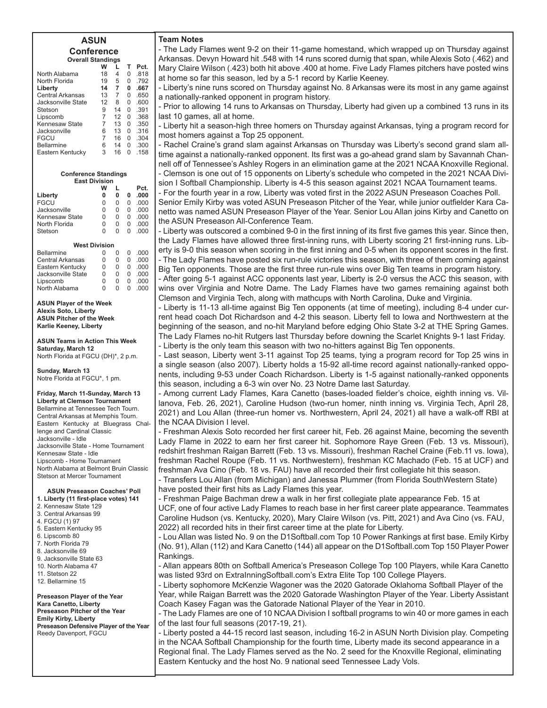#### **ASUN Conference Overall Standings**

|                    | w  |                | т | Pct. |
|--------------------|----|----------------|---|------|
| North Alabama      | 18 | $\overline{4}$ | O | .818 |
| North Florida      | 19 | 5              | O | .792 |
| Liberty            | 14 | 7              | 0 | .667 |
| Central Arkansas   | 13 | 7              | U | .650 |
| Jacksonville State | 12 | 8              | O | .600 |
| Stetson            | 9  | 14             | O | .391 |
| Lipscomb           | 7  | 12             | U | .368 |
| Kennesaw State     | 7  | 13             | U | .350 |
| Jacksonville       | 6  | 13             | U | .316 |
| FGCU               | 7  | 16             | U | .304 |
| Bellarmine         | 6  | 14             | U | .300 |
| Eastern Kentucky   | 3  | 16             | O | .158 |
|                    |    |                |   |      |

| <b>Conference Standings</b> |   |   |   |      |  |  |  |  |  |  |  |  |  |  |
|-----------------------------|---|---|---|------|--|--|--|--|--|--|--|--|--|--|
| <b>East Division</b>        |   |   |   |      |  |  |  |  |  |  |  |  |  |  |
| w<br>Pct.<br>L              |   |   |   |      |  |  |  |  |  |  |  |  |  |  |
| Liberty                     | 0 | 0 |   | .000 |  |  |  |  |  |  |  |  |  |  |
| <b>FGCU</b>                 | N |   | U | റററ  |  |  |  |  |  |  |  |  |  |  |
| Jacksonville                | 0 | ი |   | റററ  |  |  |  |  |  |  |  |  |  |  |
| Kennesaw State              | N | O | U | റററ  |  |  |  |  |  |  |  |  |  |  |
| North Florida               | N | ი | U | .000 |  |  |  |  |  |  |  |  |  |  |
| Stetson                     | ი |   | U | റററ  |  |  |  |  |  |  |  |  |  |  |
|                             |   |   |   |      |  |  |  |  |  |  |  |  |  |  |

| <b>West Division</b>    |   |   |   |     |  |  |  |  |  |  |  |  |  |  |
|-------------------------|---|---|---|-----|--|--|--|--|--|--|--|--|--|--|
| <b>Bellarmine</b>       | O |   | U | റററ |  |  |  |  |  |  |  |  |  |  |
| <b>Central Arkansas</b> | O | U | U | റററ |  |  |  |  |  |  |  |  |  |  |
| Eastern Kentucky        | O | O | U | റററ |  |  |  |  |  |  |  |  |  |  |
| Jacksonville State      | O |   | U | റററ |  |  |  |  |  |  |  |  |  |  |
| Lipscomb                | O | O | U | റററ |  |  |  |  |  |  |  |  |  |  |
| North Alabama           | U |   |   |     |  |  |  |  |  |  |  |  |  |  |

**ASUN Player of the Week Alexis Soto, Liberty ASUN Pitcher of the Week Karlie Keeney, Liberty**

**ASUN Teams in Action This Week Saturday, March 12** North Florida at FGCU (DH)\*, 2 p.m.

**Sunday, March 13** Notre Florida at FGCU\*, 1 pm.

**Friday, March 11-Sunday, March 13 Liberty at Clemson Tournament** Bellarmine at Tennessee Tech Tourn. Central Arkansas at Memphis Tourn. Eastern Kentucky at Bluegrass Challenge and Cardinal Classic Jacksonville - Idle Jacksonville State - Home Tournament Kennesaw State - Idle Lipscomb - Home Tournament North Alabama at Belmont Bruin Classic Stetson at Mercer Tournament

#### **ASUN Preseason Coaches' Poll**

- **1. Liberty (11 first-place votes) 141**
- 2. Kennesaw State 129
- 3. Central Arkansas 99 4. FGCU (1) 97
- 5. Eastern Kentucky 95
- 6. Lipscomb 80
- 7. North Florida 79
- 8. Jacksonville 69
- 9. Jacksonville State 63 10. North Alabama 47
- 11. Stetson 22
- 12. Bellarmine 15

**Preseason Player of the Year Kara Canetto, Liberty Preseason Pitcher of the Year Emily Kirby, Liberty Preseason Defensive Player of the Year** Reedy Davenport, FGCU

#### **Team Notes**

- The Lady Flames went 9-2 on their 11-game homestand, which wrapped up on Thursday against Arkansas. Devyn Howard hit .548 with 14 runs scored durnig that span, while Alexis Soto (.462) and Mary Claire Wilson (.423) both hit above .400 at home. Five Lady Flames pitchers have posted wins at home so far this season, led by a 5-1 record by Karlie Keeney.

- Liberty's nine runs scored on Thursday against No. 8 Arkansas were its most in any game against a nationally-ranked opponent in program history.

- Prior to allowing 14 runs to Arkansas on Thursday, Liberty had given up a combined 13 runs in its last 10 games, all at home.

- Liberty hit a season-high three homers on Thursday against Arkansas, tying a program record for most homers against a Top 25 opponent.

- Rachel Craine's grand slam against Arkansas on Thursday was Liberty's second grand slam alltime against a nationally-ranked opponent. Its first was a go-ahead grand slam by Savannah Channell off of Tennessee's Ashley Rogers in an elimination game at the 2021 NCAA Knoxville Regional. - Clemson is one out of 15 opponents on Liberty's schedule who competed in the 2021 NCAA Division I Softball Championship. Liberty is 4-5 this season against 2021 NCAA Tournament teams.

- For the fourth year in a row, Liberty was voted first in the 2022 ASUN Preseason Coaches Poll.

Senior Emily Kirby was voted ASUN Preseason Pitcher of the Year, while junior outfielder Kara Canetto was named ASUN Preseason Player of the Year. Senior Lou Allan joins Kirby and Canetto on the ASUN Preseason All-Conference Team.

- Liberty was outscored a combined 9-0 in the first inning of its first five games this year. Since then, the Lady Flames have allowed three first-inning runs, with Liberty scoring 21 first-inning runs. Liberty is 9-0 this season when scoring in the first inning and 0-5 when its opponent scores in the first. - The Lady Flames have posted six run-rule victories this season, with three of them coming against Big Ten opponents. Those are the first three run-rule wins over Big Ten teams in program history.

- After going 5-1 against ACC opponents last year, Liberty is 2-0 versus the ACC this season, with wins over Virginia and Notre Dame. The Lady Flames have two games remaining against both Clemson and Virginia Tech, along with mathcups with North Carolina, Duke and Virginia.

- Liberty is 11-13 all-time against Big Ten opponents (at time of meeting), including 8-4 under current head coach Dot Richardson and 4-2 this season. Liberty fell to lowa and Northwestern at the beginning of the season, and no-hit Maryland before edging Ohio State 3-2 at THE Spring Games. The Lady Flames no-hit Rutgers last Thursday before downing the Scarlet Knights 9-1 last Friday. - Liberty is the only team this season with two no-hitters against Big Ten opponents.

- Last season, Liberty went 3-11 against Top 25 teams, tying a program record for Top 25 wins in a single season (also 2007). Liberty holds a 15-92 all-time record against nationally-ranked opponents, including 9-53 under Coach Richardson. Liberty is 1-5 against nationally-ranked opponents this season, including a 6-3 win over No. 23 Notre Dame last Saturday.

- Among current Lady Flames, Kara Canetto (bases-loaded fielder's choice, eighth inning vs. Villanova, Feb. 26, 2021), Caroline Hudson (two-run homer, ninth inning vs. Virginia Tech, April 28, 2021) and Lou Allan (three-run homer vs. Northwestern, April 24, 2021) all have a walk-off RBI at the NCAA Division I level.

- Freshman Alexis Soto recorded her first career hit, Feb. 26 against Maine, becoming the seventh Lady Flame in 2022 to earn her first career hit. Sophomore Raye Green (Feb. 13 vs. Missouri), redshirt freshman Raigan Barrett (Feb. 13 vs. Missouri), freshman Rachel Craine (Feb.11 vs. lowa), freshman Rachel Roupe (Feb. 11 vs. Northwestern), freshman KC Machado (Feb. 15 at UCF) and freshman Ava Cino (Feb. 18 vs. FAU) have all recorded their first collegiate hit this season.

- Transfers Lou Allan (from Michigan) and Janessa Plummer (from Florida SouthWestern State) have posted their first hits as Lady Flames this year.

- Freshman Paige Bachman drew a walk in her first collegiate plate appearance Feb. 15 at UCF, one of four active Lady Flames to reach base in her first career plate appearance. Teammates Caroline Hudson (vs. Kentucky, 2020), Mary Claire Wilson (vs. Pitt, 2021) and Ava Cino (vs. FAU, 2022) all recorded hits in their first career time at the plate for Liberty.

- Lou Allan was listed No. 9 on the D1Softball.com Top 10 Power Rankings at first base. Emily Kirby (No. 91), Allan (112) and Kara Canetto (144) all appear on the D1Softball.com Top 150 Player Power Rankings.

- Allan appears 80th on Softball America's Preseason College Top 100 Players, while Kara Canetto was listed 93rd on ExtraInningSoftball.com's Extra Elite Top 100 College Players.

- Liberty sophomore McKenzie Wagoner was the 2020 Gatorade Oklahoma Softball Player of the Year, while Raigan Barrett was the 2020 Gatorade Washington Player of the Year. Liberty Assistant Coach Kasey Fagan was the Gatorade National Player of the Year in 2010.

- The Lady Flames are one of 10 NCAA Division I softball programs to win 40 or more games in each of the last four full seasons (2017-19, 21).

- Liberty posted a 44-15 record last season, including 16-2 in ASUN North Division play. Competing in the NCAA Softball Championship for the fourth time, Liberty made its second appearance in a Regional final. The Lady Flames served as the No. 2 seed for the Knoxville Regional, eliminating Eastern Kentucky and the host No. 9 national seed Tennessee Lady Vols.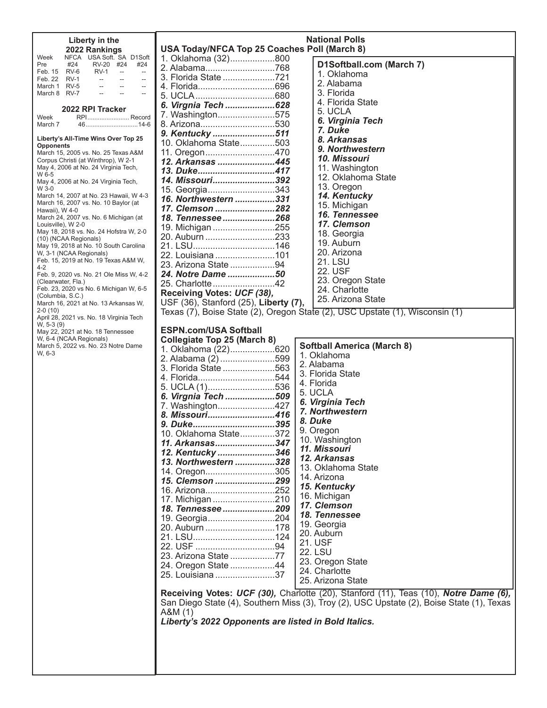| Liberty in the                                                                                                                                        |                                                      | <b>National Polls</b>                                                                     |
|-------------------------------------------------------------------------------------------------------------------------------------------------------|------------------------------------------------------|-------------------------------------------------------------------------------------------|
| 2022 Rankings                                                                                                                                         | USA Today/NFCA Top 25 Coaches Poll (March 8)         |                                                                                           |
| NFCA USA Soft. SA D1Soft<br>Week                                                                                                                      | 1. Oklahoma (32)800                                  |                                                                                           |
| Pre<br>#24<br>RV-20 #24<br>#24                                                                                                                        | 2. Alabama768                                        | D1Softball.com (March 7)                                                                  |
| <b>RV-1</b><br>Feb. 15 RV-6<br>$\sim$<br>$\overline{\phantom{a}}$                                                                                     | 3. Florida State 721                                 | 1. Oklahoma                                                                               |
| Feb. 22 RV-1<br><b>Service State</b><br>$\overline{\phantom{a}}$<br>$\mathcal{L}_{\text{max}}$ . The $\mathcal{L}_{\text{max}}$<br>March 1 RV-5<br>-- |                                                      | 2. Alabama                                                                                |
| March 8 RV-7                                                                                                                                          |                                                      | 3. Florida                                                                                |
|                                                                                                                                                       |                                                      | 4. Florida State                                                                          |
| 2022 RPI Tracker                                                                                                                                      | 6. Virgnia Tech 628                                  |                                                                                           |
| RPI Record<br>Week                                                                                                                                    | 7. Washington575                                     | 5. UCLA                                                                                   |
| March 7                                                                                                                                               | 8. Arizona530                                        | 6. Virginia Tech                                                                          |
|                                                                                                                                                       | 9. Kentucky 511                                      | 7. Duke                                                                                   |
| Liberty's All-Time Wins Over Top 25                                                                                                                   | 10. Oklahoma State503                                | 8. Arkansas                                                                               |
| <b>Opponents</b>                                                                                                                                      |                                                      | 9. Northwestern                                                                           |
| March 15, 2005 vs. No. 25 Texas A&M                                                                                                                   | 11. Oregon470                                        | 10. Missouri                                                                              |
| Corpus Christi (at Winthrop), W 2-1<br>May 4, 2006 at No. 24 Virginia Tech,                                                                           | 12. Arkansas 445                                     | 11. Washington                                                                            |
| W 6-5                                                                                                                                                 | 13. Duke417                                          |                                                                                           |
| May 4, 2006 at No. 24 Virginia Tech,                                                                                                                  | 14. Missouri392                                      | 12. Oklahoma State                                                                        |
| W 3-0                                                                                                                                                 | 15. Georgia343                                       | 13. Oregon                                                                                |
| March 14, 2007 at No. 23 Hawaii, W 4-3                                                                                                                | 16. Northwestern 331                                 | 14. Kentucky                                                                              |
| March 16, 2007 vs. No. 10 Baylor (at<br>Hawaii), W 4-0                                                                                                | 17. Clemson 282                                      | 15. Michigan                                                                              |
| March 24, 2007 vs. No. 6 Michigan (at                                                                                                                 | 18. Tennessee 268                                    | 16. Tennessee                                                                             |
| Louisville), W 2-0                                                                                                                                    |                                                      | 17. Clemson                                                                               |
| May 18, 2018 vs. No. 24 Hofstra W, 2-0                                                                                                                | 19. Michigan 255                                     | 18. Georgia                                                                               |
| (10) (NCAA Regionals)                                                                                                                                 | 20. Auburn 233                                       | 19. Auburn                                                                                |
| May 19, 2018 at No. 10 South Carolina                                                                                                                 | 21. LSU146                                           |                                                                                           |
| W, 3-1 (NCAA Regionals)                                                                                                                               | 22. Louisiana 101                                    | 20. Arizona                                                                               |
| Feb. 15, 2019 at No. 19 Texas A&M W,<br>$4 - 2$                                                                                                       | 23. Arizona State 94                                 | 21. LSU                                                                                   |
| Feb. 9, 2020 vs. No. 21 Ole Miss W, 4-2                                                                                                               | 24. Notre Dame 50                                    | 22. USF                                                                                   |
| (Clearwater, Fla.)                                                                                                                                    | 25. Charlotte 42                                     | 23. Oregon State                                                                          |
| Feb. 23, 2020 vs No. 6 Michigan W, 6-5                                                                                                                |                                                      | 24. Charlotte                                                                             |
| (Columbia, S.C.)                                                                                                                                      | Receiving Votes: UCF (38),                           | 25. Arizona State                                                                         |
| March 16, 2021 at No. 13 Arkansas W,                                                                                                                  | USF (36), Stanford (25), Liberty (7),                |                                                                                           |
| $2-0(10)$                                                                                                                                             |                                                      | Texas (7), Boise State (2), Oregon State (2), USC Upstate (1), Wisconsin (1)              |
| April 28, 2021 vs. No. 18 Virginia Tech<br>W, 5-3 (9)                                                                                                 |                                                      |                                                                                           |
| May 22, 2021 at No. 18 Tennessee                                                                                                                      | <b>ESPN.com/USA Softball</b>                         |                                                                                           |
| W, 6-4 (NCAA Regionals)                                                                                                                               | <b>Collegiate Top 25 (March 8)</b>                   |                                                                                           |
| March 5, 2022 vs. No. 23 Notre Dame                                                                                                                   | 1. Oklahoma (22)620                                  | <b>Softball America (March 8)</b>                                                         |
| W, 6-3                                                                                                                                                | 2. Alabama (2) 599                                   | 1. Oklahoma                                                                               |
|                                                                                                                                                       | 3. Florida State 563                                 | 2. Alabama                                                                                |
|                                                                                                                                                       |                                                      | 3. Florida State                                                                          |
|                                                                                                                                                       | 4. Florida544                                        | 4. Florida                                                                                |
|                                                                                                                                                       | 5. UCLA (1)536                                       |                                                                                           |
|                                                                                                                                                       | 6. Virgnia Tech 509                                  | 5. UCLA                                                                                   |
|                                                                                                                                                       | 7. Washington427                                     | 6. Virginia Tech                                                                          |
|                                                                                                                                                       | 8. Missouri416                                       | 7. Northwestern                                                                           |
|                                                                                                                                                       | 9. Duke395                                           | 8. Duke                                                                                   |
|                                                                                                                                                       | 10. Oklahoma State372                                | 9. Oregon                                                                                 |
|                                                                                                                                                       |                                                      | 10. Washington                                                                            |
|                                                                                                                                                       | 11. Arkansas347                                      | 11. Missouri                                                                              |
|                                                                                                                                                       | 12. Kentucky 346                                     | 12. Arkansas                                                                              |
|                                                                                                                                                       | 13. Northwestern 328                                 |                                                                                           |
|                                                                                                                                                       | 14. Oregon305                                        | 13. Oklahoma State                                                                        |
|                                                                                                                                                       | 15. Clemson 299                                      | 14. Arizona                                                                               |
|                                                                                                                                                       | 16. Arizona252                                       | 15. Kentucky                                                                              |
|                                                                                                                                                       | 17. Michigan 210                                     | 16. Michigan                                                                              |
|                                                                                                                                                       | 18. Tennessee209                                     | 17. Clemson                                                                               |
|                                                                                                                                                       |                                                      | 18. Tennessee                                                                             |
|                                                                                                                                                       | 19. Georgia204                                       | 19. Georgia                                                                               |
|                                                                                                                                                       | 20. Auburn 178                                       | 20. Auburn                                                                                |
|                                                                                                                                                       |                                                      | 21. USF                                                                                   |
|                                                                                                                                                       |                                                      |                                                                                           |
|                                                                                                                                                       | 23. Arizona State 77                                 | <b>22. LSU</b>                                                                            |
|                                                                                                                                                       | 24. Oregon State 44                                  | 23. Oregon State                                                                          |
|                                                                                                                                                       | 25. Louisiana 37                                     | 24. Charlotte                                                                             |
|                                                                                                                                                       |                                                      | 25. Arizona State                                                                         |
|                                                                                                                                                       |                                                      |                                                                                           |
|                                                                                                                                                       |                                                      | Receiving Votes: UCF (30), Charlotte (20), Stanford (11), Teas (10), Notre Dame (6),      |
|                                                                                                                                                       |                                                      | San Diego State (4), Southern Miss (3), Troy (2), USC Upstate (2), Boise State (1), Texas |
|                                                                                                                                                       | A&M(1)                                               |                                                                                           |
|                                                                                                                                                       | Liberty's 2022 Opponents are listed in Bold Italics. |                                                                                           |
|                                                                                                                                                       |                                                      |                                                                                           |
|                                                                                                                                                       |                                                      |                                                                                           |
|                                                                                                                                                       |                                                      |                                                                                           |
|                                                                                                                                                       |                                                      |                                                                                           |
|                                                                                                                                                       |                                                      |                                                                                           |
|                                                                                                                                                       |                                                      |                                                                                           |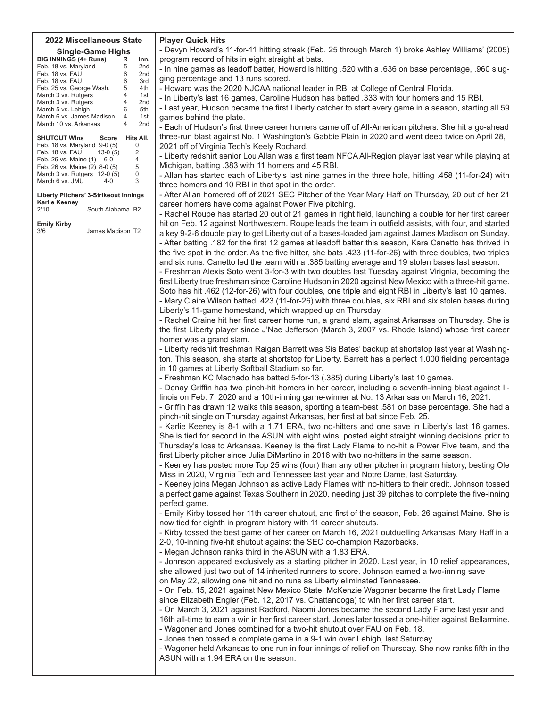#### **2022 Miscellaneous State Single-Game Highs**

| Single-Game Highs            |                |                 |  |  |  |  |  |  |  |  |  |  |
|------------------------------|----------------|-----------------|--|--|--|--|--|--|--|--|--|--|
| <b>BIG INNINGS (4+ Runs)</b> | R              | lnn.            |  |  |  |  |  |  |  |  |  |  |
| Feb. 18 vs. Maryland         | 5              | 2nd             |  |  |  |  |  |  |  |  |  |  |
| Feb. 18 vs. FAU              | 6              | 2 <sub>nd</sub> |  |  |  |  |  |  |  |  |  |  |
| Feb. 18 vs. FAU              | 6              | 3rd             |  |  |  |  |  |  |  |  |  |  |
| Feb. 25 vs. George Wash.     | 5              | 4th             |  |  |  |  |  |  |  |  |  |  |
| March 3 vs. Rutgers          | 4              | 1st             |  |  |  |  |  |  |  |  |  |  |
| March 3 vs. Rutgers          | 4              | 2nd             |  |  |  |  |  |  |  |  |  |  |
| March 5 vs. Lehigh           | 6              | 5th             |  |  |  |  |  |  |  |  |  |  |
| March 6 vs. James Madison    | $\overline{4}$ | 1st             |  |  |  |  |  |  |  |  |  |  |
| March 10 vs. Arkansas        | 4              | 2 <sub>nd</sub> |  |  |  |  |  |  |  |  |  |  |
|                              |                |                 |  |  |  |  |  |  |  |  |  |  |

| <b>SHUTOUT WINS</b>           | Score     | Hits All. |
|-------------------------------|-----------|-----------|
| Feb. 18 vs. Maryland 9-0 (5)  |           | U         |
| Feb. 18 vs. FAU               | $13-0(5)$ | 2         |
| Feb. 26 vs. Maine (1) 6-0     |           | 4         |
| Feb. 26 vs. Maine (2) 8-0 (5) |           | 5         |
| March 3 vs. Rutgers 12-0 (5)  |           | 0         |
| March 6 vs. JMU               | $4-0$     | 3         |
|                               |           |           |

**Liberty Pitchers' 3-Strikeout Innings Karlie Keeney** South Alabama B2

**Emily Kirby**

James Madison T2

**Player Quick Hits**

- Devyn Howard's 11-for-11 hitting streak (Feb. 25 through March 1) broke Ashley Williams' (2005) program record of hits in eight straight at bats.

- In nine games as leadoff batter, Howard is hitting .520 with a .636 on base percentage, .960 slugging percentage and 13 runs scored.

- Howard was the 2020 NJCAA national leader in RBI at College of Central Florida.

- In Liberty's last 16 games, Caroline Hudson has batted .333 with four homers and 15 RBI.

- Last year, Hudson became the first Liberty catcher to start every game in a season, starting all 59 games behind the plate.

- Each of Hudson's first three career homers came off of All-American pitchers. She hit a go-ahead three-run blast against No. 1 Washington's Gabbie Plain in 2020 and went deep twice on April 28, 2021 off of Virginia Tech's Keely Rochard.

- Liberty redshirt senior Lou Allan was a first team NFCA All-Region player last year while playing at Michigan, batting .383 with 11 homers and 45 RBI.

- Allan has started each of Liberty's last nine games in the three hole, hitting .458 (11-for-24) with three homers and 10 RBI in that spot in the order.

- After Allan homered off of 2021 SEC Pitcher of the Year Mary Haff on Thursday, 20 out of her 21 career homers have come against Power Five pitching.

- Rachel Roupe has started 20 out of 21 games in right field, launching a double for her first career hit on Feb. 12 against Northwestern. Roupe leads the team in outfield assists, with four, and started a key 9-2-6 double play to get Liberty out of a bases-loaded jam against James Madison on Sunday. - After batting .182 for the first 12 games at leadoff batter this season, Kara Canetto has thrived in the five spot in the order. As the five hitter, she bats .423 (11-for-26) with three doubles, two triples and six runs. Canetto led the team with a .385 batting average and 19 stolen bases last season.

- Freshman Alexis Soto went 3-for-3 with two doubles last Tuesday against Virignia, becoming the first Liberty true freshman since Caroline Hudson in 2020 against New Mexico with a three-hit game. Soto has hit .462 (12-for-26) with four doubles, one triple and eight RBI in Liberty's last 10 games.

- Mary Claire Wilson batted .423 (11-for-26) with three doubles, six RBI and six stolen bases during Liberty's 11-game homestand, which wrapped up on Thursday.

- Rachel Craine hit her first career home run, a grand slam, against Arkansas on Thursday. She is the first Liberty player since J'Nae Jefferson (March 3, 2007 vs. Rhode Island) whose first career homer was a grand slam.

- Liberty redshirt freshman Raigan Barrett was Sis Bates' backup at shortstop last year at Washington. This season, she starts at shortstop for Liberty. Barrett has a perfect 1.000 fielding percentage in 10 games at Liberty Softball Stadium so far.

- Freshman KC Machado has batted 5-for-13 (.385) during Liberty's last 10 games.

- Denay Griffin has two pinch-hit homers in her career, including a seventh-inning blast against IIlinois on Feb. 7, 2020 and a 10th-inning game-winner at No. 13 Arkansas on March 16, 2021.

- Griffin has drawn 12 walks this season, sporting a team-best .581 on base percentage. She had a pinch-hit single on Thursday against Arkansas, her first at bat since Feb. 25.

- Karlie Keeney is 8-1 with a 1.71 ERA, two no-hitters and one save in Liberty's last 16 games. She is tied for second in the ASUN with eight wins, posted eight straight winning decisions prior to Thursday's loss to Arkansas. Keeney is the first Lady Flame to no-hit a Power Five team, and the first Liberty pitcher since Julia DiMartino in 2016 with two no-hitters in the same season.

- Keeney has posted more Top 25 wins (four) than any other pitcher in program history, besting Ole Miss in 2020, Virginia Tech and Tennessee last vear and Notre Dame, last Saturday.

- Keeney joins Megan Johnson as active Lady Flames with no-hitters to their credit. Johnson tossed a perfect game against Texas Southern in 2020, needing just 39 pitches to complete the five-inning perfect game.

- Emily Kirby tossed her 11th career shutout, and first of the season, Feb. 26 against Maine. She is now tied for eighth in program history with 11 career shutouts.

- Kirby tossed the best game of her career on March 16, 2021 outduelling Arkansas' Mary Haff in a

2-0, 10-inning five-hit shutout against the SEC co-champion Razorbacks.

- Megan Johnson ranks third in the ASUN with a 1.83 ERA.

- Johnson appeared exclusively as a starting pitcher in 2020. Last year, in 10 relief appearances, she allowed just two out of 14 inherited runners to score. Johnson earned a two-inning save on May 22, allowing one hit and no runs as Liberty eliminated Tennessee.

- On Feb. 15, 2021 against New Mexico State, McKenzie Wagoner became the first Lady Flame since Elizabeth Engler (Feb. 12, 2017 vs. Chattanooga) to win her first career start.

- On March 3, 2021 against Radford, Naomi Jones became the second Lady Flame last year and 16th all-time to earn a win in her first career start. Jones later tossed a one-hitter against Bellarmine. - Wagoner and Jones combined for a two-hit shutout over FAU on Feb. 18.

- Jones then tossed a complete game in a 9-1 win over Lehigh, last Saturday.

- Wagoner held Arkansas to one run in four innings of relief on Thursday. She now ranks fifth in the ASUN with a 1.94 ERA on the season.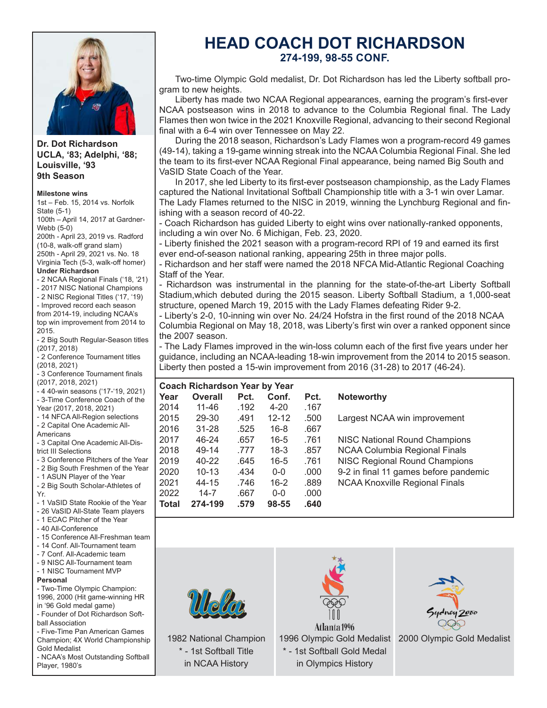

#### **Dr. Dot Richardson UCLA, '83; Adelphi, '88; Louisville, '93 9th Season**

#### **Milestone wins**

1st - Feb. 15, 2014 vs. Norfolk State (5-1) 100th - April 14, 2017 at Gardner-Webb (5-0) 200th - April 23, 2019 vs. Radford (10-8, walk-off grand slam) 250th - April 29, 2021 vs. No. 18 Virginia Tech (5-3, walk-off homer) **Under Richardson** - 2 NCAA Regional Finals ('18, '21)

- 2017 NISC National Champions
- 2 NISC Regional Titles ('17, '19)
- Improved record each season

from 2014-19, including NCAA's top win improvement from 2014 to 2015.

- 2 Big South Regular-Season titles (2017, 2018)

- 2 Conference Tournament titles  $(2018, 2021)$ 

- 3 Conference Tournament finals (2017, 2018, 2021)

- 4 40-win seasons ('17-'19, 2021) - 3-Time Conference Coach of the
- Year (2017, 2018, 2021)
- 14 NFCA All-Region selections

- 2 Capital One Academic All-

Americans - 3 Capital One Academic All-Dis-

trict III Selections

- 3 Conference Pitchers of the Year

- 2 Big South Freshmen of the Year

- 1 ASUN Player of the Year

- 2 Big South Scholar-Athletes of Yr.

- 1 VaSID State Rookie of the Year

- 26 VaSID All-State Team players - 1 ECAC Pitcher of the Year

- 40 All-Conference

- 15 Conference All-Freshman team
- 14 Conf. All-Tournament team
- 7 Conf. All-Academic team
- 9 NISC All-Tournament team
- 1 NISC Tournament MVP

#### **Personal**

- Two-Time Olympic Champion: 1996, 2000 (Hit game-winning HR in '96 Gold medal game)

- Founder of Dot Richardson Softball Association

- Five-Time Pan American Games Champion; 4X World Championship Gold Medalist

- NCAA's Most Outstanding Softball Player, 1980's

# **HEAD COACH DOT RICHARDSON 274-199, 98-55 CONF.**

Two-time Olympic Gold medalist, Dr. Dot Richardson has led the Liberty softball program to new heights.

Liberty has made two NCAA Regional appearances, earning the program's first-ever NCAA postseason wins in 2018 to advance to the Columbia Regional final. The Lady Flames then won twice in the 2021 Knoxville Regional, advancing to their second Regional final with a 6-4 win over Tennessee on May 22.

During the 2018 season, Richardson's Lady Flames won a program-record 49 games (49-14), taking a 19-game winning streak into the NCAA Columbia Regional Final. She led the team to its first-ever NCAA Regional Final appearance, being named Big South and VaSID State Coach of the Year.

In 2017, she led Liberty to its first-ever postseason championship, as the Lady Flames captured the National Invitational Softball Championship title with a 3-1 win over Lamar. The Lady Flames returned to the NISC in 2019, winning the Lynchburg Regional and finishing with a season record of 40-22.

- Coach Richardson has quided Liberty to eight wins over nationally-ranked opponents, including a win over No. 6 Michigan, Feb. 23, 2020.

- Liberty finished the 2021 season with a program-record RPI of 19 and earned its first ever end-of-season national ranking, appearing 25th in three major polls.

- Richardson and her staff were named the 2018 NFCA Mid-Atlantic Regional Coaching Staff of the Year.

- Richardson was instrumental in the planning for the state-of-the-art Liberty Softball Stadium, which debuted during the 2015 season. Liberty Softball Stadium, a 1,000-seat structure, opened March 19, 2015 with the Lady Flames defeating Rider 9-2.

- Liberty's 2-0, 10-inning win over No. 24/24 Hofstra in the first round of the 2018 NCAA Columbia Regional on May 18, 2018, was Liberty's first win over a ranked opponent since the 2007 season.

- The Lady Flames improved in the win-loss column each of the first five years under her guidance, including an NCAA-leading 18-win improvement from the 2014 to 2015 season. Liberty then posted a 15-win improvement from  $2016$  (31-28) to  $2017$  (46-24).

|              | <b>Coach Richardson Year by Year</b> |      |           |      |                                       |  |  |  |  |  |  |  |  |  |
|--------------|--------------------------------------|------|-----------|------|---------------------------------------|--|--|--|--|--|--|--|--|--|
| Year         | Overall                              | Pct. | Conf.     | Pct. | <b>Noteworthy</b>                     |  |  |  |  |  |  |  |  |  |
| 2014         | 11-46                                | .192 | $4 - 20$  | .167 |                                       |  |  |  |  |  |  |  |  |  |
| 2015         | 29-30                                | .491 | $12 - 12$ | .500 | Largest NCAA win improvement          |  |  |  |  |  |  |  |  |  |
| 2016         | $31 - 28$                            | .525 | $16 - 8$  | .667 |                                       |  |  |  |  |  |  |  |  |  |
| 2017         | 46-24                                | .657 | $16 - 5$  | .761 | NISC National Round Champions         |  |  |  |  |  |  |  |  |  |
| 2018         | 49-14                                | .777 | $18-3$    | .857 | NCAA Columbia Regional Finals         |  |  |  |  |  |  |  |  |  |
| 2019         | 40-22                                | .645 | $16 - 5$  | .761 | <b>NISC Regional Round Champions</b>  |  |  |  |  |  |  |  |  |  |
| 2020         | $10 - 13$                            | .434 | $0 - 0$   | .000 | 9-2 in final 11 games before pandemic |  |  |  |  |  |  |  |  |  |
| 2021         | 44-15                                | .746 | $16 - 2$  | .889 | <b>NCAA Knoxville Regional Finals</b> |  |  |  |  |  |  |  |  |  |
| 2022         | $14 - 7$                             | .667 | $0 - 0$   | .000 |                                       |  |  |  |  |  |  |  |  |  |
| <b>Total</b> | 274-199                              | .579 | 98-55     | .640 |                                       |  |  |  |  |  |  |  |  |  |



1982 National Champion \* - 1st Softball Title in NCAA History



Atlanta 1996 1996 Olympic Gold Medalist 2000 Olympic Gold Medalist \* - 1st Softball Gold Medal in Olympics History

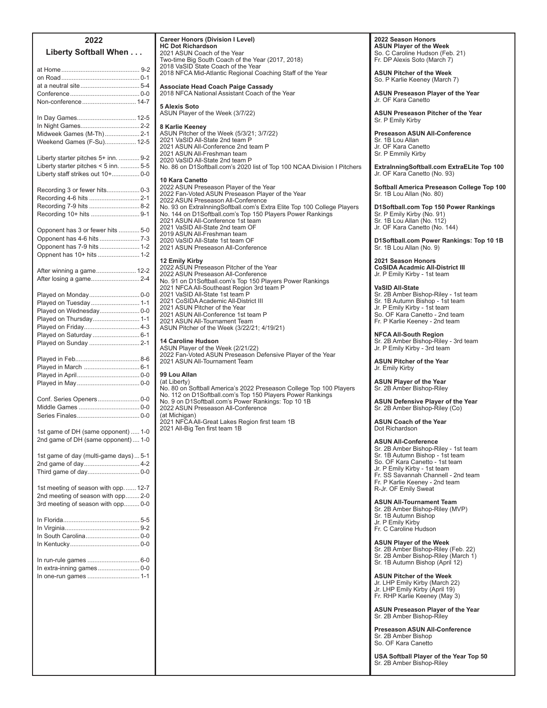| 2022<br>Liberty Softball When                           |
|---------------------------------------------------------|
|                                                         |
|                                                         |
|                                                         |
|                                                         |
| Non-conference 14-7                                     |
| In Day Games 12-5                                       |
| In Night Games 2-2                                      |
| Midweek Games (M-Th) 2-1                                |
| Weekend Games (F-Su) 12-5                               |
| Liberty starter pitches 5+ inn.  9-2                    |
| Liberty starter pitches < 5 inn.  5-5                   |
| Liberty staff strikes out 10+ 0-0                       |
| Recording 3 or fewer hits 0-3                           |
| Recording 4-6 hits  2-1                                 |
| Recording 7-9 hits  8-2                                 |
| Recording 10+ hits  9-1                                 |
| Opponent has 3 or fewer hits  5-0                       |
| Opponent has 4-6 hits  7-3                              |
| Opponent has 7-9 hits  1-2<br>Oppnent has 10+ hits  1-2 |
|                                                         |
| After winning a game 12-2                               |
|                                                         |
| Played on Monday 0-0                                    |
| Played on Tuesday 1-1                                   |
| Played on Wednesday 0-0<br>Played on Thursday 1-1       |
| Played on Friday 4-3                                    |
| Played on Saturday  6-1                                 |
| Played on Sunday  2-1                                   |
|                                                         |
| Played in March  6-1                                    |
|                                                         |
|                                                         |
| Conf. Series Openers 0-0                                |
|                                                         |
|                                                         |
| 1st game of DH (same opponent)  1-0                     |
| 2nd game of DH (same opponent) 1-0                      |
| 1st game of day (multi-game days)  5-1                  |
| 2nd game of day 4-2                                     |
| Third game of day 0-0                                   |
| 1st meeting of season with opp 12-7                     |
| 2nd meeting of season with opp 2-0                      |
| 3rd meeting of season with opp 0-0                      |
|                                                         |
|                                                         |
| In South Carolina 0-0                                   |
|                                                         |
| In run-rule games  6-0                                  |
| In extra-inning games 0-0<br>In one-run games  1-1      |
|                                                         |
|                                                         |
|                                                         |
|                                                         |
|                                                         |
|                                                         |
|                                                         |

**2022**

**2022 Season Honors<br><b>ASUN Player of the Week**<br>So. C Caroline Hudson (Feb. 21) Fr. DP Alexis Soto (March 7) **ASUN Pitcher of the Week** So. P Karlie Keeney (March 7) **ASUN Preseason Player of the Year** Jr. OF Kara Canetto **ASUN Preseason Pitcher of the Year** Sr. P Emily Kirby **Preseason ASUN All-Conference** Sr. 1B Lou Allan Jr. OF Kara Canetto Sr. P Emmily Kirby **ExtraInningSoftball.com ExtraELite Top 100** Jr. OF Kara Canetto (No. 93) **Softball America Preseason College Top 100** Sr. 1B Lou Allan (No. 80) **D1Softball.com Top 150 Power Rankings** Sr. P Emily Kirby (No. 91)<br>Sr. 1B Lou Allan (No. 112) Jr. OF Kara Canetto (No. 144) **D1Softball.com Power Rankings: Top 10 1B** Sr. 1B Lou Allan (No. 9) **2021 Season Honors CoSIDA Acadmic All-District III** Jr. P Emily Kirby - 1st team **VaSID All-State** Sr. 2B Amber Bishop-Riley - 1st team<br>Sr. 1B Autumn Bishop - 1st team<br>Jr. P Emily Kirby - 1st team<br>So. OF Kara Canetto - 2nd team Fr. P Karlie Keeney - 2nd team **NFCA All-South Region** Sr. 2B Amber Bishop-Riley - 3rd team<br>Jr. P Emily Kirby - 3rd team **ASUN Pitcher of the Year** Jr. Emily Kirby **ASUN Player of the Year** Sr. 2B Amber Bishop-Riley **ASUN Defensive Player of the Year** Sr. 2B Amber Bishop-Riley (Co) **ASUN Coach of the Year** Dot Richardson **ASUN All-Conference** Sr. 2B Amber Bishop-Riley - 1st team Sr. 1B Autumn Bishop - 1st team<br>So. OF Kara Canetto - 1st team Jr. P Emily Kirby - 1st team<br>Fr. SS Savannah Channell - 2nd team Fr. P Karlie Keeney - 2nd team<br>R-Jr. OF Emily Sweat **ASUN All-Tournament Team** Sr. 2B Amber Bishop-Riley (MVP)<br>Sr. 1B Autumn Bishop Jr. P Emily Kirby<br>Fr. C Caroline Hudson **ASUN Player of the Week** Sr. 2B Amber Bishop-Riley (Feb. 22)<br>Sr. 2B Amber Bishop-Riley (March 1) Sr. 1B Autumn Bishop (April 12) **ASUN Pitcher of the Week** Jr. LHP Emily Kirby (March 22)<br>Jr. LHP Emily Kirby (April 19) Fr. RHP Karlie Keeney (May 3) **ASUN Preseason Player of the Year** Sr. 2B Amber Bishop-Riley

**Preseason ASUN All-Conference** Sr. 2B Amber Bishop So. OF Kara Canetto

**USA Softball Player of the Year Top 50** Sr. 2B Amber Bishop-Riley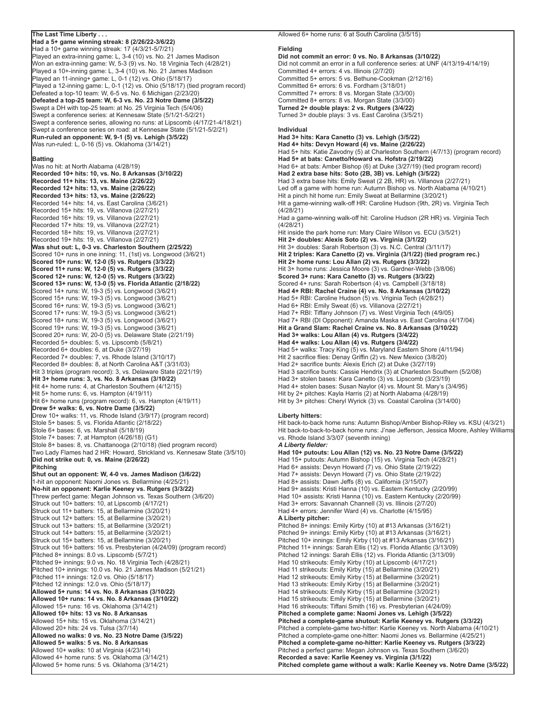#### **The Last Time Liberty . . .**

**Had a 5+ game winning streak: 8 (2/26/22-3/6/22)** Had a 10+ game winning streak: 17 (4/3/21-5/7/21) Played an extra-inning game: L, 3-4 (10) vs. No. 21 James Madison Won an extra-inning game: W, 5-3 (9) vs. No. 18 Virginia Tech (4/28/21) Played a 10+-inning game: L,  $3-4$  (10) vs. No. 21 James Madison  $P$ layed an 11-inning+ game: L, 0-1 (12) vs. Ohio (5/18/17) Played a 12-inning game: L, 0-1 (12) vs. Ohio (5/18/17) (tied program record) Defeated a top-10 team: W, 6-5 vs. No. 6 Michigan (2/23/20) **Defeated a top-25 team: W, 6-3 vs. No. 23 Notre Dame (3/5/22)** Swept a DH with top-25 team: at No. 25 Virginia Tech (5/4/06) Swept a conference series: at Kennesaw State (5/1/21-5/2/21) Swept a conference series, allowing no runs: at Lipscomb (4/17/21-4/18/21) Swept a conference series on road: at Kennesaw State (5/1/21-5/2/21) **Run-ruled an opponent: W, 9-1 (5) vs. Lehigh (3/5/22)** Was run-ruled: L, 0-16 (5) vs. Oklahoma (3/14/21)

#### **Batting**

Was no hit: at North Alabama (4/28/19) **Recorded 10+ hits: 10, vs. No. 8 Arkansas (3/10/22) Recorded 11+ hits: 13, vs. Maine (2/26/22) Recorded 12+ hits: 13, vs. Maine (2/26/22) Recorded 13+ hits: 13, vs. Maine (2/26/22)** Recorded 14+ hits: 14, vs. East Carolina (3/6/21) Recorded  $15+$  hits:  $19$ , vs. Villanova (2/27/21) Recorded 16+ hits: 19, vs. Villanova (2/27/21) Recorded 17+ hits: 19, vs. Villanova (2/27/21) Recorded 18+ hits: 19, vs. Villanova (2/27/21) Recorded 19+ hits: 19, vs. Villanova (2/27/21) **Was shut out: L, 0-3 vs. Charleston Southern (2/25/22)** Scored  $10+$  runs in one inning:  $11$ , (1st) vs. Longwood  $(3/6/21)$ **Scored 10+ runs: W, 12-0 (5) vs. Rutgers (3/3/22) Scored 11+ runs: W, 12-0 (5) vs. Rutgers (3/3/22) Scored 12+ runs: W, 12-0 (5) vs. Rutgers (3/3/22) Scored 13+ runs: W, 13-0 (5) vs. Florida Atlantic (2/18/22)** Scored 14+ runs: W, 19-3 (5) vs. Longwood (3/6/21) Scored 15+ runs: W, 19-3 (5) vs. Longwood (3/6/21) Scored 16+ runs: W, 19-3 (5) vs. Longwood (3/6/21) Scored 17+ runs: W, 19-3 (5) vs. Longwood (3/6/21) Scored 18+ runs: W, 19-3 (5) vs. Longwood (3/6/21) Scored 19+ runs: W, 19-3 (5) vs. Longwood (3/6/21) Scored 20+ runs: W, 20-0 (5) vs. Delaware State (2/21/19) Recorded 5+ doubles: 5, vs. Lipscomb (5/8/21) Recorded 6+ doubles: 6, at Duke (3/27/19) Recorded 7+ doubles: 7, vs. Rhode Island (3/10/17) Recorded 8+ doubles: 8, at North Carolina A&T (3/31/03) Hit 3 triples (program record): 3, vs. Delaware State (2/21/19) **Hit 3+ home runs: 3, vs. No. 8 Arkansas (3/10/22)** Hit 4+ home runs: 4, at Charleston Southern (4/12/15) Hit 5+ home runs: 6, vs. Hampton (4/19/11) Hit 6+ home runs (program record): 6, vs. Hampton (4/19/11) **Drew 5+ walks: 6, vs. Notre Dame (3/5/22)** Drew 10+ walks: 11, vs. Rhode Island (3/9/17) (program record) Stole  $5+$  bases: 5, vs. Florida Atlantic  $(2/18/22)$ Stole 6+ bases: 6, vs. Marshall (5/18/19) Stole  $7+$  bases:  $7$ , at Hampton  $(4/26/18)$   $(G1)$ Stole 8+ bases: 8, vs. Chattanooga (2/10/18) (tied program record) Two Lady Flames had 2 HR: Howard, Strickland vs. Kennesaw State (3/5/10) **Did not strike out: 0, vs. Maine (2/26/22) Pitching Shut out an opponent: W, 4-0 vs. James Madison (3/6/22)** 1-hit an opponent: Naomi Jones vs. Bellarmine (4/25/21) **No-hit an opponent: Karlie Keeney vs. Rutgers (3/3/22)** Threw perfect game: Megan Johnson vs. Texas Southern (3/6/20) Struck out 10+ batters: 10, at Lipscomb (4/17/21) Struck out 11+ batters: 15, at Bellarmine (3/20/21) Struck out 12+ batters: 15, at Bellarmine (3/20/21) Struck out 13+ batters: 15, at Bellarmine (3/20/21) Struck out 14+ batters: 15, at Bellarmine (3/20/21) Struck out  $15+$  batters:  $15$ , at Bellarmine  $(3/20/21)$ Struck out 16+ batters: 16 vs. Presbyterian (4/24/09) (program record) Pitched 8+ innings: 8.0 vs. Lipscomb (5/7/21) Pitched 9+ innings: 9.0 vs. No. 18 Virginia Tech (4/28/21) Pitched 10+ innings: 10.0 vs. No. 21 James Madison (5/21/21) Pitched 11+ innings: 12.0 vs. Ohio (5/18/17) Pitched 12 innings: 12.0 vs. Ohio (5/18/17) **Allowed 5+ runs: 14 vs. No. 8 Arkansas (3/10/22) Allowed 10+ runs: 14 vs. No. 8 Arkansas (3/10/22)** Allowed  $15+$  runs: 16 vs. Oklahoma  $(3/14/21)$ **Allowed 10+ hits: 13 vs No. 8 Arkansas** Allowed 15+ hits: 15 vs. Oklahoma (3/14/21) Allowed 20+ hits: 24 vs. Tulsa  $(3/7/14)$ **Allowed no walks: 0 vs. No. 23 Notre Dame (3/5/22) Allowed 5+ walks: 5 vs. No. 8 Arkansas** Allowed 10+ walks: 10 at Virginia (4/23/14) Allowed 4+ home runs: 5 vs. Oklahoma (3/14/21) Allowed 5+ home runs: 5 vs. Oklahoma (3/14/21)

#### Allowed 6+ home runs: 6 at South Carolina (3/5/15)

#### **Fielding**

**Did not commit an error: 0 vs. No. 8 Arkansas (3/10/22)** Did not commit an error in a full conference series: at UNF (4/13/19-4/14/19) Committed 4+ errors: 4 vs. Illinois (2/7/20) Committed 5+ errors: 5 vs. Bethune-Cookman (2/12/16) Committed 6+ errors: 6 vs. Fordham (3/18/01) Committed 7+ errors: 8 vs. Morgan State (3/3/00) Committed 8+ errors: 8 vs. Morgan State (3/3/00) **Turned 2+ double plays: 2 vs. Rutgers (3/4/22)** Turned 3+ double plays: 3 vs. East Carolina (3/5/21) **Individual Had 3+ hits: Kara Canetto (3) vs. Lehigh (3/5/22) Had 4+ hits: Devyn Howard (4) vs. Maine (2/26/22)** Had 5+ hits: Katie Zavodny (5) at Charleston Southern (4/7/13) (program record) **Had 5+ at bats: Canetto/Howard vs. Hofstra (2/19/22)** Had 6+ at bats: Amber Bishop (6) at Duke (3/27/19) (tied program record) **Had 2 extra base hits: Soto (2B, 3B) vs. Lehigh (3/5/22)** Had 3 extra base hits: Emily Sweat (2 2B, HR) vs. Villanova (2/27/21) Led off a game with home run: Autumn Bishop vs. North Alabama (4/10/21) Hit a pinch hit home run: Emily Sweat at Bellarmine (3/20/21) Hit a game-winning walk-off HR: Caroline Hudson (9th, 2R) vs. Virginia Tech (4/28/21) Had a game-winning walk-off hit: Caroline Hudson (2R HR) vs. Virginia Tech (4/28/21) Hit inside the park home run: Mary Claire Wilson vs. ECU (3/5/21) **Hit 2+ doubles: Alexis Soto (2) vs. Virginia (3/1/22)** Hit 3+ doubles: Sarah Robertson (3) vs. N.C. Central (3/11/17) **Hit 2 triples: Kara Canetto (2) vs. Virginia (3/1/22) (tied program rec.) Hit 2+ home runs: Lou Allan (2) vs. Rutgers (3/3/22)** Hit 3+ home runs: Jessica Moore (3) vs. Gardner-Webb (3/8/06) **Scored 3+ runs: Kara Canetto (3) vs. Rutgers (3/3/22)** Scored 4+ runs: Sarah Robertson (4) vs. Campbell (3/18/18) **Had 4+ RBI: Rachel Craine (4) vs. No. 8 Arkansas (3/10/22)** Had 5+ RBI: Caroline Hudson (5) vs. Vriginia Tech (4/28/21) Had 6+ RBI: Emily Sweat (6) vs. Villanova (2/27/21) Had 7+ RBI: Tiffany Johnson (7) vs. West Virginia Tech (4/9/05) Had 7+ RBI (DI Opponent): Amanda Maska vs. East Carolina (4/17/04) **Hit a Grand Slam: Rachel Craine vs. No. 8 Arkansas (3/10/22) Had 3+ walks: Lou Allan (4) vs. Rutgers (3/4/22) Had 4+ walks: Lou Allan (4) vs. Rutgers (3/4/22)** Had 5+ walks: Tracy King (5) vs. Maryland Eastern Shore (4/11/94) Hit 2 sacrifice flies: Denay Griffin (2) vs. New Mexico (3/8/20) Had 2+ sacrifice bunts: Alexis Erich (2) at Duke (3/27/19) Had 3 sacrifice bunts: Cassie Hendrix (3) at Charleston Southern (5/2/08) Had 3+ stolen bases: Kara Canetto (3) vs. Lipscomb (3/23/19) Had 4+ stolen bases: Susan Naylor (4) vs. Mount St. Mary's (3/4/95) Hit by 2+ pitches: Kayla Harris (2) at North Alabama (4/28/19) Hit by 3+ pitches: Cheryl Wyrick (3) vs. Coastal Carolina (3/14/00) **Liberty hitters:** Hit back-to-back home runs: Autumn Bishop/Amber Bishop-Riley vs. KSU (4/3/21)

Hit back-to-back-to-back home runs: J'nae Jefferson, Jessica Moore, Ashley Williams vs. Rhode Island 3/3/07 (seventh inning) *A Liberty fielder:*

**Had 10+ putouts: Lou Allan (12) vs. No. 23 Notre Dame (3/5/22)** Had 15+ putouts: Autumn Bishop (15) vs. Virginia Tech (4/28/21) Had 6+ assists: Devyn Howard (7) vs. Ohio State (2/19/22) Had 7+ assists: Devyn Howard (7) vs. Ohio State (2/19/22) Had 8+ assists: Dawn Jeffs (8) vs. California (3/15/07) Had 9+ assists: Kristi Hanna (10) vs. Eastern Kentucky (2/20/99) Had 10+ assists: Kristi Hanna (10) vs. Eastern Kentucky (2/20/99) Had 3+ errors: Savannah Channell (3) vs. Illinois (2/7/20) Had 4+ errors: Jennifer Ward (4) vs. Charlotte (4/15/95) **A Liberty pitcher:** Pitched  $8+$  innings: Emily Kirby (10) at #13 Arkansas (3/16/21) Pitched 9+ innings: Emily Kirby (10) at #13 Arkansas (3/16/21) Pitched 10+ innings: Emily Kirby (10) at #13 Arkansas (3/16/21) Pitched 11+ innings: Sarah Ellis (12) vs. Florida Atlantic (3/13/09) Pitched 12 innings: Sarah Ellis (12) vs. Florida Atlantic (3/13/09) Had 10 strikeouts: Emily Kirby (10) at Lipscomb (4/17/21) Had 11 strikeouts: Emily Kirby (15) at Bellarmine (3/20/21) Had 12 strikeouts: Emily Kirby (15) at Bellarmine (3/20/21) Had 13 strikeouts: Emily Kirby (15) at Bellarmine (3/20/21) Had 14 strikeouts: Emily Kirby (15) at Bellarmine (3/20/21) Had 15 strikeouts: Emily Kirby (15) at Bellarmine (3/20/21) Had 16 strikeouts: Tiffani Smith (16) vs. Presbyterian (4/24/09) **Pitched a complete game: Naomi Jones vs. Lehigh (3/5/22) Pitched a complete-game shutout: Karlie Keeney vs. Rutgers (3/3/22)** Pitched a complete-game two-hitter: Karlie Keeney vs. North Alabama (4/10/21) Pitched a complete-game one-hitter: Naomi Jones vs. Bellarmine (4/25/21) **Pitched a complete-game no-hitter: Karlie Keeney vs. Rutgers (3/3/22)** Pitched a perfect game: Megan Johnson vs. Texas Southern (3/6/20) **Recorded a save: Karlie Keeney vs. Virginia (3/1/22) Pitched complete game without a walk: Karlie Keeney vs. Notre Dame (3/5/22)**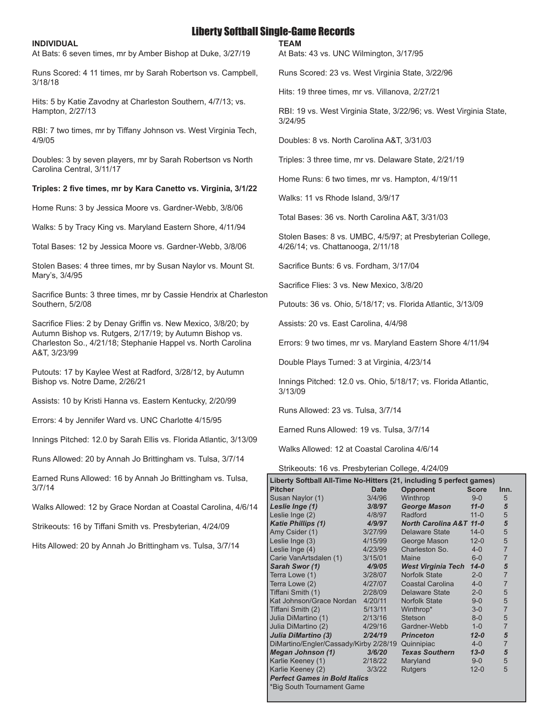# Liberty Softball Single-Game Records

**TEAM** 

#### **INDIVIDUAL**

At Bats: 6 seven times, mr by Amber Bishop at Duke, 3/27/19

Runs Scored: 4 11 times, mr by Sarah Robertson vs. Campbell, 3/18/18

Hits: 5 by Katie Zavodny at Charleston Southern, 4/7/13; vs. Hampton, 2/27/13

RBI: 7 two times, mr by Tiffany Johnson vs. West Virginia Tech, 4/9/05

Doubles: 3 by seven players, mr by Sarah Robertson vs North Carolina Central, 3/11/17

#### **Triples: 2 five times, mr by Kara Canetto vs. Virginia, 3/1/22**

Home Runs: 3 by Jessica Moore vs. Gardner-Webb, 3/8/06

Walks: 5 by Tracy King vs. Maryland Eastern Shore, 4/11/94

Total Bases: 12 by Jessica Moore vs. Gardner-Webb, 3/8/06

Stolen Bases: 4 three times, mr by Susan Naylor vs. Mount St. Mary's, 3/4/95

Sacrifice Bunts: 3 three times, mr by Cassie Hendrix at Charleston Southern, 5/2/08

Sacrifice Flies: 2 by Denay Griffin vs. New Mexico, 3/8/20; by Autumn Bishop vs. Rutgers, 2/17/19; by Autumn Bishop vs. Charleston So., 4/21/18; Stephanie Happel vs. North Carolina A&T, 3/23/99

Putouts: 17 by Kaylee West at Radford, 3/28/12, by Autumn Bishop vs. Notre Dame, 2/26/21

Assists: 10 by Kristi Hanna vs. Eastern Kentucky, 2/20/99

Errors: 4 by Jennifer Ward vs. UNC Charlotte 4/15/95

Innings Pitched: 12.0 by Sarah Ellis vs. Florida Atlantic, 3/13/09

Runs Allowed: 20 by Annah Jo Brittingham vs. Tulsa, 3/7/14

Earned Runs Allowed: 16 by Annah Jo Brittingham vs. Tulsa, 3/7/14

Walks Allowed: 12 by Grace Nordan at Coastal Carolina, 4/6/14

Strikeouts: 16 by Tiffani Smith vs. Presbyterian, 4/24/09

Hits Allowed: 20 by Annah Jo Brittingham vs. Tulsa, 3/7/14

At Bats: 43 vs. UNC Wilmington, 3/17/95

Runs Scored: 23 vs. West Virginia State, 3/22/96

Hits: 19 three times, mr vs. Villanova, 2/27/21

RBI: 19 vs. West Virginia State, 3/22/96; vs. West Virginia State, 3/24/95

Doubles: 8 vs. North Carolina A&T, 3/31/03

Triples: 3 three time, mr vs. Delaware State, 2/21/19

Home Runs: 6 two times, mr vs. Hampton, 4/19/11

Walks: 11 vs Rhode Island, 3/9/17

Total Bases: 36 vs. North Carolina A&T, 3/31/03

Stolen Bases: 8 vs. UMBC, 4/5/97; at Presbyterian College, 4/26/14; vs. Chattanooga, 2/11/18

Sacrifice Bunts: 6 vs. Fordham, 3/17/04

Sacrifice Flies: 3 vs. New Mexico, 3/8/20

Putouts: 36 vs. Ohio, 5/18/17; vs. Florida Atlantic, 3/13/09

Assists: 20 vs. East Carolina, 4/4/98

Errors: 9 two times, mr vs. Maryland Eastern Shore 4/11/94

Double Plays Turned: 3 at Virginia, 4/23/14

Innings Pitched: 12.0 vs. Ohio, 5/18/17; vs. Florida Atlantic, 3/13/09

Runs Allowed: 23 vs. Tulsa, 3/7/14

Earned Runs Allowed: 19 vs. Tulsa, 3/7/14

Walks Allowed: 12 at Coastal Carolina 4/6/14

Strikeouts: 16 vs. Presbyterian College, 4/24/09

| Liberty Softball All-Time No-Hitters (21, including 5 perfect games) |             |                                    |              |                |
|----------------------------------------------------------------------|-------------|------------------------------------|--------------|----------------|
| <b>Pitcher</b>                                                       | <b>Date</b> | <b>Opponent</b>                    | <b>Score</b> | Inn.           |
| Susan Naylor (1)                                                     | 3/4/96      | Winthrop                           | $9 - 0$      | 5              |
| Leslie Inge (1)                                                      | 3/8/97      | <b>George Mason</b>                | $11 - 0$     | 5              |
| Leslie Inge (2)                                                      | 4/8/97      | Radford                            | $11 - 0$     | 5              |
| <b>Katie Phillips (1)</b>                                            | 4/9/97      | <b>North Carolina A&amp;T 11-0</b> |              | 5              |
| Amy Csider (1)                                                       | 3/27/99     | Delaware State                     | $14 - 0$     | 5              |
| Leslie Inge (3)                                                      | 4/15/99     | George Mason                       | $12 - 0$     | 5              |
| Leslie Inge (4)                                                      | 4/23/99     | Charleston So.                     | $4 - 0$      | $\overline{7}$ |
| Carie VanArtsdalen (1)                                               | 3/15/01     | Maine                              | $6-0$        | $\overline{7}$ |
| Sarah Swor (1)                                                       | 4/9/05      | <b>West Virginia Tech</b>          | $14 - 0$     | 5              |
| Terra Lowe (1)                                                       | 3/28/07     | Norfolk State                      | $2 - 0$      | $\overline{7}$ |
| Terra Lowe (2)                                                       | 4/27/07     | Coastal Carolina                   | $4-0$        | $\overline{7}$ |
| Tiffani Smith (1)                                                    | 2/28/09     | Delaware State                     | $2 - 0$      | 5              |
| Kat Johnson/Grace Nordan                                             | 4/20/11     | Norfolk State                      | $9 - 0$      | 5              |
| Tiffani Smith (2)                                                    | 5/13/11     | Winthrop*                          | $3-0$        | $\overline{7}$ |
| Julia DiMartino (1)                                                  | 2/13/16     | <b>Stetson</b>                     | $8 - 0$      | 5              |
| Julia DiMartino (2)                                                  | 4/29/16     | Gardner-Webb                       | $1-0$        | $\overline{7}$ |
| Julia DiMartino (3)                                                  | 2/24/19     | <b>Princeton</b>                   | $12 - 0$     | 5              |
| DiMartino/Engler/Cassady/Kirby 2/28/19                               |             | Quinnipiac                         | $4-0$        | $\overline{7}$ |
| <b>Megan Johnson (1)</b>                                             | 3/6/20      | <b>Texas Southern</b>              | $13 - 0$     | 5              |
| Karlie Keeney (1)                                                    | 2/18/22     | Maryland                           | $9 - 0$      | 5              |
| Karlie Keeney (2)                                                    | 3/3/22      | <b>Rutgers</b>                     | $12 - 0$     | 5              |
| <b>Perfect Games in Bold Italics</b>                                 |             |                                    |              |                |
| *Big South Tournament Game                                           |             |                                    |              |                |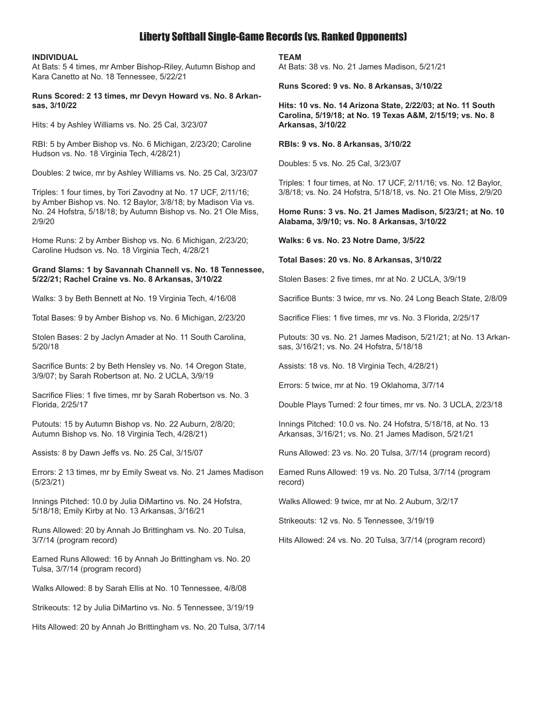# Liberty Softball Single-Game Records (vs. Ranked Opponents)

#### **INDIVIDUAL**

At Bats: 5 4 times, mr Amber Bishop-Riley, Autumn Bishop and Kara Canetto at No. 18 Tennessee, 5/22/21

#### **Runs Scored: 2 13 times, mr Devyn Howard vs. No. 8 Arkansas, 3/10/22**

Hits: 4 by Ashley Williams vs. No. 25 Cal, 3/23/07

RBI: 5 by Amber Bishop vs. No. 6 Michigan, 2/23/20; Caroline Hudson vs. No. 18 Virginia Tech, 4/28/21)

Doubles: 2 twice, mr by Ashley Williams vs. No. 25 Cal, 3/23/07

Triples: 1 four times, by Tori Zavodny at No. 17 UCF, 2/11/16; by Amber Bishop vs. No. 12 Baylor, 3/8/18; by Madison Via vs. No. 24 Hofstra, 5/18/18; by Autumn Bishop vs. No. 21 Ole Miss, 2/9/20

Home Runs: 2 by Amber Bishop vs. No. 6 Michigan, 2/23/20; Caroline Hudson vs. No. 18 Virginia Tech, 4/28/21

#### **Grand Slams: 1 by Savannah Channell vs. No. 18 Tennessee, 5/22/21; Rachel Craine vs. No. 8 Arkansas, 3/10/22**

Walks: 3 by Beth Bennett at No. 19 Virginia Tech, 4/16/08

Total Bases: 9 by Amber Bishop vs. No. 6 Michigan, 2/23/20

Stolen Bases: 2 by Jaclyn Amader at No. 11 South Carolina, 5/20/18

Sacrifice Bunts: 2 by Beth Hensley vs. No. 14 Oregon State, 3/9/07; by Sarah Robertson at. No. 2 UCLA, 3/9/19

Sacrifice Flies: 1 five times, mr by Sarah Robertson vs. No. 3 Florida, 2/25/17

Putouts: 15 by Autumn Bishop vs. No. 22 Auburn, 2/8/20; Autumn Bishop vs. No. 18 Virginia Tech, 4/28/21)

Assists: 8 by Dawn Jeffs vs. No. 25 Cal, 3/15/07

Errors: 2 13 times, mr by Emily Sweat vs. No. 21 James Madison (5/23/21)

Innings Pitched: 10.0 by Julia DiMartino vs. No. 24 Hofstra, 5/18/18; Emily Kirby at No. 13 Arkansas, 3/16/21

Runs Allowed: 20 by Annah Jo Brittingham vs. No. 20 Tulsa, 3/7/14 (program record)

Earned Runs Allowed: 16 by Annah Jo Brittingham vs. No. 20 Tulsa, 3/7/14 (program record)

Walks Allowed: 8 by Sarah Ellis at No. 10 Tennessee, 4/8/08

Strikeouts: 12 by Julia DiMartino vs. No. 5 Tennessee, 3/19/19

Hits Allowed: 20 by Annah Jo Brittingham vs. No. 20 Tulsa, 3/7/14

**TEAM**

At Bats: 38 vs. No. 21 James Madison, 5/21/21

**Runs Scored: 9 vs. No. 8 Arkansas, 3/10/22**

**Hits: 10 vs. No. 14 Arizona State, 2/22/03; at No. 11 South Carolina, 5/19/18; at No. 19 Texas A&M, 2/15/19; vs. No. 8 Arkansas, 3/10/22**

**RBIs: 9 vs. No. 8 Arkansas, 3/10/22**

Doubles: 5 vs. No. 25 Cal, 3/23/07

Triples: 1 four times, at No. 17 UCF, 2/11/16; vs. No. 12 Baylor, 3/8/18; vs. No. 24 Hofstra, 5/18/18, vs. No. 21 Ole Miss, 2/9/20

#### **Home Runs: 3 vs. No. 21 James Madison, 5/23/21; at No. 10 Alabama, 3/9/10; vs. No. 8 Arkansas, 3/10/22**

**Walks: 6 vs. No. 23 Notre Dame, 3/5/22**

**Total Bases: 20 vs. No. 8 Arkansas, 3/10/22**

Stolen Bases: 2 five times, mr at No. 2 UCLA, 3/9/19

Sacrifice Bunts: 3 twice, mr vs. No. 24 Long Beach State, 2/8/09

Sacrifice Flies: 1 five times, mr vs. No. 3 Florida, 2/25/17

Putouts: 30 vs. No. 21 James Madison, 5/21/21; at No. 13 Arkansas, 3/16/21; vs. No. 24 Hofstra, 5/18/18

Assists: 18 vs. No. 18 Virginia Tech, 4/28/21)

Errors: 5 twice, mr at No. 19 Oklahoma, 3/7/14

Double Plays Turned: 2 four times, mr vs. No. 3 UCLA, 2/23/18

Innings Pitched: 10.0 vs. No. 24 Hofstra, 5/18/18, at No. 13 Arkansas, 3/16/21; vs. No. 21 James Madison, 5/21/21

Runs Allowed: 23 vs. No. 20 Tulsa, 3/7/14 (program record)

Earned Runs Allowed: 19 vs. No. 20 Tulsa, 3/7/14 (program record)

Walks Allowed: 9 twice, mr at No. 2 Auburn, 3/2/17

Strikeouts: 12 vs. No. 5 Tennessee, 3/19/19

Hits Allowed: 24 vs. No. 20 Tulsa, 3/7/14 (program record)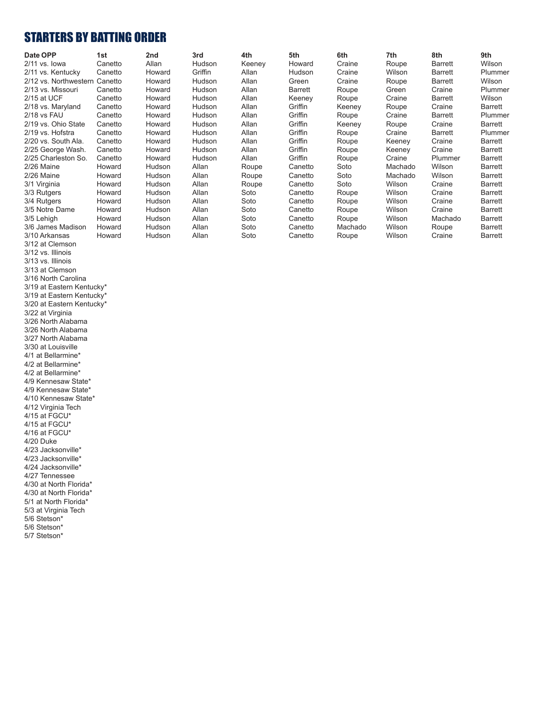# STARTERS BY BATTING ORDER

| Date OPP                      | 1st     | 2nd           | 3rd           | 4th    | 5th     | 6th     | 7th     | 8th     | 9th            |
|-------------------------------|---------|---------------|---------------|--------|---------|---------|---------|---------|----------------|
| 2/11 vs. lowa                 | Canetto | Allan         | <b>Hudson</b> | Keeney | Howard  | Craine  | Roupe   | Barrett | Wilson         |
| 2/11 vs. Kentucky             | Canetto | Howard        | Griffin       | Allan  | Hudson  | Craine  | Wilson  | Barrett | Plummer        |
| 2/12 vs. Northwestern Canetto |         | Howard        | Hudson        | Allan  | Green   | Craine  | Roupe   | Barrett | Wilson         |
| 2/13 vs. Missouri             | Canetto | Howard        | <b>Hudson</b> | Allan  | Barrett | Roupe   | Green   | Craine  | Plummer        |
| 2/15 at UCF                   | Canetto | Howard        | <b>Hudson</b> | Allan  | Keeney  | Roupe   | Craine  | Barrett | Wilson         |
| 2/18 vs. Maryland             | Canetto | Howard        | <b>Hudson</b> | Allan  | Griffin | Keeney  | Roupe   | Craine  | Barrett        |
| 2/18 vs FAU                   | Canetto | Howard        | Hudson        | Allan  | Griffin | Roupe   | Craine  | Barrett | Plummer        |
| 2/19 vs. Ohio State           | Canetto | Howard        | <b>Hudson</b> | Allan  | Griffin | Keeney  | Roupe   | Craine  | Barrett        |
| 2/19 vs. Hofstra              | Canetto | Howard        | <b>Hudson</b> | Allan  | Griffin | Roupe   | Craine  | Barrett | Plummer        |
| 2/20 vs. South Ala.           | Canetto | Howard        | <b>Hudson</b> | Allan  | Griffin | Roupe   | Keeney  | Craine  | Barrett        |
| 2/25 George Wash.             | Canetto | Howard        | <b>Hudson</b> | Allan  | Griffin | Roupe   | Keeney  | Craine  | Barrett        |
| 2/25 Charleston So.           | Canetto | Howard        | <b>Hudson</b> | Allan  | Griffin | Roupe   | Craine  | Plummer | Barrett        |
| 2/26 Maine                    | Howard  | <b>Hudson</b> | Allan         | Roupe  | Canetto | Soto    | Machado | Wilson  | Barrett        |
| 2/26 Maine                    | Howard  | <b>Hudson</b> | Allan         | Roupe  | Canetto | Soto    | Machado | Wilson  | Barrett        |
| 3/1 Virginia                  | Howard  | Hudson        | Allan         | Roupe  | Canetto | Soto    | Wilson  | Craine  | <b>Barrett</b> |
| 3/3 Rutgers                   | Howard  | Hudson        | Allan         | Soto   | Canetto | Roupe   | Wilson  | Craine  | Barrett        |
| 3/4 Rutgers                   | Howard  | Hudson        | Allan         | Soto   | Canetto | Roupe   | Wilson  | Craine  | Barrett        |
| 3/5 Notre Dame                | Howard  | Hudson        | Allan         | Soto   | Canetto | Roupe   | Wilson  | Craine  | Barrett        |
| 3/5 Lehigh                    | Howard  | Hudson        | Allan         | Soto   | Canetto | Roupe   | Wilson  | Machado | Barrett        |
| 3/6 James Madison             | Howard  | <b>Hudson</b> | Allan         | Soto   | Canetto | Machado | Wilson  | Roupe   | Barrett        |
| 3/10 Arkansas                 | Howard  | Hudson        | Allan         | Soto   | Canetto | Roupe   | Wilson  | Craine  | <b>Barrett</b> |

3/12 at Clemson 3/12 vs. Illinois 3/13 vs. Illinois 3/13 at Clemson 3/16 North Carolina 3/19 at Eastern Kentucky\* 3/19 at Eastern Kentucky\* 3/20 at Eastern Kentucky\* 3/22 at Virginia 3/26 North Alabama 3/26 North Alabama 3/27 North Alabama 3/30 at Louisville 4/1 at Bellarmine\* 4/2 at Bellarmine\* 4/2 at Bellarmine\* 4/9 Kennesaw State\* 4/9 Kennesaw State\* 4/10 Kennesaw State\* 4/12 Virginia Tech  $4/15$  at  $\text{FGCU}^*$  $4/15$  at  $FGCU*$  $4/16$  at  $FGCU*$ 4/20 Duke 4/23 Jacksonville\* 4/23 Jacksonville\* 4/24 Jacksonville\* 4/27 Tennessee 4/30 at North Florida\* 4/30 at North Florida\* 5/1 at North Florida\* 5/3 at Virginia Tech 5/6 Stetson\* 5/6 Stetson\* 5/7 Stetson\*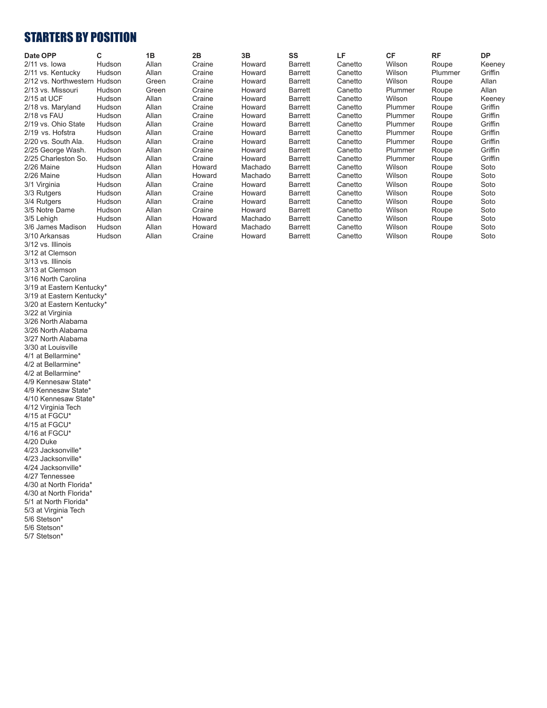# STARTERS BY POSITION

| Date OPP                     | C             | 1B    | 2B     | 3Β      | SS             | LF      | <b>CF</b> | <b>RF</b> | <b>DP</b> |
|------------------------------|---------------|-------|--------|---------|----------------|---------|-----------|-----------|-----------|
| $2/11$ vs. lowa              | <b>Hudson</b> | Allan | Craine | Howard  | <b>Barrett</b> | Canetto | Wilson    | Roupe     | Keeney    |
| 2/11 vs. Kentucky            | Hudson        | Allan | Craine | Howard  | Barrett        | Canetto | Wilson    | Plummer   | Griffin   |
| 2/12 vs. Northwestern Hudson |               | Green | Craine | Howard  | <b>Barrett</b> | Canetto | Wilson    | Roupe     | Allan     |
| 2/13 vs. Missouri            | Hudson        | Green | Craine | Howard  | <b>Barrett</b> | Canetto | Plummer   | Roupe     | Allan     |
| 2/15 at UCF                  | Hudson        | Allan | Craine | Howard  | <b>Barrett</b> | Canetto | Wilson    | Roupe     | Keeney    |
| 2/18 vs. Maryland            | Hudson        | Allan | Craine | Howard  | Barrett        | Canetto | Plummer   | Roupe     | Griffin   |
| 2/18 vs FAU                  | Hudson        | Allan | Craine | Howard  | Barrett        | Canetto | Plummer   | Roupe     | Griffin   |
| 2/19 vs. Ohio State          | Hudson        | Allan | Craine | Howard  | Barrett        | Canetto | Plummer   | Roupe     | Griffin   |
| 2/19 vs. Hofstra             | Hudson        | Allan | Craine | Howard  | Barrett        | Canetto | Plummer   | Roupe     | Griffin   |
| 2/20 vs. South Ala.          | Hudson        | Allan | Craine | Howard  | Barrett        | Canetto | Plummer   | Roupe     | Griffin   |
| 2/25 George Wash.            | Hudson        | Allan | Craine | Howard  | Barrett        | Canetto | Plummer   | Roupe     | Griffin   |
| 2/25 Charleston So.          | Hudson        | Allan | Craine | Howard  | <b>Barrett</b> | Canetto | Plummer   | Roupe     | Griffin   |
| 2/26 Maine                   | Hudson        | Allan | Howard | Machado | <b>Barrett</b> | Canetto | Wilson    | Roupe     | Soto      |
| 2/26 Maine                   | <b>Hudson</b> | Allan | Howard | Machado | Barrett        | Canetto | Wilson    | Roupe     | Soto      |
| 3/1 Virginia                 | <b>Hudson</b> | Allan | Craine | Howard  | Barrett        | Canetto | Wilson    | Roupe     | Soto      |
| 3/3 Rutgers                  | Hudson        | Allan | Craine | Howard  | <b>Barrett</b> | Canetto | Wilson    | Roupe     | Soto      |
| 3/4 Rutgers                  | Hudson        | Allan | Craine | Howard  | <b>Barrett</b> | Canetto | Wilson    | Roupe     | Soto      |
| 3/5 Notre Dame               | Hudson        | Allan | Craine | Howard  | <b>Barrett</b> | Canetto | Wilson    | Roupe     | Soto      |
| 3/5 Lehigh                   | Hudson        | Allan | Howard | Machado | Barrett        | Canetto | Wilson    | Roupe     | Soto      |
| 3/6 James Madison            | Hudson        | Allan | Howard | Machado | <b>Barrett</b> | Canetto | Wilson    | Roupe     | Soto      |
| 3/10 Arkansas                | Hudson        | Allan | Craine | Howard  | <b>Barrett</b> | Canetto | Wilson    | Roupe     | Soto      |

3/12 vs. Illinois 3/12 at Clemson 3/13 vs. Illinois 3/13 at Clemson 3/16 North Carolina 3/19 at Eastern Kentucky\* 3/19 at Eastern Kentucky\* 3/20 at Eastern Kentucky\* 3/22 at Virginia 3/26 North Alabama 3/26 North Alabama 3/27 North Alabama 3/30 at Louisville 4/1 at Bellarmine\* 4/2 at Bellarmine\* 4/2 at Bellarmine\* 4/9 Kennesaw State\* 4/9 Kennesaw State\* 4/10 Kennesaw State\* 4/12 Virginia Tech  $4/15$  at  $\text{FGCU}^*$ 4/15 at FGCU\*  $4/16$  at  $FGCU*$ 4/20 Duke 4/23 Jacksonville\* 4/23 Jacksonville\* 4/24 Jacksonville\* 4/27 Tennessee 4/30 at North Florida\* 4/30 at North Florida\* 5/1 at North Florida\* 5/3 at Virginia Tech 5/6 Stetson\* 5/6 Stetson\* 5/7 Stetson\*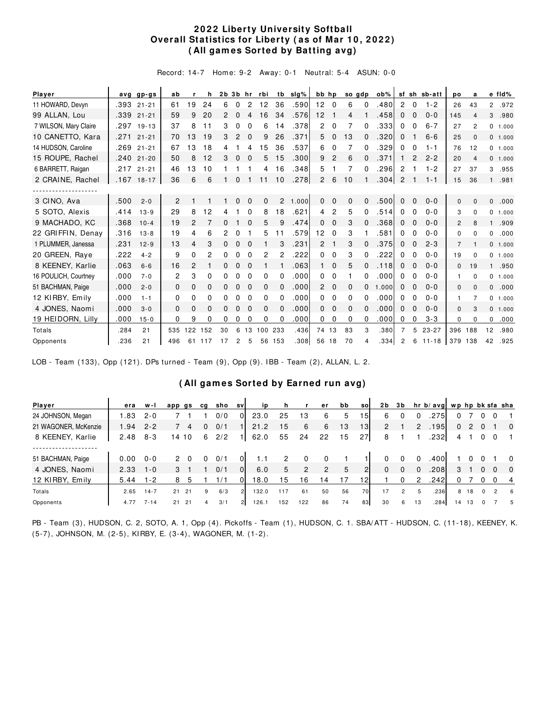#### **2 0 2 2 Liberty University Softball Overall Statistics for Liberty (as of Mar 10, 2022) ( All gam es Sorted by Batting avg)**

Record: 14-7 Hom e: 9-2 Away: 0-1 Neutral: 5-4 ASUN: 0-0

| Player                |      | avg gp-gs    | ab           |                | h            |    |          |          | 2b 3b hr rbi |                | tb slg% |                | bb hp          |              | so gdp   | ob%   |                |             | sf sh sb-att | po             | a              |              | e fld%   |
|-----------------------|------|--------------|--------------|----------------|--------------|----|----------|----------|--------------|----------------|---------|----------------|----------------|--------------|----------|-------|----------------|-------------|--------------|----------------|----------------|--------------|----------|
| 11 HOWARD, Devyn      |      | .393 21-21   | 61           | 19             | 24           | 6  | $\Omega$ | 2        | 12           | 36             | .590    | 12             | $\overline{0}$ | 6            | 0        | .480  | $\overline{2}$ | 0           | $1 - 2$      | 26             | 43             |              | 2.972    |
| 99 ALLAN, Lou         |      | .339 21-21   | 59           | 9              | 20           | 2  | $\Omega$ | 4        | 16           | 34             | .576    | 12             |                | 4            |          | .458  | $\Omega$       | $\mathbf 0$ | $0 - 0$      | 145            | $\overline{4}$ | 3            | .980     |
| 7 WILSON, Mary Claire |      | .297 19-13   | 37           | 8              | 11           | 3  | 0        | $\Omega$ | 6            | 14             | .378    | $\overline{2}$ | $\Omega$       | 7            | 0        | .333  | $\Omega$       | $\Omega$    | $6 - 7$      | 27             | 2              |              | 0 1.000  |
| 10 CANETTO, Kara      | .271 | $21 - 21$    | 70           | 3              | 19           | 3  | 2        | $\Omega$ | 9            | 26             | .371    | 5              | 0              | 13           | 0        | .320  | 0              |             | $6 - 6$      | 25             | $\Omega$       |              | 0 1.000  |
| 14 HUDSON, Caroline   | .269 | $21 - 21$    | 67           | 3              | 18           | 4  |          |          | 15           | 36             | .537    | 6              | 0              |              | 0        | .329  | 0              | 0           | $1 - 1$      | 76             | 12             |              | 0, 1.000 |
| 15 ROUPE, Rachel      | .240 | $21 - 20$    | 50           | 8              | 12           | 3  | $\Omega$ | $\Omega$ | 5            | 15             | .300    | 9              | 2              | 6            | $\Omega$ | .371  |                | 2           | $2 - 2$      | 20             | $\overline{4}$ |              | 0, 1.000 |
| 6 BARRETT, Raigan     | .217 | $21 - 21$    | 46           | 13             | 10           |    |          |          | 4            | 16             | .348    | 5              |                | 7            | 0        | .296  | 2              |             | $1 - 2$      | 27             | 37             | 3            | .955     |
| 2 CRAINE, Rachel      |      | $.167$ 18-17 | 36           | 6              | 6            |    | 0        |          | 11           | 10             | .278    | $\overline{2}$ | 6              | 10           |          | .304  | $\overline{2}$ |             | $1 - 1$      | 15             | 36             |              | 1 .981   |
|                       |      |              |              |                |              |    |          |          |              |                |         |                |                |              |          |       |                |             |              |                |                |              |          |
| 3 CINO, Ava           | .500 | $2 - 0$      | 2            |                |              |    | $\Omega$ | $\Omega$ | $\mathbf{0}$ | $\overline{2}$ | 1.000   | $\Omega$       | $\Omega$       | $\mathbf{0}$ | $\Omega$ | .500  | $\Omega$       | $\Omega$    | $0 - 0$      | $\mathbf{0}$   | $\Omega$       | $\Omega$     | .000     |
| 5 SOTO, Alexis        | .414 | $13 - 9$     | 29           | 8              | 12           | 4  |          | $\Omega$ | 8            | 18             | .621    | 4              | 2              | 5            | 0        | .514  | 0              | 0           | $0 - 0$      | 3              | $\Omega$       |              | 0 1.000  |
| 9 MACHADO, KC         | .368 | $10 - 4$     | 19           | $\overline{2}$ | 7            | 0  |          |          | 5            | 9              | .474    | 0              | $\Omega$       | 3            |          | .368  | $\Omega$       | $\Omega$    | $0 - 0$      | $\overline{c}$ | 8              |              | .909     |
| 22 GRIFFIN, Denay     | .316 | $13 - 8$     | 19           | 4              | 6            | 2  |          |          | 5            | 11             | .579    | 12             | 0              | 3            |          | .581  | 0              | 0           | $0 - 0$      | 0              | $\Omega$       | 0            | .000     |
| 1 PLUMMER, Janessa    | .231 | $12 - 9$     | 13           | 4              | 3            | 0  | $\Omega$ | 0        |              | 3              | .231    | $\mathcal{P}$  |                | 3            | 0        | .375  | $\mathbf{0}$   | 0           | $2 - 3$      | $\overline{7}$ |                |              | 0, 1.000 |
| 20 GREEN, Raye        | .222 | $4 - 2$      | 9            | 0              | 2            | 0  | 0        | 0        | 2            | 2              | 222     | 0              | $\Omega$       | 3            | 0        | .222  | 0              | 0           | $0 - 0$      | 19             | $\Omega$       |              | 0 1.000  |
| 8 KEENEY, Karlie      | .063 | $6 - 6$      | 16           | 2              |              | 0  | 0        | $\Omega$ |              |                | .063    |                | $\Omega$       | 5            | 0        | .118  | $\Omega$       | $\Omega$    | $0 - 0$      | 0              | 19             |              | .950     |
| 16 POULICH, Courtney  | .000 | $7 - 0$      | 2            | 3              | $\Omega$     | 0  | 0        | $\Omega$ | 0            | $\Omega$       | .000    | 0              | $\mathbf 0$    |              | 0        | .000  | 0              | 0           | $0 - 0$      | 1.             | $\Omega$       |              | 0, 1.000 |
| 51 BACHMAN, Paige     | .000 | $2 - 0$      | $\Omega$     | 0              | $\mathbf{0}$ | 0  | 0        | $\Omega$ | $\mathbf{0}$ | 0              | .000    | $\overline{2}$ | $\mathbf 0$    | $\mathbf{0}$ | 0        | 1.000 | $\mathbf{0}$   | 0           | $0 - 0$      | 0              | $\Omega$       | 0            | .000     |
| 12 KIRBY, Emily       | .000 | $1 - 1$      | 0            | $\Omega$       | $\Omega$     | 0  | 0        | $\Omega$ | 0            | $\Omega$       | .000    | 0              | $\Omega$       | 0            | 0        | .000  | 0              | 0           | $0 - 0$      | 1.             | 7              |              | 0, 1.000 |
| 4 JONES, Naomi        | .000 | $3 - 0$      | $\mathbf{0}$ | 0              | $\Omega$     | 0  | $\Omega$ | $\Omega$ | $\mathbf{0}$ | $\Omega$       | .000    | 0              | $\Omega$       | $\Omega$     | $\Omega$ | .000  | 0              | $\Omega$    | $0 - 0$      | $\Omega$       | 3              |              | 0 1.000  |
| 19 HEIDORN, Lilly     | .000 | $15 - 0$     | 0            | 9              | 0            | 0  | 0        | 0        | 0            | 0              | .000    | 0              | 0              | 0            | 0        | .000  | 0              | 0           | $3 - 3$      | 0              | <sup>0</sup>   | $\mathbf{0}$ | .000     |
| Totals                | .284 | 21           | 535          | 122            | 152          | 30 | 6        | 13       | 100          | 233            | .436    | 74             | 13             | 83           | 3        | .380  |                | 5           | $23 - 27$    | 396 188        |                | 12           | .980     |
| Opponents             | 236  | 21           | 496          | 61             | 117          | 17 | 2        | 5        | 56           | 153            | .308    | 56             | 18             | 70           |          | .334  | 2              | 6           | $11 - 18$    | 379            | 138            | 42           | .925     |

LOB - Team (133), Opp (121). DPs turned - Team (9), Opp (9). I BB - Team (2), ALLAN, L. 2.

#### **( All gam es Sorted by Earned run avg)**

| Player               | era  | w-l      | app gs   | cq | sho | svl            | <b>i</b> D |     |     | er. | bb | sol             | 2 <sub>b</sub> | 3 b           |          | hr b/avg  wp hp bk sfa sha |              |    |             |                |                         |
|----------------------|------|----------|----------|----|-----|----------------|------------|-----|-----|-----|----|-----------------|----------------|---------------|----------|----------------------------|--------------|----|-------------|----------------|-------------------------|
| 24 JOHNSON, Megan    | 1.83 | $2 - 0$  |          |    | 0/0 | 01             | 23.0       | 25  | 13  | 6   | 5  | 151             | 6              |               |          | .275                       |              |    |             |                |                         |
| 21 WAGONER, McKenzie | 1.94 | $2 - 2$  | 4        |    | 0/1 |                | 21.2       | 15  | 6   | 6   | 13 | 13 <sup>1</sup> | $\overline{2}$ |               | 2        | .195                       | $\mathbf{0}$ |    | $2\quad 0$  |                | $\mathbf{0}$            |
| 8 KEENEY, Karlie     | 2.48 | $8 - 3$  | 14 10    | 6  | 2/2 |                | 62.0       | 55  | 24  | 22  | 15 | 271             | 8              |               |          | .232 <sub>1</sub>          | 4            |    | $\mathbf 0$ | - 0            | $\blacksquare$          |
|                      |      |          |          |    |     |                |            |     |     |     |    |                 |                |               |          |                            |              |    |             |                |                         |
| 51 BACHMAN, Paige    | 0.00 | $0 - 0$  | 2        |    | 0/1 | 01             |            |     |     |     |    |                 |                |               | $\Omega$ | .400                       |              |    |             |                | $\Omega$                |
| 4 JONES, Naomi       | 2.33 | $1 - 0$  | 3        |    | 0/1 | 01             | 6.0        | 5   | 2   | 2   | 5  | $\overline{2}$  | $\Omega$       | $\Omega$      | $\Omega$ | .208                       | 3            |    | 0           |                | $\overline{\mathbf{0}}$ |
| 12 KIRBY, Emily      | 5.44 | $1 - 2$  | 8        |    |     | 01             | 18.0       | 5   | 16  | 14  |    | 12              |                |               | 2        | .242                       |              |    |             |                | $\overline{4}$          |
| Totals               | 2.65 | $14 - 7$ | 21<br>21 | 9  | 6/3 | $\overline{2}$ | 132.0      | 117 | 61  | 50  | 56 | 70              | 17             | $\mathcal{P}$ |          | .236                       | 8            | 18 | $\Omega$    | $\overline{2}$ | $6\overline{6}$         |
| Opponents            | 4.77 | $7 - 14$ | 21<br>21 | 4  | 3/1 | $\overline{2}$ | 126.1      | 152 | 122 | 86  | 74 | 83              | 30             | 6             | 13       | .284                       | 14           | 13 |             |                | 5                       |

PB - Team (3), HUDSON, C. 2, SOTO, A. 1, Opp (4). Pickoffs - Team (1), HUDSON, C. 1. SBA/ ATT - HUDSON, C. (11-18), KEENEY, K. (5-7), JOHNSON, M. (2-5), KI RBY, E. (3-4), WAGONER, M. (1-2).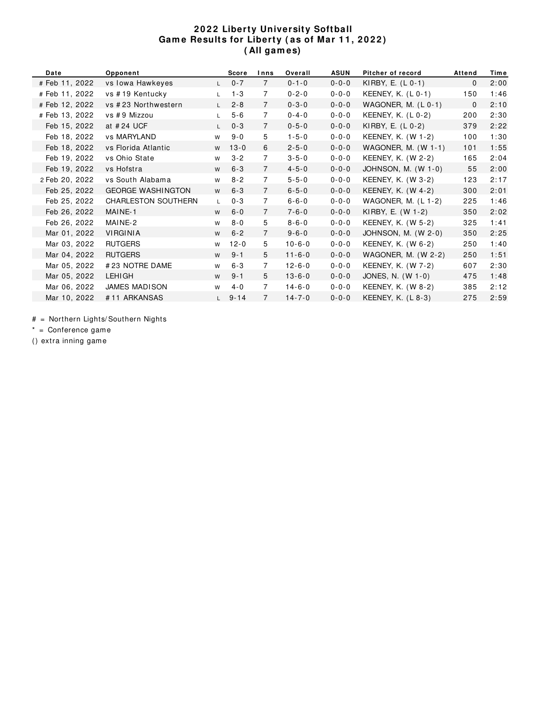#### **2 0 2 2 Liberty University Softball Gam e Results for Liberty ( as of Mar 1 1 , 2 0 2 2 ) ( All gam es)**

| Date           | Opponent                 |                | <b>Score</b> | Inns           | Overall      | <b>ASUN</b> | Pitcher of record     | Attend       | Time |
|----------------|--------------------------|----------------|--------------|----------------|--------------|-------------|-----------------------|--------------|------|
| # Feb 11, 2022 | vs Iowa Hawkeyes         | $\mathsf{L}$   | $0 - 7$      | $\overline{7}$ | $0 - 1 - 0$  | $0 - 0 - 0$ | KIRBY, E. $(L 0-1)$   | 0            | 2:00 |
| # Feb 11, 2022 | vs #19 Kentucky          | $\mathsf{L}$   | $1 - 3$      | $\overline{7}$ | $0 - 2 - 0$  | $0 - 0 - 0$ | KEENEY, K. (L 0-1)    | 150          | 1:46 |
| # Feb 12, 2022 | vs #23 Northwestern      | $\mathsf{L}$   | $2 - 8$      | $\overline{7}$ | $0 - 3 - 0$  | $0 - 0 - 0$ | WAGONER, M. (L 0-1)   | $\mathbf{0}$ | 2:10 |
| # Feb 13, 2022 | vs #9 Mizzou             | $\mathsf{L}$   | $5 - 6$      | $\overline{7}$ | $0 - 4 - 0$  | $0 - 0 - 0$ | KEENEY, K. (L 0-2)    | 200          | 2:30 |
| Feb 15, 2022   | at #24 UCF               | $\mathsf{L}^-$ | $0 - 3$      | $\overline{7}$ | $0 - 5 - 0$  | $0 - 0 - 0$ | KIRBY, E. (L 0-2)     | 379          | 2:22 |
| Feb 18, 2022   | vs MARYLAND              | W              | $9 - 0$      | 5              | $1 - 5 - 0$  | $0 - 0 - 0$ | KEENEY, K. (W 1-2)    | 100          | 1:30 |
| Feb 18, 2022   | vs Florida Atlantic      | W              | $13 - 0$     | 6              | $2 - 5 - 0$  | $0 - 0 - 0$ | WAGONER, M. $(W 1-1)$ | 101          | 1:55 |
| Feb 19, 2022   | vs Ohio State            | W              | $3 - 2$      | $\overline{7}$ | $3 - 5 - 0$  | $0 - 0 - 0$ | KEENEY, K. (W 2-2)    | 165          | 2:04 |
| Feb 19, 2022   | vs Hofstra               | W              | $6 - 3$      | $\overline{7}$ | $4 - 5 - 0$  | $0 - 0 - 0$ | JOHNSON, M. (W 1-0)   | 55           | 2:00 |
| 2 Feb 20, 2022 | vs South Alabama         | W              | $8 - 2$      | $\overline{7}$ | $5 - 5 - 0$  | $0 - 0 - 0$ | KEENEY, K. (W 3-2)    | 123          | 2:17 |
| Feb 25, 2022   | <b>GEORGE WASHINGTON</b> | W              | $6 - 3$      | $\overline{7}$ | $6 - 5 - 0$  | $0 - 0 - 0$ | KEENEY, K. (W 4-2)    | 300          | 2:01 |
| Feb 25, 2022   | CHARLESTON SOUTHERN      | $\mathsf{L}$   | $0 - 3$      | $\overline{7}$ | $6 - 6 - 0$  | $0 - 0 - 0$ | WAGONER, M. $(L 1-2)$ | 225          | 1:46 |
| Feb 26, 2022   | MAINE-1                  | W              | $6 - 0$      | $\overline{7}$ | $7 - 6 - 0$  | $0 - 0 - 0$ | KIRBY, E. (W 1-2)     | 350          | 2:02 |
| Feb 26, 2022   | MAINE-2                  | W              | $8 - 0$      | 5              | $8 - 6 - 0$  | $0 - 0 - 0$ | KEENEY, K. (W 5-2)    | 325          | 1:41 |
| Mar 01, 2022   | <b>VIRGINIA</b>          | W              | $6 - 2$      | $\overline{7}$ | $9 - 6 - 0$  | $0 - 0 - 0$ | JOHNSON, M. (W 2-0)   | 350          | 2:25 |
| Mar 03, 2022   | <b>RUTGERS</b>           | W              | $12 - 0$     | 5              | $10 - 6 - 0$ | $0 - 0 - 0$ | KEENEY, K. (W 6-2)    | 250          | 1:40 |
| Mar 04, 2022   | <b>RUTGERS</b>           | W              | $9 - 1$      | 5              | $11 - 6 - 0$ | $0 - 0 - 0$ | WAGONER, M. (W 2-2)   | 250          | 1:51 |
| Mar 05, 2022   | #23 NOTRE DAME           | W              | $6 - 3$      | $\overline{7}$ | $12 - 6 - 0$ | $0 - 0 - 0$ | KEENEY, K. (W 7-2)    | 607          | 2:30 |
| Mar 05, 2022   | <b>LEHIGH</b>            | W              | $9 - 1$      | 5              | $13 - 6 - 0$ | $0 - 0 - 0$ | JONES, N. (W 1-0)     | 475          | 1:48 |
| Mar 06, 2022   | <b>JAMES MADISON</b>     | W              | $4 - 0$      | $\overline{7}$ | $14 - 6 - 0$ | $0 - 0 - 0$ | KEENEY, K. (W 8-2)    | 385          | 2:12 |
| Mar 10, 2022   | #11 ARKANSAS             | $\mathsf{L}$   | $9 - 14$     | $\overline{7}$ | $14 - 7 - 0$ | $0 - 0 - 0$ | KEENEY, K. (L 8-3)    | 275          | 2:59 |

# = Northern Lights/ Southern Nights

\* = Conference gam e

() extra inning gam e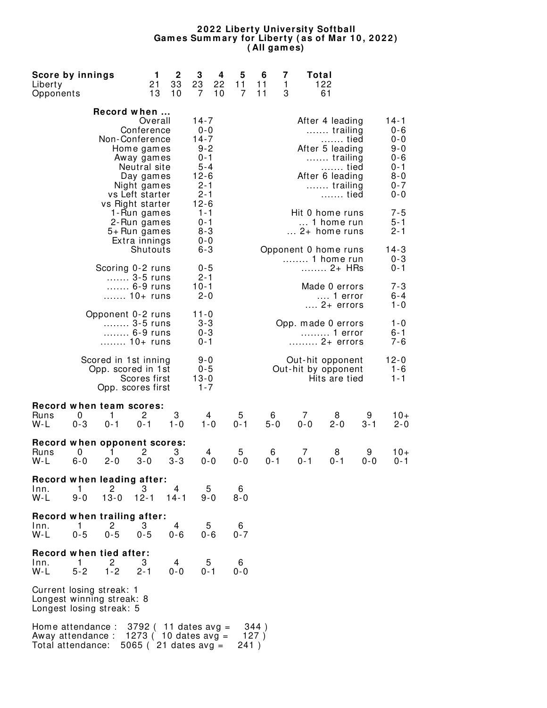#### **2 0 2 2 Liberty University Softball Gam es Sum m ary for Liberty ( as of Mar 1 0 , 2 0 2 2 ) ( All gam es)**

| Score by innings<br>Liberty<br>Opponents                                           |              |                                                                      | 1<br>21<br>13                                                                                 | $\mathbf 2$<br>33<br>10                         | 3<br>23<br>7                                                                                           | 4<br>22<br>10 | 5<br>11<br>7 | 6<br>11<br>11 | 7<br>1<br>3 | Total        | 122<br>61                                                                                                         |              |                                                                                      |  |  |  |
|------------------------------------------------------------------------------------|--------------|----------------------------------------------------------------------|-----------------------------------------------------------------------------------------------|-------------------------------------------------|--------------------------------------------------------------------------------------------------------|---------------|--------------|---------------|-------------|--------------|-------------------------------------------------------------------------------------------------------------------|--------------|--------------------------------------------------------------------------------------|--|--|--|
|                                                                                    |              | Record when<br>Non-Conference<br>vs Left starter<br>vs Right starter | Overall<br>Conference<br>Home games<br>Away games<br>Neutral site<br>Day games<br>Night games |                                                 | $14 - 7$<br>$0 - 0$<br>$14 - 7$<br>$9 - 2$<br>$0 - 1$<br>5-4<br>$12 - 6$<br>$2 - 1$<br>2-1<br>$12 - 6$ |               |              |               |             |              | After 4 leading<br>trailing<br>tied<br>After 5 leading<br>trailing<br>tied<br>After 6 leading<br>trailing<br>tied |              | $14 - 1$<br>0-6<br>$0 - 0$<br>9-0<br>$0 - 6$<br>0-1<br>$8 - 0$<br>$0 - 7$<br>$0 - 0$ |  |  |  |
|                                                                                    |              | 5+ Run games                                                         | 1-Run games<br>2-Run games<br>Extra innings<br>Shutouts                                       |                                                 | $1 - 1$<br>0-1<br>$8 - 3$<br>$0 - 0$<br>$6 - 3$                                                        |               |              |               |             |              | Hit 0 home runs<br>1 home run<br>$\ldots$ 2+ home runs<br>Opponent 0 home runs                                    |              | $7 - 5$<br>5-1<br>$2 - 1$<br>$14 - 3$                                                |  |  |  |
|                                                                                    |              | Scoring 0-2 runs<br>3-5 runs<br>6-9 runs<br>10+ runs                 |                                                                                               |                                                 | $0 - 5$<br>$2 - 1$<br>$10 - 1$<br>$2 - 0$                                                              |               |              |               |             |              | 1 home run<br>2+ HRs<br>Made 0 errors<br>1 error                                                                  |              | $0 - 3$<br>$0 - 1$<br>7-3<br>6-4                                                     |  |  |  |
|                                                                                    |              | Opponent 0-2 runs<br>3-5 runs<br>6-9 runs<br>10+ runs                |                                                                                               |                                                 | 11-0<br>3-3<br>$0 - 3$<br>$0 - 1$                                                                      |               |              |               |             |              | $\dots$ 2+ errors<br>Opp. made 0 errors<br>1 error<br>2+ errors                                                   |              | 1-0<br>$1 - 0$<br>6-1<br>7-6                                                         |  |  |  |
|                                                                                    |              | Scored in 1st inning<br>Opp. scored in 1st<br>Opp. scores first      | Scores first                                                                                  |                                                 | $9 - 0$<br>$0 - 5$<br>$13 - 0$<br>$1 - 7$                                                              |               |              |               |             |              | Out-hit opponent<br>Out-hit by opponent<br>Hits are tied                                                          |              | $12 - 0$<br>$1 - 6$<br>$1 - 1$                                                       |  |  |  |
| Record when team scores:<br>Runs<br>W-L                                            | 0<br>$0 - 3$ | 1<br>$0 - 1$                                                         | 2<br>$0 - 1$                                                                                  | 3<br>$1 - 0$                                    |                                                                                                        | 4<br>$1 - 0$  | 5<br>$0 - 1$ | 6<br>$5 - 0$  |             | 7<br>$0 - 0$ | 8<br>$2 - 0$                                                                                                      | 9<br>$3 - 1$ | $10+$<br>$2 - 0$                                                                     |  |  |  |
| Record when opponent scores:<br>Runs<br>W-L                                        | 0<br>$6 - 0$ | 1<br>$2 - 0$                                                         | 2<br>$3 - 0$                                                                                  | 3<br>$3 - 3$                                    |                                                                                                        | 4<br>$0 - 0$  | 5<br>$0 - 0$ | 6<br>$0 - 1$  |             | 7<br>0-1     | 8<br>0-1                                                                                                          | 9<br>$0 - 0$ | 10+<br>$0 - 1$                                                                       |  |  |  |
| Record when leading after:<br>Inn.<br>W-L                                          | 1<br>$9 - 0$ | 2<br>$13 - 0$                                                        | З<br>$12 - 1$                                                                                 | 4<br>$14 - 1$                                   |                                                                                                        | 5.<br>$9 - 0$ | 6<br>$8 - 0$ |               |             |              |                                                                                                                   |              |                                                                                      |  |  |  |
| Record when trailing after:<br>Inn.<br>$W-L$                                       | 1<br>$0 - 5$ | $\mathbf{2}$<br>$0 - 5$                                              | 3<br>$0 - 5$                                                                                  | 4<br>$0 - 6$                                    |                                                                                                        | 5<br>$0 - 6$  | 6<br>$0 - 7$ |               |             |              |                                                                                                                   |              |                                                                                      |  |  |  |
| Record when tied after:<br>$Inn$ .<br>W-L                                          | 1<br>$5 - 2$ | 2<br>$1 - 2$                                                         | 3<br>$2 - 1$                                                                                  | 4<br>$0 - 0$                                    |                                                                                                        | 5<br>$0 - 1$  | 6<br>$0 - 0$ |               |             |              |                                                                                                                   |              |                                                                                      |  |  |  |
| Current losing streak: 1<br>Longest winning streak: 8<br>Longest losing streak: 5  |              |                                                                      |                                                                                               |                                                 |                                                                                                        |               |              |               |             |              |                                                                                                                   |              |                                                                                      |  |  |  |
| Home attendance : $3792$ (11 dates avg =<br>Away attendance :<br>Total attendance: |              |                                                                      |                                                                                               | 1273 ( $10$ dates avg =<br>5065 (21 dates avg = |                                                                                                        |               | 241)         | 344)<br>127)  |             |              |                                                                                                                   |              |                                                                                      |  |  |  |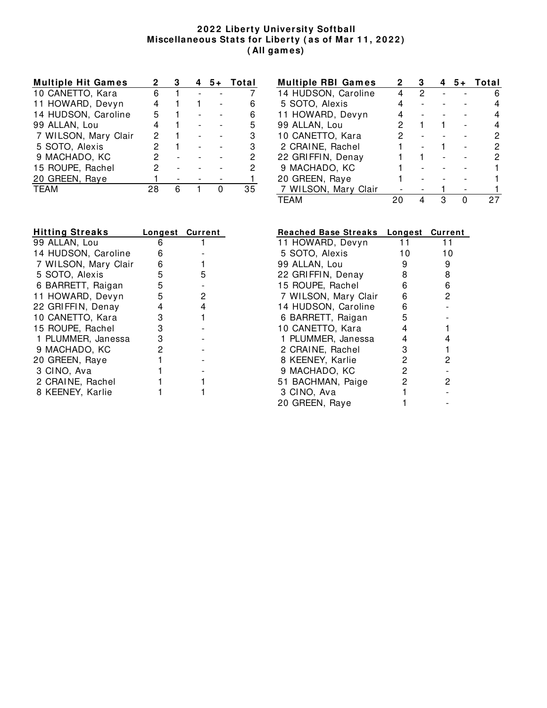#### **2 0 2 2 Liberty University Softball Miscellaneous Stats for Liberty ( as of Mar 1 1 , 2 0 2 2 ) ( All gam es)**

| <b>Multiple Hit Games</b> |    |  | $5+$ | Total |
|---------------------------|----|--|------|-------|
| 10 CANETTO, Kara          | 6  |  |      |       |
| 11 HOWARD, Devyn          |    |  |      |       |
| 14 HUDSON, Caroline       | 5  |  |      | 6     |
| 99 ALLAN, Lou             | 4  |  |      | 5     |
| 7 WILSON, Mary Clair      | 2  |  |      | З     |
| 5 SOTO, Alexis            | 2  |  |      | з     |
| 9 MACHADO, KC             | 2  |  |      |       |
| 15 ROUPE, Rachel          | 2  |  |      |       |
| 20 GREEN, Raye            |    |  |      |       |
| <b>TFAM</b>               | 28 |  |      |       |

| <b>Multiple RBI Games</b> | 2 |   |   | $5+$ | Total |
|---------------------------|---|---|---|------|-------|
| 14 HUDSON, Caroline       |   | 2 |   |      |       |
| 5 SOTO, Alexis            |   |   |   |      |       |
| 11 HOWARD, Devyn          |   |   |   |      |       |
| 99 ALLAN, Lou             |   |   |   |      |       |
| 10 CANETTO, Kara          |   |   |   |      |       |
| 2 CRAINE, Rachel          |   |   |   |      |       |
| 22 GRIFFIN, Denay         |   |   |   |      |       |
| 9 MACHADO, KC             |   |   |   |      |       |
| 20 GREEN, Raye            |   |   |   |      |       |
| 7 WILSON, Mary Clair      |   |   |   |      |       |
| <b>TEAM</b>               |   |   | з |      |       |

| Longest Current |   |
|-----------------|---|
| 6               |   |
| 6               |   |
| 6               |   |
| 5               | 5 |
| 5               |   |
| 5               | 2 |
| 4               | 4 |
| 3               |   |
| 3               |   |
| 3               |   |
| 2               |   |
|                 |   |
|                 |   |
|                 |   |
|                 |   |
|                 |   |

| <b>Reached Base Streaks</b> | Longest | <b>Current</b> |
|-----------------------------|---------|----------------|
| 11 HOWARD, Devyn            | 11      | 11             |
| 5 SOTO, Alexis              | 10      | 10             |
| 99 ALLAN, Lou               | 9       | 9              |
| 22 GRIFFIN, Denay           | 8       | 8              |
| 15 ROUPE, Rachel            | 6       | 6              |
| 7 WILSON, Mary Clair        | 6       | 2              |
| 14 HUDSON, Caroline         | 6       |                |
| 6 BARRETT, Raigan           | 5       |                |
| 10 CANETTO, Kara            | 4       |                |
| 1 PLUMMER, Janessa          | 4       | 4              |
| 2 CRAINE, Rachel            | 3       |                |
| 8 KEENEY, Karlie            | 2       | 2              |
| 9 MACHADO, KC               | 2       |                |
| 51 BACHMAN, Paige           | 2       | 2              |
| 3 CINO, Ava                 | 1       |                |
| 20 GREEN, Raye              |         |                |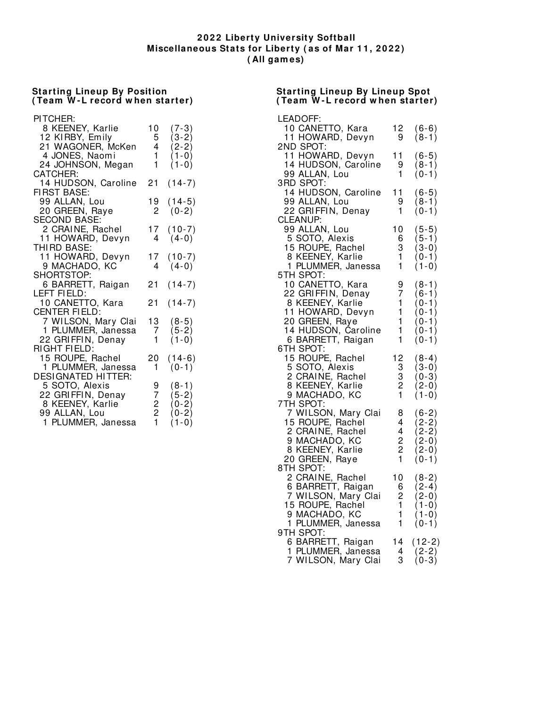#### **2 0 2 2 Liberty University Softball Miscellaneous Stats for Liberty ( as of Mar 1 1 , 2 0 2 2 ) ( All gam es)**

#### **Starting Lineup By Position ( Team W - L record w hen starter)**

#### PI TCHER: 8 KEENEY, Karlie 10 (7-3)<br>12 KIRBY, Emily 5 (3-2) 12 KIRBY, Emily 5 (3-2)<br>21 WAGONER, McKen 4 (2-2) 21 WAGONER, McKen 4 (2-2)<br>4 JONES, Naomi 1 (1-0) 4 JONES, Naomi 24 JOHNSON, Megan  $1 \quad (1-0)$ CATCHER: 14 HUDSON, Caroline 21 (14-7) **FIRST BASE:** 99 ALLAN, Lou 19 (14-5)<br>20 GREEN, Raye 2 (0-2) 20 GREEN, Raye SECOND BASE: 2 CRAINE, Rachel 17 (10-7)<br>11 HOWARD, Devyn 4 (4-0) 11 HOWARD, Devyn THI RD BASE: 11 HOWARD, Devyn 17 (10-7) 9 MACHADO, KC SHORTSTOP: 6 BARRETT, Raigan 21 (14-7) LEFT FI ELD: 10 CANETTO, Kara 21 (14-7) CENTER FI ELD: 7 WILSON, Mary Clai 13 (8-5) 1 PLUMMER, Janessa 7 (5-2) 22 GRIFFIN, Denay  $1 \quad (1-0)$ RI GHT FI ELD: 15 ROUPE, Rachel 20 (14-6) 1 PLUMMER, Janessa 1 (0-1) DESI GNATED HI TTER: 5 SOTO, Alexis 9 (8-1)<br>22 GRIFFIN, Denay 7 (5-2) 22 GRI FFIN, Denay 7 (5-2)<br>8 KEENEY, Karlie 2 (0-2) 8 KEENEY, Karlie 2 (0-2) 99 ALLAN, Lou 2 (0-2)<br>1 PLUMMER, Janessa 1 (1-0) 1 PLUMMER, Janessa

#### **Starting Lineup By Lineup Spot ( Team W - L record w hen starter)**

| LEADOFF:                                |                                        |                  |
|-----------------------------------------|----------------------------------------|------------------|
| 10 CANETTO, Kara                        |                                        | $(6-6)$          |
| 11 HOWARD, Devyn                        | $\begin{array}{c} 12 \\ 9 \end{array}$ | $(8-1)$          |
| 2ND SPOT:                               |                                        |                  |
| 11 HOWARD, Devyn                        | 11                                     | $(6-5)$          |
| 14 HUDSON, Caroline                     | 9                                      | $(8-1)$          |
| 99 ALLAN, Lou                           | 1                                      | $(0-1)$          |
| 3RD SPOT:                               |                                        |                  |
| 14 HUDSON, Caroline                     | 11                                     | $(6-5)$          |
| 99 ALLAN, Lou                           | 9                                      | $(8-1)$          |
| 22 GRIFFIN, Denay                       | 1                                      | $(0-1)$          |
| <b>CLEANUP:</b>                         |                                        |                  |
| 99 ALLAN, Lou                           | 10                                     | $(5-5)$          |
| 5 SOTO, Alexis                          | 6                                      | $(5-1)$          |
| 15 ROUPE, Rachel<br>8 KEENEY, Karlie    | 3                                      | $(3-0)$          |
|                                         | 1                                      | $(0-1)$          |
| 1 PLUMMER, Janessa                      | 1                                      | $(1-0)$          |
| 5TH SPOT:                               |                                        |                  |
| 10 CANETTO, Kara                        | 9                                      | $(8-1)$          |
| 22 GRIFFIN, Denay                       | 7                                      | $(6-1)$          |
| 8 KEENEY, Karlie                        | 1                                      | $(0-1)$          |
| 11 HOWARD, Devyn                        | 1                                      | $(0-1)$          |
| 20 GREEN, Raye                          | 1                                      | $(0-1)$          |
| 14 HUDSON, Čaroline                     | 1                                      | $(0-1)$          |
| 6 BARRETT, Raigan                       | 1                                      | $(0-1)$          |
| 6TH SPOT:                               |                                        |                  |
| 15 ROUPE, Rachel                        | 12                                     | $(8-4)$          |
| 5 SOTO, Alexis                          | 3                                      | $(3-0)$          |
| 2 CRAINE, Rachel                        | 3                                      | $(0-3)$          |
| 8 KEENEY, Karlie                        | $\overline{c}$                         | $(2-0)$          |
| 9 MACHADO, KC                           | 1                                      | $(1-0)$          |
| 7TH SPOT:                               |                                        |                  |
| 7 WILSON, Mary Clai                     | 8                                      | $(6-2)$          |
|                                         | 4                                      | $(2-2)$          |
| 15 ROUPE, Rachel<br>2 CRAINE, Rachel    |                                        | $(2-2)$          |
|                                         |                                        | $(2-0)$          |
| 9 MACHADO, KC<br>8 KEENEY, Karlie       | $\frac{4}{2}$                          | $(2-0)$          |
| 20 GREEN, Raye                          | $\mathbf{1}$                           | $(0-1)$          |
| 8TH SPOT:                               |                                        |                  |
| 2 CRAINE, Rachel                        | 10                                     | $(8-2)$          |
| 6 BARRETT, Raigan                       | 6                                      | $(2-4)$          |
|                                         |                                        |                  |
| 7 WILSON, Mary Clai<br>15 ROUPE, Rachel | $\frac{2}{1}$                          | $(2-0)$<br>(1-0) |
| 9 MACHADO, KC                           | $\mathbf{1}$                           | (1-0)            |
| 1 PLUMMER, Janessa                      | $\mathbf{1}$                           | $(0-1)$          |
| 9TH SPOT:                               |                                        |                  |
|                                         | 14                                     | $(12-2)$         |
| 6 BARRETT, Raigan<br>1 PLUMMER, Janessa | 4                                      | $(2-2)$          |
|                                         | 3                                      |                  |
| 7 WILSON, Mary Clai                     |                                        | $(0-3)$          |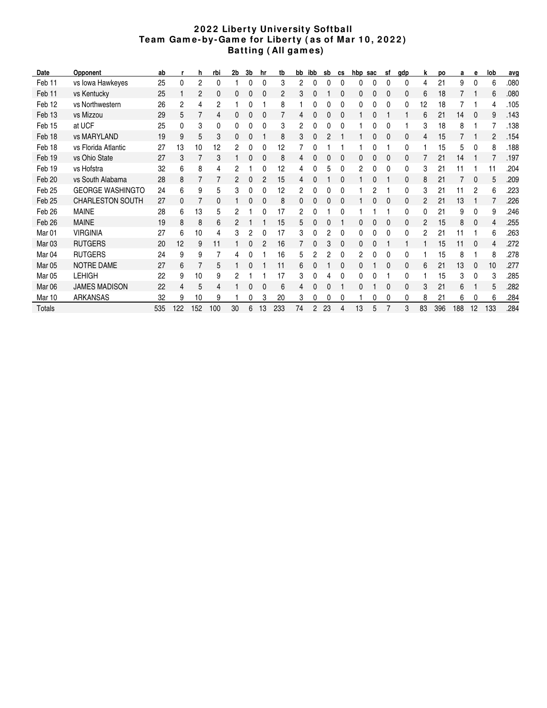#### **2 0 2 2 Liberty University Softball Team Gam e- by- Gam e for Liberty ( as of Mar 1 0 , 2 0 2 2 ) Batting ( All gam es)**

| Date              | Opponent                | ab  |     | h   | rbi | 2b       | 3b | hr | tb  | bb | ibb            | sb | cs | hbp | sac | sf | qdp | k              | <b>DO</b> | а   | е        | lob            | avg  |
|-------------------|-------------------------|-----|-----|-----|-----|----------|----|----|-----|----|----------------|----|----|-----|-----|----|-----|----------------|-----------|-----|----------|----------------|------|
| Feb <sub>11</sub> | vs Iowa Hawkeyes        | 25  | 0   | 2   | 0   |          | 0  | 0  | 3   | 2  |                | ŋ  | 0  | 0   | C   | 0  | 0   | 4              | 21        | 9   | 0        | 6              | .080 |
| Feb <sub>11</sub> | vs Kentucky             | 25  |     | 2   | 0   | $\Omega$ | 0  | 0  | 2   | 3  |                |    | 0  | 0   | 0   | 0  | 0   | 6              | 18        |     |          | 6              | .080 |
| Feb 12            | vs Northwestern         | 26  | 2   | 4   | 2   |          | 0  |    | 8   |    |                |    | 0  | 0   | 0   | 0  | 0   | 12             | 18        |     |          | 4              | .105 |
| Feb <sub>13</sub> | vs Mizzou               | 29  | 5   | 7   | 4   | 0        | 0  | 0  |     | 4  |                |    | 0  |     |     |    |     | 6              | 21        | 14  | $\bf{0}$ | 9              | .143 |
| Feb 15            | at UCF                  | 25  | 0   | 3   | 0   | 0        | 0  | 0  | 3   | 2  |                |    | 0  |     |     | 0  |     | 3              | 18        | 8   |          |                | .138 |
| Feb 18            | vs MARYLAND             | 19  | 9   | 5   | 3   | 0        | 0  |    | 8   | 3  |                |    |    |     | 0   | 0  | 0   | 4              | 15        |     |          | $\overline{2}$ | .154 |
| Feb 18            | vs Florida Atlantic     | 27  | 13  | 10  | 12  | 2        | 0  | 0  | 12  |    |                |    |    |     | 0   |    | 0   |                | 15        | 5   | 0        | 8              | .188 |
| Feb 19            | vs Ohio State           | 27  | 3   |     | 3   |          | 0  | 0  | 8   | 4  |                |    | 0  |     |     | 0  | 0   |                | 21        | 14  |          |                | .197 |
| Feb 19            | vs Hofstra              | 32  | 6   | 8   | 4   | 2        |    | 0  | 12  | 4  |                | 5  | 0  | 2   |     | 0  | 0   | 3              | 21        | 11  |          | 11             | .204 |
| Feb <sub>20</sub> | vs South Alabama        | 28  | 8   |     | 7   | 2        | 0  | 2  | 15  | 4  |                |    | 0  |     | 0   |    | 0   | 8              | 21        |     | 0        | 5              | .209 |
| Feb 25            | <b>GEORGE WASHINGTO</b> | 24  | 6   | 9   | 5   | 3        | 0  | 0  | 12  | 2  | 0              |    | 0  |     | 2   |    | 0   | 3              | 21        | 11  | 2        | 6              | .223 |
| Feb <sub>25</sub> | <b>CHARLESTON SOUTH</b> | 27  | 0   |     | 0   |          | 0  | 0  | 8   | 0  |                |    | 0  |     | 0   | 0  | 0   | 2              | 21        | 13  |          |                | .226 |
| Feb <sub>26</sub> | <b>MAINE</b>            | 28  | 6   | 13  | 5   | 2        |    | 0  | 17  | 2  |                |    | 0  |     |     |    | 0   | 0              | 21        | 9   | 0        | 9              | .246 |
| Feb <sub>26</sub> | <b>MAINE</b>            | 19  | 8   | 8   | 6   | 2        |    |    | 15  | 5  |                |    |    | 0   |     | 0  | 0   | $\overline{c}$ | 15        | 8   | 0        | 4              | .255 |
| Mar <sub>01</sub> | <b>VIRGINIA</b>         | 27  | 6   | 10  | 4   | 3        | 2  | 0  | 17  | 3  |                | 2  | 0  | 0   | 0   | 0  | 0   | 2              | 21        | 11  |          | 6              | .263 |
| Mar <sub>03</sub> | <b>RUTGERS</b>          | 20  | 12  | 9   | 11  |          | 0  | 2  | 16  |    |                | 3  | 0  | 0   |     |    |     |                | 15        | 11  | 0        | 4              | .272 |
| Mar <sub>04</sub> | <b>RUTGERS</b>          | 24  | 9   | 9   | 7   | 4        | 0  |    | 16  | 5  | 2              | 2  | 0  | 2   |     | 0  | 0   |                | 15        | 8   |          | 8              | .278 |
| <b>Mar 05</b>     | <b>NOTRE DAME</b>       | 27  | 6   |     | 5   |          | 0  |    | 11  | 6  |                |    | 0  | 0   |     | 0  | 0   | 6              | 21        | 13  | 0        | 10             | .277 |
| Mar <sub>05</sub> | <b>LEHIGH</b>           | 22  | 9   | 10  | 9   | 2        |    |    | 17  | 3  |                |    | 0  | 0   |     |    | 0   |                | 15        | 3   | 0        | 3              | .285 |
| Mar <sub>06</sub> | <b>JAMES MADISON</b>    | 22  | 4   | 5   | 4   |          | 0  | 0  | 6   | 4  | 0              | 0  |    | 0   |     | 0  | 0   | 3              | 21        | 6   |          | 5              | .282 |
| Mar 10            | ARKANSAS                | 32  | 9   | 10  | 9   |          | 0  | 3  | 20  | 3  |                |    | 0  |     | 0   | 0  | 0   | 8              | 21        | 6   |          | 6              | .284 |
| <b>Totals</b>     |                         | 535 | 122 | 152 | 100 | 30       | 6  | 13 | 233 | 74 | $\overline{2}$ | 23 | 4  | 13  | 5   |    | 3   | 83             | 396       | 188 | 12       | 133            | .284 |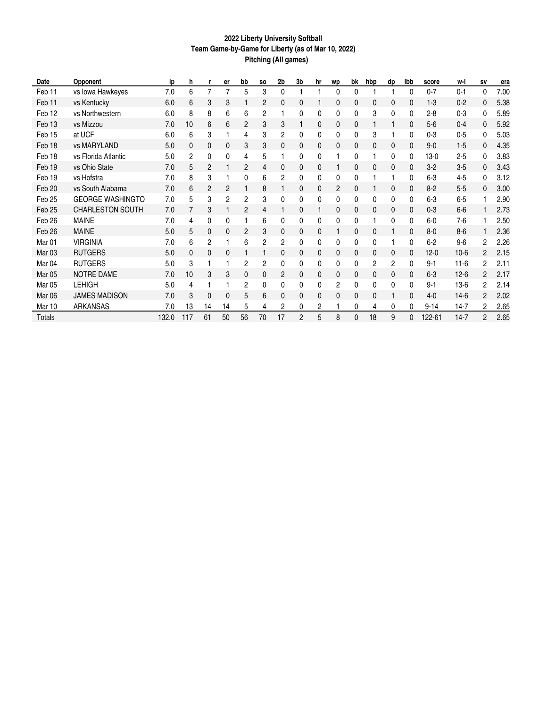#### **2022 Liberty University Softball Team Game-by-Game for Liberty (as of Mar 10, 2022) Pitching (All games)**

| Date              | Opponent                | ip    | h              |              | er | bb       | <b>SO</b> | 2b | 3b | hr | <b>WD</b>      | bk           | hbp | dp           | ibb          | score    | w-l      | <b>SV</b>      | era  |
|-------------------|-------------------------|-------|----------------|--------------|----|----------|-----------|----|----|----|----------------|--------------|-----|--------------|--------------|----------|----------|----------------|------|
| Feb 11            | vs Iowa Hawkeyes        | 7.0   | 6              | 7            | 7  | 5        | 3         | 0  |    |    | 0              | $\mathbf{0}$ |     |              | 0            | $0 - 7$  | $0 - 1$  | 0              | 7.00 |
| Feb 11            | vs Kentucky             | 6.0   | 6              | 3            | 3  |          | 2         | 0  | 0  |    | 0              | 0            | 0   | 0            | 0            | $1 - 3$  | $0 - 2$  | 0              | 5.38 |
| Feb 12            | vs Northwestern         | 6.0   | 8              | 8            | 6  | 6        | 2         |    | 0  | 0  | 0              | 0            | 3   | $\mathbf{0}$ | $\mathbf{0}$ | $2 - 8$  | $0 - 3$  | 0              | 5.89 |
| Feb <sub>13</sub> | vs Mizzou               | 7.0   | 10             | 6            | 6  | 2        | 3         | 3  |    | 0  | 0              | 0            |     |              | 0            | $5-6$    | $0 - 4$  | 0              | 5.92 |
| Feb 15            | at UCF                  | 6.0   | 6              | 3            |    | 4        | 3         | 2  | 0  | 0  | 0              | 0            | 3   |              | $\mathbf{0}$ | $0 - 3$  | $0 - 5$  | 0              | 5.03 |
| Feb 18            | vs MARYLAND             | 5.0   | 0              | 0            | 0  | 3        | 3         | 0  | 0  | 0  | 0              | 0            | 0   | 0            | $\Omega$     | $9 - 0$  | $1 - 5$  | 0              | 4.35 |
| Feb 18            | vs Florida Atlantic     | 5.0   | $\overline{c}$ | $\mathbf{0}$ | 0  | 4        | 5         |    | 0  | 0  |                | 0            |     | 0            | $\mathbf{0}$ | $13-0$   | $2 - 5$  | 0              | 3.83 |
| Feb <sub>19</sub> | vs Ohio State           | 7.0   | 5              | 2            |    | 2        | 4         | 0  | 0  | 0  |                | 0            | 0   | 0            | $\Omega$     | $3-2$    | $3-5$    | 0              | 3.43 |
| Feb 19            | vs Hofstra              | 7.0   | 8              | 3            |    | $\Omega$ | 6         | 2  | 0  | 0  | 0              | 0            |     |              | $\mathbf{0}$ | $6 - 3$  | $4 - 5$  | 0              | 3.12 |
| Feb 20            | vs South Alabama        | 7.0   | 6              | 2            | 2  |          | 8         |    | 0  | 0  | $\overline{c}$ | 0            |     | 0            | 0            | $8 - 2$  | $5 - 5$  | 0              | 3.00 |
| Feb <sub>25</sub> | <b>GEORGE WASHINGTO</b> | 7.0   | 5              | 3            | 2  | 2        | 3         | 0  | 0  | 0  | $\mathbf{0}$   | 0            | 0   | 0            | 0            | $6 - 3$  | $6 - 5$  |                | 2.90 |
| Feb <sub>25</sub> | <b>CHARLESTON SOUTH</b> | 7.0   | 7              | 3            |    | 2        | 4         |    | 0  |    | 0              | 0            | 0   | 0            | $\mathbf{0}$ | $0 - 3$  | $6-6$    |                | 2.73 |
| Feb <sub>26</sub> | <b>MAINE</b>            | 7.0   | 4              | 0            | 0  |          | 6         | 0  | 0  | 0  | 0              | 0            |     | 0            | 0            | $6-0$    | 7-6      |                | 2.50 |
| Feb <sub>26</sub> | <b>MAINE</b>            | 5.0   | 5              | 0            | 0  | 2        | 3         | 0  | 0  | 0  |                | 0            | 0   |              | $\Omega$     | $8 - 0$  | $8-6$    |                | 2.36 |
| Mar <sub>01</sub> | <b>VIRGINIA</b>         | 7.0   | 6              | 2            |    | 6        | 2         | 2  | 0  | 0  | 0              | 0            | 0   |              | 0            | $6 - 2$  | $9-6$    | 2              | 2.26 |
| Mar <sub>03</sub> | <b>RUTGERS</b>          | 5.0   | 0              | 0            | 0  |          |           | 0  | 0  | 0  | 0              | 0            | 0   | 0            | 0            | $12 - 0$ | $10-6$   | 2              | 2.15 |
| Mar <sub>04</sub> | <b>RUTGERS</b>          | 5.0   | 3              |              |    | 2        | 2         | 0  | 0  | 0  | 0              | 0            | 2   | 2            | 0            | $9 - 1$  | $11-6$   | 2              | 2.11 |
| Mar <sub>05</sub> | <b>NOTRE DAME</b>       | 7.0   | 10             | 3            | 3  | 0        | 0         | 2  | 0  | 0  | 0              | 0            | 0   | 0            | 0            | $6 - 3$  | $12-6$   | $\overline{c}$ | 2.17 |
| <b>Mar 05</b>     | <b>LEHIGH</b>           | 5.0   | 4              |              |    | 2        | 0         | 0  | 0  | 0  | 2              | 0            | 0   | 0            | 0            | $9 - 1$  | $13-6$   | 2              | 2.14 |
| Mar <sub>06</sub> | <b>JAMES MADISON</b>    | 7.0   | 3              | 0            | 0  | 5        | 6         | 0  | 0  | 0  | 0              | 0            | 0   |              | $\mathbf{0}$ | $4 - 0$  | $14-6$   | 2              | 2.02 |
| Mar 10            | ARKANSAS                | 7.0   | 13             | 14           | 14 | 5        | 4         | 2  | 0  | 2  |                | 0            | 4   | 0            | 0            | $9 - 14$ | 14-7     | 2              | 2.65 |
| <b>Totals</b>     |                         | 132.0 | 117            | 61           | 50 | 56       | 70        | 17 | 2  | 5  | 8              | 0            | 18  | 9            | 0            | 122-61   | $14 - 7$ | $\overline{c}$ | 2.65 |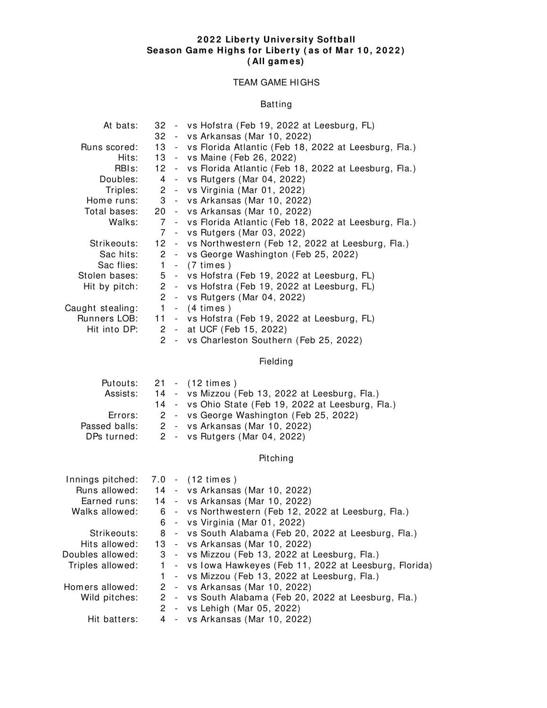#### **2 0 2 2 Liberty University Softball Season Gam e Highs for Liberty ( as of Mar 1 0 , 2 0 2 2 ) ( All gam es)**

## TEAM GAME HIGHS

# Batting

| At bats:          |  | 32 - vs Hofstra (Feb 19, 2022 at Leesburg, FL)            |
|-------------------|--|-----------------------------------------------------------|
|                   |  | 32 - vs Arkansas (Mar 10, 2022)                           |
| Runs scored:      |  | 13 - vs Florida Atlantic (Feb 18, 2022 at Leesburg, Fla.) |
| Hits:             |  | 13 - vs Maine (Feb 26, 2022)                              |
| RBI <sub>s:</sub> |  | 12 - vs Florida Atlantic (Feb 18, 2022 at Leesburg, Fla.) |
| Doubles:          |  | 4 - vs Rutgers (Mar 04, 2022)                             |
| Triples:          |  | 2 - vs Virginia (Mar 01, 2022)                            |
| Home runs:        |  | 3 - vs Arkansas (Mar 10, 2022)                            |
| Total bases:      |  | 20 - vs Arkansas (Mar 10, 2022)                           |
| Walks:            |  | 7 - vs Florida Atlantic (Feb 18, 2022 at Leesburg, Fla.)  |
|                   |  | 7 - vs Rutgers (Mar 03, 2022)                             |
| Strikeouts:       |  | 12 - vs Northwestern (Feb 12, 2022 at Leesburg, Fla.)     |
| Sac hits:         |  | 2 - vs George Washington (Feb 25, 2022)                   |
| Sac flies:        |  | 1 - (7 times)                                             |
| Stolen bases:     |  | 5 - vs Hofstra (Feb 19, 2022 at Leesburg, FL)             |
| Hit by pitch:     |  | 2 - vs Hofstra (Feb 19, 2022 at Leesburg, FL)             |
|                   |  | 2 - vs Rutgers (Mar 04, 2022)                             |
| Caught stealing:  |  | $1 - (4 \times)$                                          |
| Runners LOB:      |  | 11 - vs Hofstra (Feb 19, 2022 at Leesburg, FL)            |
| Hit into DP:      |  | 2 - at UCF (Feb 15, 2022)                                 |
|                   |  | 2 - vs Charleston Southern (Feb 25, 2022)                 |

Fielding

|               |  | Putouts: $21 - (12 \times$                               |
|---------------|--|----------------------------------------------------------|
|               |  | Assists: 14 - vs Mizzou (Feb 13, 2022 at Leesburg, Fla.) |
|               |  | 14 - vs Ohio State (Feb 19, 2022 at Leesburg, Fla.)      |
| Errors:       |  | 2 - vs George Washington (Feb 25, 2022)                  |
| Passed balls: |  | 2 - vs Arkansas (Mar 10, 2022)                           |
| DPs turned:   |  | 2 - vs Rutgers (Mar 04, 2022)                            |
|               |  |                                                          |

Pitching

| Innings pitched: |  | 7.0 - (12 times)                                         |
|------------------|--|----------------------------------------------------------|
| Runs allowed:    |  | 14 - vs Arkansas (Mar 10, 2022)                          |
| Earned runs:     |  | 14 - vs Arkansas (Mar 10, 2022)                          |
| Walks allowed:   |  | 6 - vs Northwestern (Feb 12, 2022 at Leesburg, Fla.)     |
|                  |  | 6 - vs Virginia (Mar 01, 2022)                           |
| Strikeouts:      |  | 8 - vs South Alabama (Feb 20, 2022 at Leesburg, Fla.)    |
| Hits allowed:    |  | 13 - vs Arkansas (Mar 10, 2022)                          |
| Doubles allowed: |  | 3 - vs Mizzou (Feb 13, 2022 at Leesburg, Fla.)           |
| Triples allowed: |  | 1 - vs Iowa Hawkeyes (Feb 11, 2022 at Leesburg, Florida) |
|                  |  | 1 - vs Mizzou (Feb 13, 2022 at Leesburg, Fla.)           |
| Homers allowed:  |  | 2 - vs Arkansas (Mar 10, 2022)                           |
| Wild pitches:    |  | 2 - vs South Alabama (Feb 20, 2022 at Leesburg, Fla.)    |
|                  |  | 2 - vs Lehigh (Mar 05, 2022)                             |
| Hit batters:     |  | 4 - vs Arkansas (Mar 10, 2022)                           |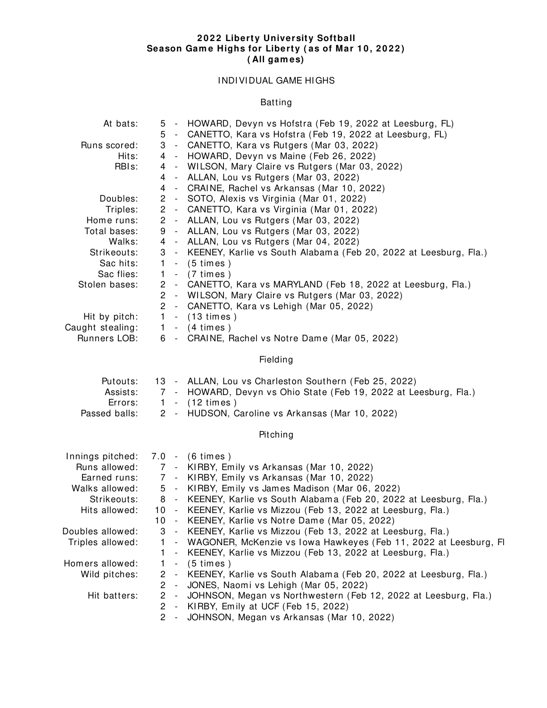#### **2 0 2 2 Liberty University Softball Season Gam e Highs for Liberty ( as of Mar 1 0 , 2 0 2 2 ) ( All gam es)**

# I NDI VI DUAL GAME HI GHS

# Batting

| At bats:           |                       |                          | 5 - HOWARD, Devyn vs Hofstra (Feb 19, 2022 at Leesburg, FL)          |
|--------------------|-----------------------|--------------------------|----------------------------------------------------------------------|
|                    |                       |                          | 5 - CANETTO, Kara vs Hofstra (Feb 19, 2022 at Leesburg, FL)          |
| Runs scored:       |                       |                          | 3 - CANETTO, Kara vs Rutgers (Mar 03, 2022)                          |
| Hits:              |                       |                          | 4 - HOWARD, Devyn vs Maine (Feb 26, 2022)                            |
| RBI <sub>s</sub> : |                       |                          | 4 - WILSON, Mary Claire vs Rutgers (Mar 03, 2022)                    |
|                    | 4                     |                          | - ALLAN, Lou vs Rutgers (Mar 03, 2022)                               |
|                    | 4                     |                          | - CRAINE, Rachel vs Arkansas (Mar 10, 2022)                          |
| Doubles:           | $\mathbf{2}$          |                          | - SOTO, Alexis vs Virginia (Mar 01, 2022)                            |
| Triples:           |                       |                          | 2 - CANETTO, Kara vs Virginia (Mar 01, 2022)                         |
| Home runs:         |                       |                          | 2 - ALLAN, Lou vs Rutgers (Mar 03, 2022)                             |
| Total bases:       | 9                     |                          | - ALLAN, Lou vs Rutgers (Mar 03, 2022)                               |
| Walks:             |                       |                          | 4 - ALLAN, Lou vs Rutgers (Mar 04, 2022)                             |
| Strikeouts:        |                       |                          | 3 - KEENEY, Karlie vs South Alabama (Feb 20, 2022 at Leesburg, Fla.) |
| Sac hits:          | $\mathbf{1}$          |                          | $-$ (5 times)                                                        |
| Sac flies:         |                       |                          | $-$ (7 times)                                                        |
|                    | $\mathbf{1}$          |                          |                                                                      |
| Stolen bases:      | $\mathbf{2}$          |                          | - CANETTO, Kara vs MARYLAND (Feb 18, 2022 at Leesburg, Fla.)         |
|                    | $\mathbf{2}^{\prime}$ |                          | - WILSON, Mary Claire vs Rutgers (Mar 03, 2022)                      |
|                    | $\mathbf{2}$          |                          | - CANETTO, Kara vs Lehigh (Mar 05, 2022)                             |
| Hit by pitch:      | $\mathbf{1}$          |                          | $-$ (13 times)                                                       |
| Caught stealing:   | $\mathbf{1}$          |                          | $-$ (4 times)                                                        |
| Runners LOB:       |                       |                          | 6 - CRAINE, Rachel vs Notre Dame (Mar 05, 2022)                      |
|                    |                       |                          | Fielding                                                             |
| Putouts:           |                       |                          | 13 - ALLAN, Lou vs Charleston Southern (Feb 25, 2022)                |
| Assists:           |                       |                          | 7 - HOWARD, Devyn vs Ohio State (Feb 19, 2022 at Leesburg, Fla.)     |
| Errors:            | $\mathbf{1}$          |                          | $-$ (12 times)                                                       |
| Passed balls:      |                       |                          | 2 - HUDSON, Caroline vs Arkansas (Mar 10, 2022)                      |
|                    |                       |                          |                                                                      |
|                    |                       |                          | Pitching                                                             |
| Innings pitched:   |                       |                          | 7.0 - (6 times)                                                      |
| Runs allowed:      |                       |                          | 7 - KIRBY, Emily vs Arkansas (Mar 10, 2022)                          |
| Earned runs:       |                       |                          | 7 - KIRBY, Emily vs Arkansas (Mar 10, 2022)                          |
| Walks allowed:     |                       |                          | 5 - KIRBY, Emily vs James Madison (Mar 06, 2022)                     |
| Strikeouts:        |                       |                          | 8 - KEENEY, Karlie vs South Alabama (Feb 20, 2022 at Leesburg, Fla.) |
| Hits allowed:      |                       |                          | 10 - KEENEY, Karlie vs Mizzou (Feb 13, 2022 at Leesburg, Fla.)       |
|                    | 10                    |                          | - KEENEY, Karlie vs Notre Dame (Mar 05, 2022)                        |
| Doubles allowed:   | 3                     |                          | - KEENEY, Karlie vs Mizzou (Feb 13, 2022 at Leesburg, Fla.)          |
| Triples allowed:   | 1.                    |                          | - WAGONER, McKenzie vs Iowa Hawkeyes (Feb 11, 2022 at Leesburg, FI   |
|                    | 1.                    |                          | KEENEY, Karlie vs Mizzou (Feb 13, 2022 at Leesburg, Fla.)            |
| Homers allowed:    |                       | $\blacksquare$           |                                                                      |
|                    | 1                     | $\sim$                   | $(5 \times)$                                                         |
| Wild pitches:      | $\overline{2}$        | $\sim$                   | KEENEY, Karlie vs South Alabama (Feb 20, 2022 at Leesburg, Fla.)     |
|                    | $\mathbf{2}$          | $\overline{\phantom{a}}$ | JONES, Naomi vs Lehigh (Mar 05, 2022)                                |
| Hit batters:       | $\overline{c}$        | $\sim$                   | JOHNSON, Megan vs Northwestern (Feb 12, 2022 at Leesburg, Fla.)      |
|                    | $\mathbf{2}$          | $\sim$                   | KIRBY, Emily at UCF (Feb 15, 2022)                                   |
|                    | $\overline{2}$        | $\overline{\phantom{a}}$ | JOHNSON, Megan vs Arkansas (Mar 10, 2022)                            |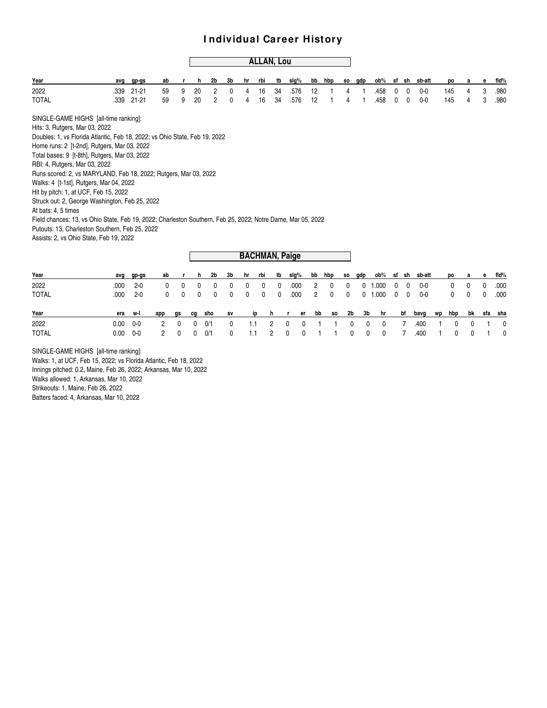|                                                                                                                                    |      |           |     |    |    |                |              |              |     | <b>ALLAN, Lou</b> |                       |    |     |     |     |     |            |   |              |         |    |     |    |              |              |
|------------------------------------------------------------------------------------------------------------------------------------|------|-----------|-----|----|----|----------------|--------------|--------------|-----|-------------------|-----------------------|----|-----|-----|-----|-----|------------|---|--------------|---------|----|-----|----|--------------|--------------|
| Year                                                                                                                               | avq  | gp-gs     | ab  |    | h  | 2 <sub>b</sub> | 3b           | hr           | rbi | tb                | slg%                  | bb | hbp |     | SO. | qdp | ob%        |   | sf sh        | sb-att  |    | po  | a  | e            | fid%         |
| 2022                                                                                                                               | .339 | $21 - 21$ | 59  | 9  | 20 | 2              | 0            | 4            | 16  | 34                | .576                  | 12 |     |     | 4   |     | .458       | 0 | 0            | $0 - 0$ |    | 145 | 4  | 3            | .980         |
| <b>TOTAL</b>                                                                                                                       | .339 | $21 - 21$ | 59  | 9  | 20 | $\overline{c}$ | 0            | 4            | 16  | 34                | .576                  | 12 |     |     | 4   |     | .458       | 0 | $\mathbf{0}$ | $0 - 0$ |    | 145 | 4  | 3            | .980         |
| SINGLE-GAME HIGHS [all-time ranking]:                                                                                              |      |           |     |    |    |                |              |              |     |                   |                       |    |     |     |     |     |            |   |              |         |    |     |    |              |              |
| Hits: 3, Rutgers, Mar 03, 2022                                                                                                     |      |           |     |    |    |                |              |              |     |                   |                       |    |     |     |     |     |            |   |              |         |    |     |    |              |              |
| Doubles: 1, vs Florida Atlantic, Feb 18, 2022; vs Ohio State, Feb 19, 2022                                                         |      |           |     |    |    |                |              |              |     |                   |                       |    |     |     |     |     |            |   |              |         |    |     |    |              |              |
| Home runs: 2 [t-2nd], Rutgers, Mar 03, 2022                                                                                        |      |           |     |    |    |                |              |              |     |                   |                       |    |     |     |     |     |            |   |              |         |    |     |    |              |              |
| Total bases: 9 [t-8th], Rutgers, Mar 03, 2022                                                                                      |      |           |     |    |    |                |              |              |     |                   |                       |    |     |     |     |     |            |   |              |         |    |     |    |              |              |
| RBI: 4, Rutgers, Mar 03, 2022                                                                                                      |      |           |     |    |    |                |              |              |     |                   |                       |    |     |     |     |     |            |   |              |         |    |     |    |              |              |
| Runs scored: 2, vs MARYLAND, Feb 18, 2022; Rutgers, Mar 03, 2022                                                                   |      |           |     |    |    |                |              |              |     |                   |                       |    |     |     |     |     |            |   |              |         |    |     |    |              |              |
| Walks: 4 [t-1st], Rutgers, Mar 04, 2022                                                                                            |      |           |     |    |    |                |              |              |     |                   |                       |    |     |     |     |     |            |   |              |         |    |     |    |              |              |
| Hit by pitch: 1, at UCF, Feb 15, 2022                                                                                              |      |           |     |    |    |                |              |              |     |                   |                       |    |     |     |     |     |            |   |              |         |    |     |    |              |              |
| Struck out: 2, George Washington, Feb 25, 2022                                                                                     |      |           |     |    |    |                |              |              |     |                   |                       |    |     |     |     |     |            |   |              |         |    |     |    |              |              |
| At bats: 4, 5 times<br>Field chances: 13, vs Ohio State, Feb 19, 2022; Charleston Southern, Feb 25, 2022; Notre Dame, Mar 05, 2022 |      |           |     |    |    |                |              |              |     |                   |                       |    |     |     |     |     |            |   |              |         |    |     |    |              |              |
| Putouts: 13, Charleston Southern, Feb 25, 2022                                                                                     |      |           |     |    |    |                |              |              |     |                   |                       |    |     |     |     |     |            |   |              |         |    |     |    |              |              |
| Assists: 2, vs Ohio State, Feb 19, 2022                                                                                            |      |           |     |    |    |                |              |              |     |                   |                       |    |     |     |     |     |            |   |              |         |    |     |    |              |              |
|                                                                                                                                    |      |           |     |    |    |                |              |              |     |                   |                       |    |     |     |     |     |            |   |              |         |    |     |    |              |              |
|                                                                                                                                    |      |           |     |    |    |                |              |              |     |                   | <b>BACHMAN, Paige</b> |    |     |     |     |     |            |   |              |         |    |     |    |              |              |
|                                                                                                                                    |      |           |     |    |    |                |              |              |     |                   |                       |    |     |     |     |     |            |   |              |         |    |     |    |              |              |
| Year                                                                                                                               | avg  | gp-gs     | ab  |    | h  | 2b             | 3b           | hr           | rbi | tb                | slg%                  | bb | hbp |     | SO. | gdp | ob%        |   | sf sh        | sb-att  |    | po  | a  | е            | fid%         |
| 2022                                                                                                                               | .000 | $2 - 0$   | 0   | 0  | 0  | 0              | 0            | $\mathbf{0}$ | 0   | $\mathbf{0}$      | .000                  | 2  |     | 0   | 0   | 0   | 0.000<br>1 | 0 | $\mathbf{0}$ | $0 - 0$ |    | 0   | 0  | $\mathbf{0}$ | .000         |
| <b>TOTAL</b>                                                                                                                       | .000 | $2 - 0$   | 0   | 0  | 0  | 0              | 0            | 0            | 0   | $\mathbf{0}$      | .000                  | 2  |     | 0   | 0   | 0   | 1.000      | 0 | 0            | $0-0$   |    | 0   | 0  | 0            | .000         |
| Year                                                                                                                               | era  | w-l       | app | gs | cg | sho            | $s$ v        |              | ip  | h                 | r                     | er | bb  | SO. | 2b  | 3b  | hr         |   | bf           | bavg    | wp | hbp | bk | sfa          | sha          |
| 2022                                                                                                                               | 0.00 | $0-0$     | 2   | 0  | 0  | 0/1            | $\mathbf{0}$ | 1.1          |     | 2                 | 0                     | 0  |     |     | 0   | 0   | 0          |   |              | .400    |    | 0   | 0  |              | 0            |
| <b>TOTAL</b>                                                                                                                       | 0.00 | $0-0$     | 2   | 0  | 0  | 0/1            | 0            | 1.1          |     | 2                 | 0                     | 0  |     |     | 0   | 0   | 0          |   | 7            | .400    |    | 0   | 0  |              | $\mathbf{0}$ |

SINGLE-GAME HIGHS [all-time ranking]:

Walks: 1, at UCF, Feb 15, 2022; vs Florida Atlantic, Feb 18, 2022 Innings pitched: 0.2, Maine, Feb 26, 2022; Arkansas, Mar 10, 2022 Walks allowed: 1, Arkansas, Mar 10, 2022 Strikeouts: 1, Maine, Feb 26, 2022 Batters faced: 4, Arkansas, Mar 10, 2022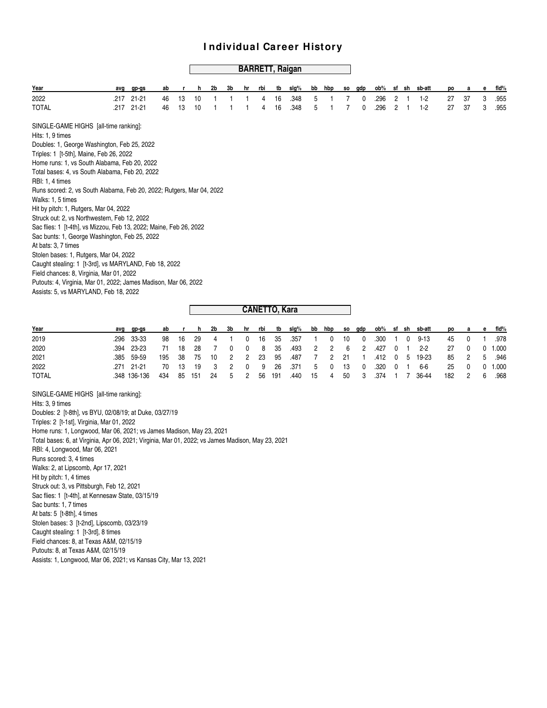## **BARRETT, Raigan**

| Year                                                                                                                                                                                                                                                                                                                                                                                                                                                                                                                                                                                                                                                                                                                                                                                                                                                                      | avg  | gp-gs     | ab |    | h  | 2b | 3b | hr | rbi                  | tb | slg% | bb | hbp | SO. | gdp | ob%  |   | sf sh | sb-att | po | a  | е | fid% |
|---------------------------------------------------------------------------------------------------------------------------------------------------------------------------------------------------------------------------------------------------------------------------------------------------------------------------------------------------------------------------------------------------------------------------------------------------------------------------------------------------------------------------------------------------------------------------------------------------------------------------------------------------------------------------------------------------------------------------------------------------------------------------------------------------------------------------------------------------------------------------|------|-----------|----|----|----|----|----|----|----------------------|----|------|----|-----|-----|-----|------|---|-------|--------|----|----|---|------|
| 2022                                                                                                                                                                                                                                                                                                                                                                                                                                                                                                                                                                                                                                                                                                                                                                                                                                                                      | .217 | $21 - 21$ | 46 | 13 | 10 |    |    |    | 4                    | 16 | .348 | 5  |     |     | 0   | .296 | 2 |       | $1-2$  | 27 | 37 | 3 | .955 |
| <b>TOTAL</b>                                                                                                                                                                                                                                                                                                                                                                                                                                                                                                                                                                                                                                                                                                                                                                                                                                                              | .217 | 21-21     | 46 | 13 | 10 |    |    |    | 4                    | 16 | .348 | 5  |     |     | 0   | .296 | 2 |       | $1-2$  | 27 | 37 | 3 | .955 |
| SINGLE-GAME HIGHS [all-time ranking]:<br>Hits: 1, 9 times<br>Doubles: 1, George Washington, Feb 25, 2022<br>Triples: 1 [t-5th], Maine, Feb 26, 2022<br>Home runs: 1, vs South Alabama, Feb 20, 2022<br>Total bases: 4, vs South Alabama, Feb 20, 2022<br>RBI: 1, 4 times<br>Runs scored: 2, vs South Alabama, Feb 20, 2022; Rutgers, Mar 04, 2022<br>Walks: 1, 5 times<br>Hit by pitch: 1, Rutgers, Mar 04, 2022<br>Struck out: 2, vs Northwestern, Feb 12, 2022<br>Sac flies: 1 [t-4th], vs Mizzou, Feb 13, 2022; Maine, Feb 26, 2022<br>Sac bunts: 1, George Washington, Feb 25, 2022<br>At bats: 3, 7 times<br>Stolen bases: 1, Rutgers, Mar 04, 2022<br>Caught stealing: 1 [t-3rd], vs MARYLAND, Feb 18, 2022<br>Field chances: 8, Virginia, Mar 01, 2022<br>Putouts: 4, Virginia, Mar 01, 2022; James Madison, Mar 06, 2022<br>Assists: 5, vs MARYLAND, Feb 18, 2022 |      |           |    |    |    |    |    |    |                      |    |      |    |     |     |     |      |   |       |        |    |    |   |      |
|                                                                                                                                                                                                                                                                                                                                                                                                                                                                                                                                                                                                                                                                                                                                                                                                                                                                           |      |           |    |    |    |    |    |    | <b>CANETTO, Kara</b> |    |      |    |     |     |     |      |   |       |        |    |    |   |      |
|                                                                                                                                                                                                                                                                                                                                                                                                                                                                                                                                                                                                                                                                                                                                                                                                                                                                           |      |           |    |    |    |    |    |    |                      |    |      |    |     |     |     |      |   |       |        |    |    |   |      |

| Year         | ava ap-as    | ab        | h         | 2b 3b      |              | hr rbi |       | tb slq%                      |  |  |  | bb hbp so qdp ob% sf sh sb-att              |         |        | po a e fld% |
|--------------|--------------|-----------|-----------|------------|--------------|--------|-------|------------------------------|--|--|--|---------------------------------------------|---------|--------|-------------|
| 2019         | .296 33-33   |           |           |            |              |        |       | 98 16 29 4 1 0 16 35 .357 1  |  |  |  | 0 10 0 300 1 0 9-13                         |         |        | 45 0 1 .978 |
| 2020         | .394 23-23   | - 71      |           | 18 28 7    | $\mathbf{0}$ |        |       | 0 8 35 .493 2 2 6 2 .427 0 1 |  |  |  | 2-2                                         |         | 27 0 0 | 1.000       |
| 2021         | .385 59-59   | 195 38 75 |           | 10 2 2 23  |              |        |       |                              |  |  |  | 95 .487 7 2 21 1 .412 0 5 19-23 85 2 5 .946 |         |        |             |
| 2022         | .271 21-21   |           |           | 70 13 19 3 |              |        | 2 0 9 | 26 .371 5 0 13 0 .320 0 1    |  |  |  | 6-6                                         | 25 0 0  |        | 1.000       |
| <b>TOTAL</b> | .348 136-136 | 434       | 85 151 24 |            | 5 2 56 191   |        |       | .440 15 4 50 3               |  |  |  |                                             | 182 2 6 |        | .968        |

SINGLE-GAME HIGHS [all-time ranking]: Hits: 3, 9 times Doubles: 2 [t-8th], vs BYU, 02/08/19; at Duke, 03/27/19 Triples: 2 [t-1st], Virginia, Mar 01, 2022 Home runs: 1, Longwood, Mar 06, 2021; vs James Madison, May 23, 2021 Total bases: 6, at Virginia, Apr 06, 2021; Virginia, Mar 01, 2022; vs James Madison, May 23, 2021 RBI: 4, Longwood, Mar 06, 2021 Runs scored: 3, 4 times Walks: 2, at Lipscomb, Apr 17, 2021 Hit by pitch: 1, 4 times Struck out: 3, vs Pittsburgh, Feb 12, 2021 Sac flies: 1 [t-4th], at Kennesaw State, 03/15/19 Sac bunts: 1, 7 times At bats: 5 [t-8th], 4 times Stolen bases: 3 [t-2nd], Lipscomb, 03/23/19 Caught stealing: 1 [t-3rd], 8 times Field chances: 8, at Texas A&M, 02/15/19 Putouts: 8, at Texas A&M, 02/15/19 Assists: 1, Longwood, Mar 06, 2021; vs Kansas City, Mar 13, 2021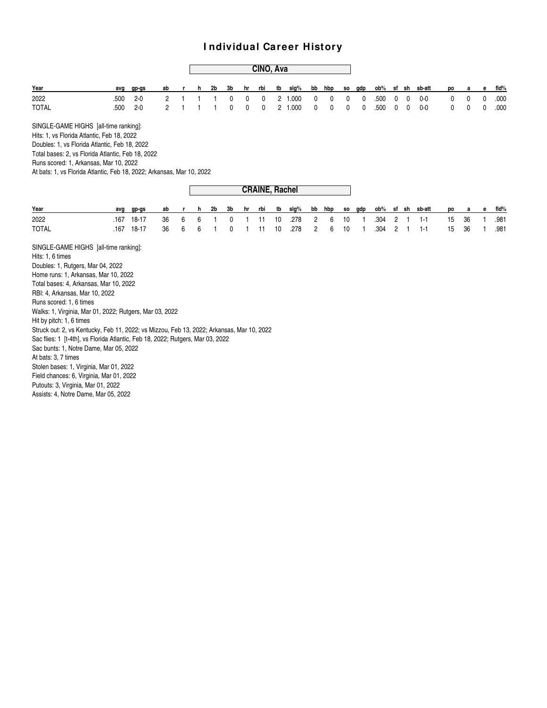#### **CINO, Ava**

| Year         | avq | ap-as    |  |  |  |  |  |  |  |  | ab r h 2b 3b hr rbi tb slq% bb hbp so qdp ob% sf sh sb-att po a e fld% |  |  |
|--------------|-----|----------|--|--|--|--|--|--|--|--|------------------------------------------------------------------------|--|--|
| 2022         |     | .500 2-0 |  |  |  |  |  |  |  |  | 2 1 1 1 0 0 0 2 1.000 0 0 0 0 0 .500 0 0 0-0 0 0 0 .000                |  |  |
| <b>TOTAL</b> |     | .500 2-0 |  |  |  |  |  |  |  |  | 2 1 1 1 0 0 0 2 1.000 0 0 0 0 0 .500 0 0 0-0 0 0 0 .000                |  |  |

SINGLE-GAME HIGHS [all-time ranking]: Hits: 1, vs Florida Atlantic, Feb 18, 2022 Doubles: 1, vs Florida Atlantic, Feb 18, 2022 Total bases: 2, vs Florida Atlantic, Feb 18, 2022 Runs scored: 1, Arkansas, Mar 10, 2022

At bats: 1, vs Florida Atlantic, Feb 18, 2022; Arkansas, Mar 10, 2022

|              |                                                                       | ------------------- |  |  |  |  |  |  |  |  |  |  |                                                                        |  |  |
|--------------|-----------------------------------------------------------------------|---------------------|--|--|--|--|--|--|--|--|--|--|------------------------------------------------------------------------|--|--|
| Year         | avo: cno-cns                                                          |                     |  |  |  |  |  |  |  |  |  |  | ab r h 2b 3b hr rbi tb slg% bb hbp so gdp ob% sf sh sb-att po a e fld% |  |  |
| 2022         | 167 18-17 36 6 6 1 0 1 11 10 278 2 6 10 1 304 2 1 1-1 15 36 1 981     |                     |  |  |  |  |  |  |  |  |  |  |                                                                        |  |  |
| <b>TOTAL</b> | .167 18-17 36 6 6 1 0 1 11 10 .278 2 6 10 1 .304 2 1 1-1 15 36 1 .981 |                     |  |  |  |  |  |  |  |  |  |  |                                                                        |  |  |
|              |                                                                       |                     |  |  |  |  |  |  |  |  |  |  |                                                                        |  |  |

**CRAINE, Rachel**

SINGLE-GAME HIGHS [all-time ranking]: Hits: 1, 6 times Doubles: 1, Rutgers, Mar 04, 2022 Home runs: 1, Arkansas, Mar 10, 2022 Total bases: 4, Arkansas, Mar 10, 2022 RBI: 4, Arkansas, Mar 10, 2022 Runs scored: 1, 6 times Walks: 1, Virginia, Mar 01, 2022; Rutgers, Mar 03, 2022 Hit by pitch: 1, 6 times Struck out: 2, vs Kentucky, Feb 11, 2022; vs Mizzou, Feb 13, 2022; Arkansas, Mar 10, 2022 Sac flies: 1 [t-4th], vs Florida Atlantic, Feb 18, 2022; Rutgers, Mar 03, 2022 Sac bunts: 1, Notre Dame, Mar 05, 2022 At bats: 3, 7 times Stolen bases: 1, Virginia, Mar 01, 2022 Field chances: 6, Virginia, Mar 01, 2022 Putouts: 3, Virginia, Mar 01, 2022 Assists: 4, Notre Dame, Mar 05, 2022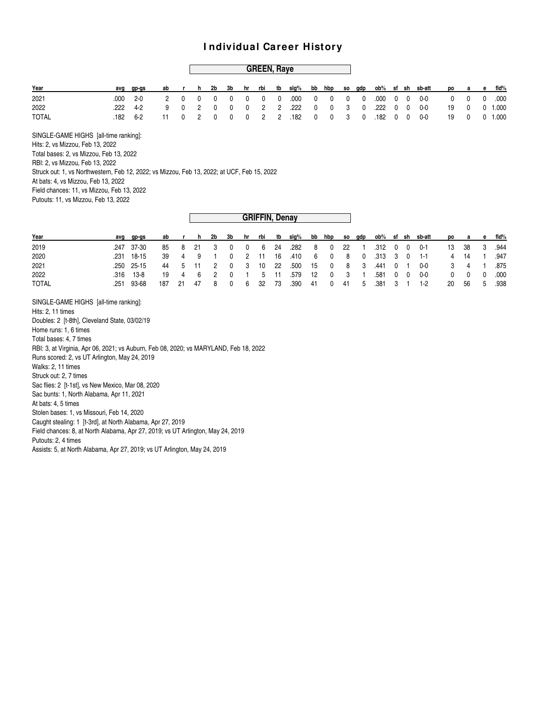#### **GREEN, Raye**

| Year  | avg | qp-qs    |  |  |  |  |  |  |  |  | ab r h 2b 3b hr rbi tb slg% bb hbp so gdp ob% sf sh sb-att po a e fld% |  |  |
|-------|-----|----------|--|--|--|--|--|--|--|--|------------------------------------------------------------------------|--|--|
| 2021  |     | .000 2-0 |  |  |  |  |  |  |  |  |                                                                        |  |  |
| 2022  |     | .222 4-2 |  |  |  |  |  |  |  |  | 9 0 2 0 0 0 2 2 222 0 0 3 0 222 0 0 0-0 19 0 01.000                    |  |  |
| TOTAL |     | .182 6-2 |  |  |  |  |  |  |  |  | 11 0 2 0 0 0 2 2 182 0 0 3 0 182 0 0 0-0 19 0 01.000                   |  |  |

SINGLE-GAME HIGHS [all-time ranking]: Hits: 2, vs Mizzou, Feb 13, 2022 Total bases: 2, vs Mizzou, Feb 13, 2022 RBI: 2, vs Mizzou, Feb 13, 2022 Struck out: 1, vs Northwestern, Feb 12, 2022; vs Mizzou, Feb 13, 2022; at UCF, Feb 15, 2022 At bats: 4, vs Mizzou, Feb 13, 2022 Field chances: 11, vs Mizzou, Feb 13, 2022 Putouts: 11, vs Mizzou, Feb 13, 2022

| Year         | avq qp-qs  |        |  |      |              |         |                                                            |      |  |                 |  | ab r h 2b 3b hr rbi tb slq% bb hbp so qdp ob% sf sh sb-att |         |                   | po a e fld% |
|--------------|------------|--------|--|------|--------------|---------|------------------------------------------------------------|------|--|-----------------|--|------------------------------------------------------------|---------|-------------------|-------------|
| 2019         | .247 37-30 |        |  |      |              |         | 85 8 21 3 0 0 6 24 .282 8 0 22 1 .312 0 0 0-1              |      |  |                 |  |                                                            | 13 38 3 |                   | .944        |
| 2020         | .231 18-15 |        |  |      |              |         | 39  4  9  1  0  2  11  16  410  6  0  8  0  313  3  0  1-1 |      |  |                 |  |                                                            |         |                   | 4 14 1 .947 |
| 2021         | .250 25-15 |        |  |      |              |         |                                                            |      |  |                 |  | 44 5 11 2 0 3 10 22 .500 15 0 8 3 .441 0 1 0-0             |         | 3 4 1             | .875        |
| 2022         | .316 13-8  |        |  |      |              |         | 19  4  6  2  0  1  5  11  579  12  0  3  1  581  0  0  0-0 |      |  |                 |  |                                                            |         | $0\quad 0\quad 0$ | .000        |
| <b>TOTAL</b> | .251 93-68 | 187 21 |  | 47 8 | $\mathbf{0}$ | 6 32 73 | .390                                                       | - 41 |  | 0 41 5 .381 3 1 |  | $1-2$                                                      | -20     | 56 5              | .938        |

**GRIFFIN, Denay**

SINGLE-GAME HIGHS [all-time ranking]: Hits: 2, 11 times Doubles: 2 [t-8th], Cleveland State, 03/02/19 Home runs: 1, 6 times Total bases: 4, 7 times RBI: 3, at Virginia, Apr 06, 2021; vs Auburn, Feb 08, 2020; vs MARYLAND, Feb 18, 2022 Runs scored: 2, vs UT Arlington, May 24, 2019 Walks: 2, 11 times Struck out: 2, 7 times Sac flies: 2 [t-1st], vs New Mexico, Mar 08, 2020 Sac bunts: 1, North Alabama, Apr 11, 2021 At bats: 4, 5 times Stolen bases: 1, vs Missouri, Feb 14, 2020 Caught stealing: 1 [t-3rd], at North Alabama, Apr 27, 2019 Field chances: 8, at North Alabama, Apr 27, 2019; vs UT Arlington, May 24, 2019 Putouts: 2, 4 times

Assists: 5, at North Alabama, Apr 27, 2019; vs UT Arlington, May 24, 2019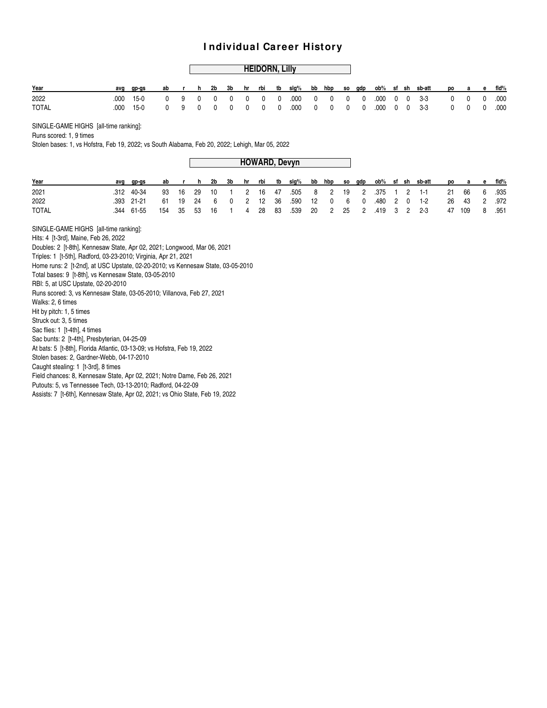#### **HEIDORN, Lilly**

| Year         | avq | qp-qs     |  |  |  |  |  |  |  |  | ab r h 2b 3b hr rbi tb slq% bb hbp so qdp ob% sf sh sb-att po a e fld% |  |  |
|--------------|-----|-----------|--|--|--|--|--|--|--|--|------------------------------------------------------------------------|--|--|
| 2022         |     |           |  |  |  |  |  |  |  |  |                                                                        |  |  |
| <b>TOTAL</b> |     | .000 15-0 |  |  |  |  |  |  |  |  |                                                                        |  |  |

SINGLE-GAME HIGHS [all-time ranking]:

Runs scored: 1, 9 times

Stolen bases: 1, vs Hofstra, Feb 19, 2022; vs South Alabama, Feb 20, 2022; Lehigh, Mar 05, 2022

**HOWARD, Devyn**

| Year         | avq | ap-as      |  |  |  |  |  |  |  |  | ab r h 2b 3b hr rbi tb slq% bb hbp so qdp ob% sf sh sb-att po a e fld% |  |  |
|--------------|-----|------------|--|--|--|--|--|--|--|--|------------------------------------------------------------------------|--|--|
| 2021         |     | .312 40-34 |  |  |  |  |  |  |  |  | 93 16 29 10 1 2 16 47 505 8 2 19 2 375 1 2 1-1 21 66 6 935             |  |  |
| 2022         |     | .393 21-21 |  |  |  |  |  |  |  |  | 61 19 24 6 0 2 12 36 .590 12 0 6 0 .480 2 0 1-2 26 43 2 .972           |  |  |
| <b>TOTAL</b> |     | .344 61-55 |  |  |  |  |  |  |  |  | 154 35 53 16 1 4 28 83 .539 20 2 25 2 .419 3 2 2-3 47 109 8 .951       |  |  |

SINGLE-GAME HIGHS [all-time ranking]:

Hits: 4 [t-3rd], Maine, Feb 26, 2022

Doubles: 2 [t-8th], Kennesaw State, Apr 02, 2021; Longwood, Mar 06, 2021

Triples: 1 [t-5th], Radford, 03-23-2010; Virginia, Apr 21, 2021

Home runs: 2 [t-2nd], at USC Upstate, 02-20-2010; vs Kennesaw State, 03-05-2010

Total bases: 9 [t-8th], vs Kennesaw State, 03-05-2010

RBI: 5, at USC Upstate, 02-20-2010

Runs scored: 3, vs Kennesaw State, 03-05-2010; Villanova, Feb 27, 2021

Walks: 2, 6 times

Hit by pitch: 1, 5 times

Struck out: 3, 5 times Sac flies: 1 [t-4th], 4 times

Sac bunts: 2 [t-4th], Presbyterian, 04-25-09

At bats: 5 [t-8th], Florida Atlantic, 03-13-09; vs Hofstra, Feb 19, 2022

Stolen bases: 2, Gardner-Webb, 04-17-2010

Caught stealing: 1 [t-3rd], 8 times

Field chances: 8, Kennesaw State, Apr 02, 2021; Notre Dame, Feb 26, 2021

Putouts: 5, vs Tennessee Tech, 03-13-2010; Radford, 04-22-09

Assists: 7 [t-6th], Kennesaw State, Apr 02, 2021; vs Ohio State, Feb 19, 2022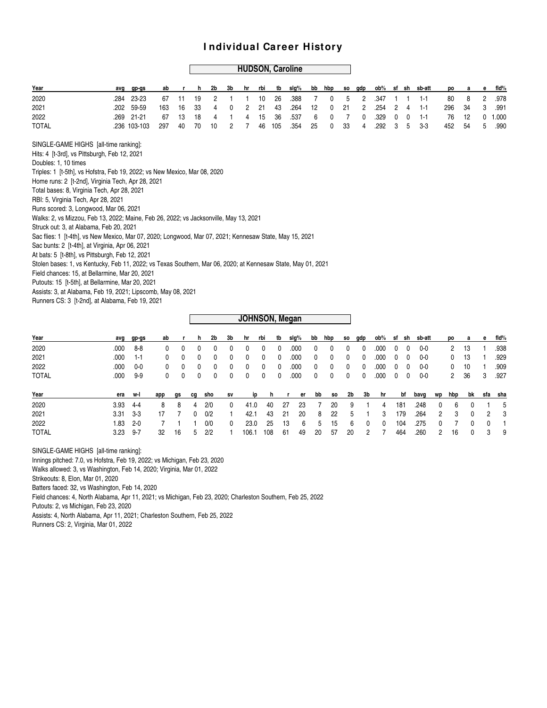#### **HUDSON, Caroline**

| Year                                                                                                         | avq                                                                                                                          | gp-gs        | ab  |    | h  | 2b | 3b | hr | rbi | tb  | slg% | bb | hbp | SO. | gdp | ob%  |   |   | sf sh sb-att | po  |    | е | fid%  |
|--------------------------------------------------------------------------------------------------------------|------------------------------------------------------------------------------------------------------------------------------|--------------|-----|----|----|----|----|----|-----|-----|------|----|-----|-----|-----|------|---|---|--------------|-----|----|---|-------|
| 2020                                                                                                         | .284                                                                                                                         | 23-23        | 67  | 11 | 19 | 2  |    |    | 10  | 26  | .388 |    | 0   | 5   | 2   | .347 |   |   | $1 - 1$      | 80  | 8  | 2 | .978  |
| 2021                                                                                                         | .202                                                                                                                         | 59-59        | 163 | 16 | 33 | 4  | 0  | 2  | 21  | 43  | .264 | 12 | 0   | 21  | 2   | .254 | 2 | 4 | $1 - 1$      | 296 | 34 | 3 | .991  |
| 2022                                                                                                         | .269                                                                                                                         | $21 - 21$    | 67  | 13 | 18 | 4  |    | 4  | 15  | 36  | .537 | 6  | 0   | 7   | 0   | .329 | 0 | 0 | $1 - 1$      | 76  | 12 | 0 | 1.000 |
| <b>TOTAL</b>                                                                                                 |                                                                                                                              | .236 103-103 | 297 | 40 | 70 | 10 | 2  |    | 46  | 105 | .354 | 25 | 0   | 33  |     | .292 | 3 | 5 | $3-3$        | 452 | 54 | 5 | .990  |
| SINGLE-GAME HIGHS [all-time ranking]:                                                                        |                                                                                                                              |              |     |    |    |    |    |    |     |     |      |    |     |     |     |      |   |   |              |     |    |   |       |
| Hits: 4 [t-3rd], vs Pittsburgh, Feb 12, 2021                                                                 |                                                                                                                              |              |     |    |    |    |    |    |     |     |      |    |     |     |     |      |   |   |              |     |    |   |       |
| Doubles: 1, 10 times                                                                                         |                                                                                                                              |              |     |    |    |    |    |    |     |     |      |    |     |     |     |      |   |   |              |     |    |   |       |
|                                                                                                              | Triples: 1 [t-5th], vs Hofstra, Feb 19, 2022; vs New Mexico, Mar 08, 2020                                                    |              |     |    |    |    |    |    |     |     |      |    |     |     |     |      |   |   |              |     |    |   |       |
|                                                                                                              |                                                                                                                              |              |     |    |    |    |    |    |     |     |      |    |     |     |     |      |   |   |              |     |    |   |       |
|                                                                                                              |                                                                                                                              |              |     |    |    |    |    |    |     |     |      |    |     |     |     |      |   |   |              |     |    |   |       |
|                                                                                                              | Home runs: 2 [t-2nd], Virginia Tech, Apr 28, 2021                                                                            |              |     |    |    |    |    |    |     |     |      |    |     |     |     |      |   |   |              |     |    |   |       |
|                                                                                                              | Total bases: 8, Virginia Tech, Apr 28, 2021<br>RBI: 5, Virginia Tech, Apr 28, 2021<br>Runs scored: 3, Longwood, Mar 06, 2021 |              |     |    |    |    |    |    |     |     |      |    |     |     |     |      |   |   |              |     |    |   |       |
| Walks: 2, vs Mizzou, Feb 13, 2022; Maine, Feb 26, 2022; vs Jacksonville, May 13, 2021                        |                                                                                                                              |              |     |    |    |    |    |    |     |     |      |    |     |     |     |      |   |   |              |     |    |   |       |
| Struck out: 3, at Alabama, Feb 20, 2021                                                                      |                                                                                                                              |              |     |    |    |    |    |    |     |     |      |    |     |     |     |      |   |   |              |     |    |   |       |
| Sac flies: 1 [t-4th], vs New Mexico, Mar 07, 2020; Longwood, Mar 07, 2021; Kennesaw State, May 15, 2021      |                                                                                                                              |              |     |    |    |    |    |    |     |     |      |    |     |     |     |      |   |   |              |     |    |   |       |
| Sac bunts: 2 [t-4th], at Virginia, Apr 06, 2021                                                              |                                                                                                                              |              |     |    |    |    |    |    |     |     |      |    |     |     |     |      |   |   |              |     |    |   |       |
| At bats: 5 [t-8th], vs Pittsburgh, Feb 12, 2021                                                              |                                                                                                                              |              |     |    |    |    |    |    |     |     |      |    |     |     |     |      |   |   |              |     |    |   |       |
| Stolen bases: 1, vs Kentucky, Feb 11, 2022; vs Texas Southern, Mar 06, 2020; at Kennesaw State, May 01, 2021 |                                                                                                                              |              |     |    |    |    |    |    |     |     |      |    |     |     |     |      |   |   |              |     |    |   |       |
| Field chances: 15, at Bellarmine, Mar 20, 2021                                                               |                                                                                                                              |              |     |    |    |    |    |    |     |     |      |    |     |     |     |      |   |   |              |     |    |   |       |
| Putouts: 15 [t-5th], at Bellarmine, Mar 20, 2021                                                             |                                                                                                                              |              |     |    |    |    |    |    |     |     |      |    |     |     |     |      |   |   |              |     |    |   |       |
| Assists: 3, at Alabama, Feb 19, 2021; Lipscomb, May 08, 2021                                                 |                                                                                                                              |              |     |    |    |    |    |    |     |     |      |    |     |     |     |      |   |   |              |     |    |   |       |
| Runners CS: 3 [t-2nd], at Alabama, Feb 19, 2021                                                              |                                                                                                                              |              |     |    |    |    |    |    |     |     |      |    |     |     |     |      |   |   |              |     |    |   |       |
|                                                                                                              |                                                                                                                              |              |     |    |    |    |    |    |     |     |      |    |     |     |     |      |   |   |              |     |    |   |       |

#### **JOHNSON, Megan**

| Year         |          | avg gp-gs |  |  |  |  |  |  |  |  | ab r h 2b 3b hr rbi tb slq% bb hbp so qdp ob% sf sh sb-att po a e fld% |             |  |
|--------------|----------|-----------|--|--|--|--|--|--|--|--|------------------------------------------------------------------------|-------------|--|
| 2020         | .000     | 8-8       |  |  |  |  |  |  |  |  |                                                                        | 2 13 1 .938 |  |
| 2021         | .000 1-1 |           |  |  |  |  |  |  |  |  |                                                                        | 0 13 1 .929 |  |
| 2022         | .000     | $0 - 0$   |  |  |  |  |  |  |  |  |                                                                        | 0 10 1 .909 |  |
| <b>TOTAL</b> | .000     | 9-9       |  |  |  |  |  |  |  |  |                                                                        | 2 36 3 .927 |  |

| Year         | era              | w-l | app |            | qs cq sho | <b>SV</b> | ip                             |  |  | hrerbbso2b3bhr  |  | bf                     | bavq           | wp hbp bk sfa sha |                       |  |
|--------------|------------------|-----|-----|------------|-----------|-----------|--------------------------------|--|--|-----------------|--|------------------------|----------------|-------------------|-----------------------|--|
| 2020         | 3.93             | 4-4 |     | 8 8 4 2/0  |           |           | 0 41.0 40 27 23 7 20 9 1 4 181 |  |  |                 |  |                        | .248 0 6 0 1 5 |                   |                       |  |
| 2021         | $3.31 \quad 3.3$ |     |     | 17 7 0 0/2 |           |           | 42.1 43 21 20 8 22 5 1 3 179   |  |  |                 |  |                        | .264           | 2 3 0 2 3         |                       |  |
| 2022         | 1.83 2-0         |     |     |            | 0/0       | - 0       | 23.0                           |  |  |                 |  | 25 13 6 5 15 6 0 0 104 | .275           | 0 7 0 0 1         |                       |  |
| <b>TOTAL</b> | 3.23             | 9-7 |     | 32 16      | $5 \t2/2$ |           | 106.1 108 61                   |  |  | 49 20 57 20 2 7 |  | 464                    | .260   2   16  |                   | $0 \qquad 3 \qquad 9$ |  |

SINGLE-GAME HIGHS [all-time ranking]:

Innings pitched: 7.0, vs Hofstra, Feb 19, 2022; vs Michigan, Feb 23, 2020

Walks allowed: 3, vs Washington, Feb 14, 2020; Virginia, Mar 01, 2022

Strikeouts: 8, Elon, Mar 01, 2020

Batters faced: 32, vs Washington, Feb 14, 2020

Field chances: 4, North Alabama, Apr 11, 2021; vs Michigan, Feb 23, 2020; Charleston Southern, Feb 25, 2022

Putouts: 2, vs Michigan, Feb 23, 2020

Assists: 4, North Alabama, Apr 11, 2021; Charleston Southern, Feb 25, 2022

Runners CS: 2, Virginia, Mar 01, 2022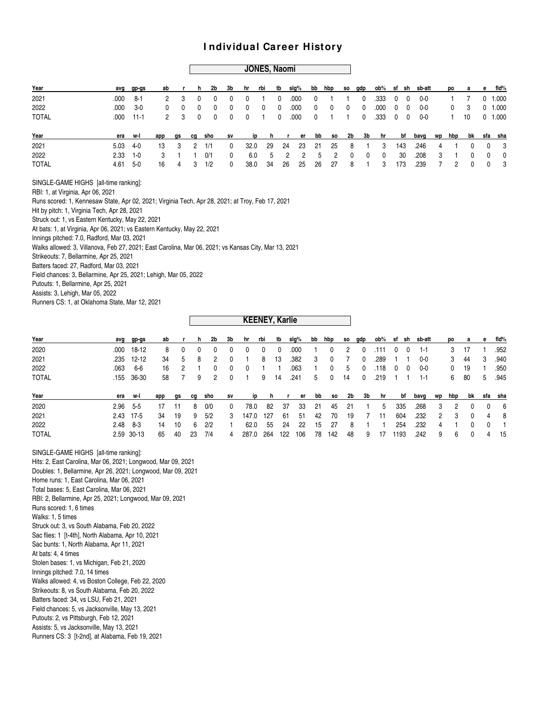#### **JONES, Naomi**

| Year         |            | avg gp-gs     |               | abr h                   |                | 2b             | 3b           | hr rbi                         |         |      | tb sig% bb hbp so gdp ob% sf sh sb-att     |                |                |                |                         |                         |     |      |                |                | po a e fld%  |             |
|--------------|------------|---------------|---------------|-------------------------|----------------|----------------|--------------|--------------------------------|---------|------|--------------------------------------------|----------------|----------------|----------------|-------------------------|-------------------------|-----|------|----------------|----------------|--------------|-------------|
| 2021         | .000       | - 8-1         |               | $\overline{\mathbf{3}}$ | - 0            | 0              | $\mathbf{0}$ | $\overline{\mathbf{0}}$        |         | - 0  | .000                                       | $\mathbf 0$    |                | $\overline{1}$ | $^{\circ}$              | $.333 \t0 \t0$          |     | 0-0  |                |                |              | $0$ 1.000   |
| 2022         |            | $.000 \t 3-0$ | $^{\circ}$    | $\overline{0}$          | $\overline{0}$ | $\overline{0}$ | $\mathbf{0}$ | $\overline{\mathbf{0}}$        | 0       | - 0  | .000                                       | $\overline{0}$ | $\overline{0}$ | $\overline{0}$ | $\overline{0}$          | $.000 \t 0 \t 0$        |     | 0-0  |                | $^{\circ}$     | 3            | $0$ 1.000   |
| <b>TOTAL</b> |            | $.000$ 11-1   |               | 2 3 0                   |                |                |              | $0 \t 0 \t 0 \t 1 \t 0 \t 000$ |         |      |                                            |                |                |                |                         | 0 1 1 0 .333 0 0        |     | 0-0  |                |                | 1 10 0 1.000 |             |
| Year         |            | era w-l       | app gs cg sho |                         |                |                | <b>SV</b>    |                                |         |      | iphrerbbso 2b 3bhr bf bavg wphbpbk sfa sha |                |                |                |                         |                         |     |      |                |                |              |             |
| 2021         | $5.03$ 4-0 |               | 13            | - 3                     | - 2            | 1/1            | $\mathbf{0}$ | 32.0                           | -29     | - 24 |                                            | 23 21          | -25            | 8              | $\overline{1}$          | -3                      | 143 | .246 | $\overline{4}$ | $\overline{1}$ | $\Omega$     | $0\qquad 3$ |
| 2022         | $2.33$ 1-0 |               | 3             |                         |                | 1   0/1        | $^{\circ}$   | 6.0                            |         | 5 2  | $2^{\circ}$                                | 5              | $\overline{2}$ | $\mathbf 0$    | $\overline{\mathbf{0}}$ | $\overline{\mathbf{0}}$ | 30  | .208 | 3              | $\overline{1}$ | $\mathbf{0}$ | $0\qquad 0$ |
| <b>TOTAL</b> | $4.61$ 5-0 |               | 16            | $\overline{4}$          | -3             | 1/2            | $\mathbf{0}$ |                                | 38.0 34 | - 26 |                                            | 25 26          | - 27           | 8              | $\sim$ 1                | -3                      | 173 | .239 | $\overline{7}$ | 2              | $\Omega$     | $0\quad 3$  |

SINGLE-GAME HIGHS [all-time ranking]:

RBI: 1, at Virginia, Apr 06, 2021

Runs scored: 1, Kennesaw State, Apr 02, 2021; Virginia Tech, Apr 28, 2021; at Troy, Feb 17, 2021

Hit by pitch: 1, Virginia Tech, Apr 28, 2021

Struck out: 1, vs Eastern Kentucky, May 22, 2021

At bats: 1, at Virginia, Apr 06, 2021; vs Eastern Kentucky, May 22, 2021

Innings pitched: 7.0, Radford, Mar 03, 2021

Walks allowed: 3, Villanova, Feb 27, 2021; East Carolina, Mar 06, 2021; vs Kansas City, Mar 13, 2021

Strikeouts: 7, Bellarmine, Apr 25, 2021

Batters faced: 27, Radford, Mar 03, 2021

Field chances: 3, Bellarmine, Apr 25, 2021; Lehigh, Mar 05, 2022

Putouts: 1, Bellarmine, Apr 25, 2021

Assists: 3, Lehigh, Mar 05, 2022

Runners CS: 1, at Oklahoma State, Mar 12, 2021

| Year         |      | avg gp-gs    | ab  |              | n. | 2b           | 3b           | hr           | rbi        | tb       | slg% |     | bb hbp       |     | so gdp      | ob% sf sh |             |     | sb-att  |               | po  | a a      | e.           | fid%    |
|--------------|------|--------------|-----|--------------|----|--------------|--------------|--------------|------------|----------|------|-----|--------------|-----|-------------|-----------|-------------|-----|---------|---------------|-----|----------|--------------|---------|
| 2020         |      | $.000$ 18-12 | 8   | $\mathbf{0}$ | 0  | $\mathbf{0}$ | $\Omega$     | 0            | $^{\circ}$ | $\Omega$ | .000 |     | 0            | 2   | $\mathbf 0$ | .111      | 0           | - 0 | $1 - 1$ |               | 3   | 17       |              | .952    |
| 2021         |      | .235 12-12   | 34  | 5            | 8  | 2            | $\mathbf{0}$ |              | 8          | 13       | .382 | 3   | $\mathbf{0}$ |     | 0           | .289      |             |     | $0-0$   |               | 3   | 44       | 3            | .940    |
| 2022         | .063 | 6-6          | 16  | 2            |    | $\mathbf{0}$ | $\mathbf{0}$ | $\mathbf{0}$ |            |          | .063 |     | 0            | 5   | 0           | .118      | $\mathbf 0$ | 0   | 0-0     |               | 0   | 19       |              | .950    |
| <b>TOTAL</b> | .155 | 36-30        | 58  |              | 9  | 2            | $\Omega$     |              | 9          | 14       | .241 | 5   | 0            | 14  | 0           | .219      |             |     | $1 - 1$ |               | 6   | 80       | 5            | .945    |
| Year         | era  | w-l          | app | qs           | cq | sho          | sv           | ip           | n          |          | er   | bb  | so           | 2b  | 3b          | hr        |             | bf  | bavq    | wp            | hbp | bk       |              | sfa sha |
| 2020         |      | $2.96$ 5-5   | 17  | -11          | 8  | 0/0          | $\mathbf{0}$ | 78.0         | 82         | -37      | 33   | -21 | 45           | -21 |             | 5         |             | 335 | .268    | 3             | 2   | $\Omega$ | $\mathbf{0}$ | - 6     |
| 2021         |      | 2.43 17-5    | -34 | 19           | 9  | 5/2          | 3            | 147.0        | 127        | 61       | -51  | 42  | 70           | 19  |             | 11        |             | 604 | .232    | $\mathcal{P}$ | 3   | $\Omega$ | 4            | - 8     |
| 2022         |      | $2.48$ $8-3$ | 14  | 10           | 6. | 2/2          |              | 62.0         | 55         | 24       | 22   | 15  | 27           | 8   |             |           |             | 254 | .232    | 4             |     | 0        | $\mathbf{0}$ |         |
| <b>TOTAL</b> |      | 2.59 30-13   | 65  | 40           | 23 | 7/4          | 4            | 287.0        | 264        | 122      | 106  | 78  | 142          | 48  | 9           | 17        | 1193        |     | .242    | 9             | 6   | $\Omega$ | 4            | -15     |
|              |      |              |     |              |    |              |              |              |            |          |      |     |              |     |             |           |             |     |         |               |     |          |              |         |

**KEENEY, Karlie**

SINGLE-GAME HIGHS [all-time ranking]: Hits: 2, East Carolina, Mar 06, 2021; Longwood, Mar 09, 2021 Doubles: 1, Bellarmine, Apr 26, 2021; Longwood, Mar 09, 2021 Home runs: 1, East Carolina, Mar 06, 2021 Total bases: 5, East Carolina, Mar 06, 2021 RBI: 2, Bellarmine, Apr 25, 2021; Longwood, Mar 09, 2021 Runs scored: 1, 6 times Walks: 1, 5 times Struck out: 3, vs South Alabama, Feb 20, 2022 Sac flies: 1 [t-4th], North Alabama, Apr 10, 2021 Sac bunts: 1, North Alabama, Apr 11, 2021 At bats: 4, 4 times Stolen bases: 1, vs Michigan, Feb 21, 2020 Innings pitched: 7.0, 14 times Walks allowed: 4, vs Boston College, Feb 22, 2020 Strikeouts: 8, vs South Alabama, Feb 20, 2022 Batters faced: 34, vs LSU, Feb 21, 2021 Field chances: 5, vs Jacksonville, May 13, 2021 Putouts: 2, vs Pittsburgh, Feb 12, 2021 Assists: 5, vs Jacksonville, May 13, 2021 Runners CS: 3 [t-2nd], at Alabama, Feb 19, 2021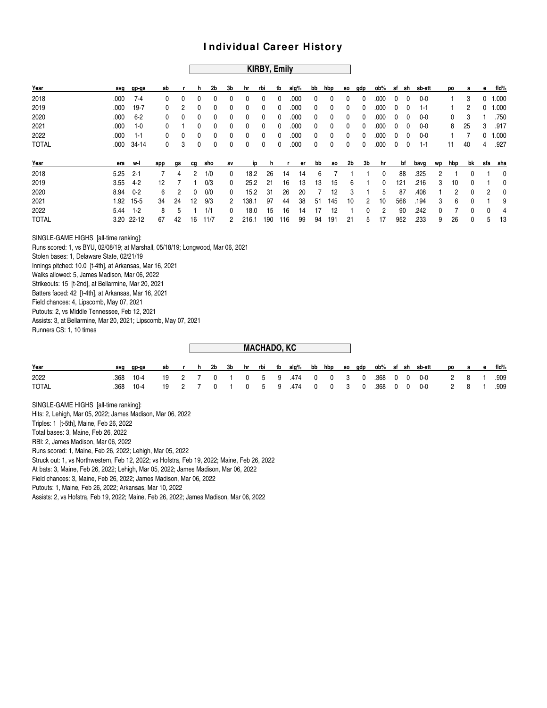#### **KIRBY, Emily**

| Year                                                                            | avg  | gp-gs      | ab  |    | h  | 2b   | 3b           | hr           | rbi | tb  | slg%     | bb | hbp       | so | gdp | ob%  |   | sf sh | sb-att  |    | po  | a  | е   | fid%  |
|---------------------------------------------------------------------------------|------|------------|-----|----|----|------|--------------|--------------|-----|-----|----------|----|-----------|----|-----|------|---|-------|---------|----|-----|----|-----|-------|
| 2018                                                                            | .000 | $7 - 4$    | 0   | 0  | 0  | 0    | 0            | $\Omega$     | 0   | 0   | .000     | 0  | 0         | 0  | 0   | .000 | 0 | 0     | $0 - 0$ |    |     | 3  | 0   | 1.000 |
| 2019                                                                            | .000 | $19 - 7$   | 0   | 2  | 0  | 0    | 0            | 0            | 0   | 0   | .000     | 0  | 0         | 0  | 0   | .000 | 0 | 0     | $1 - 1$ |    |     | 2  | 0   | 1.000 |
| 2020                                                                            | .000 | $6 - 2$    | 0   | 0  | 0  | 0    | 0            | 0            | 0   | 0   | .000     | 0  | 0         | 0  | 0   | .000 | 0 | 0     | $0 - 0$ |    | 0   | 3  |     | .750  |
| 2021                                                                            | .000 | $1-0$      | 0   |    | 0  | 0    | 0            | 0            | 0   | 0   | .000     | 0  | 0         | 0  | 0   | .000 | 0 | 0     | $0 - 0$ |    | 8   | 25 | 3   | .917  |
| 2022                                                                            | .000 | $1 - 1$    | 0   | 0  | 0  | 0    | 0            | $\mathbf{0}$ | 0   | 0   | .000     | 0  | 0         | 0  | 0   | .000 | 0 | 0     | $0 - 0$ |    |     | 7  | 0   | 1.000 |
| <b>TOTAL</b>                                                                    | .000 | $34 - 14$  | 0   | 3  | 0  | 0    | 0            | $\mathbf{0}$ | 0   | 0   | .000     | 0  | 0         | 0  | 0   | .000 | 0 | 0     | $1 - 1$ |    | 11  | 40 | 4   | .927  |
| Year                                                                            | era  | w-l        | app | gs | cg | sho  | SV           | ip           | h   |     | er       | bb | <b>SO</b> | 2b | 3b  | hr   |   | bf    | bavg    | wp | hbp | bk | sfa | sha   |
| 2018                                                                            | 5.25 | $2 - 1$    | 7   | 4  | 2  | 1/0  | $\mathbf{0}$ | 18.2         | 26  |     | 14<br>14 | 6  |           |    |     | 0    |   | 88    | .325    | 2  |     | 0  |     | 0     |
| 2019                                                                            | 3.55 | $4-2$      | 12  | 7  |    | 0/3  | 0            | 25.2         | 21  |     | 16<br>13 | 13 | 15        | 6  |     | 0    |   | 121   | .216    | 3  | 10  | 0  |     | 0     |
| 2020                                                                            | 8.94 | $0 - 2$    | 6   | 2  | 0  | 0/0  | 0            | 15.2         | 31  |     | 26<br>20 | 7  | 12        | 3  |     | 5    |   | 87    | .408    | 1  | 2   | 0  | 2   | 0     |
| 2021                                                                            | 1.92 | $15 - 5$   | 34  | 24 | 12 | 9/3  | 2            | 138.1        | 97  |     | 44<br>38 | 51 | 145       | 10 | 2   | 10   |   | 566   | .194    | 3  | 6   | 0  |     | 9     |
| 2022                                                                            | 5.44 | $1 - 2$    | 8   | 5  |    | 1/1  | $\Omega$     | 18.0         | 15  |     | 16<br>14 | 17 | 12        | 1  | 0   | 2    |   | 90    | .242    | 0  | 7   | 0  | 0   | 4     |
| <b>TOTAL</b>                                                                    |      | 3.20 22-12 | 67  | 42 | 16 | 11/7 | 2            | 216.1        | 190 | 116 | 99       | 94 | 191       | 21 | 5   | 17   |   | 952   | .233    | 9  | 26  | 0  | 5   | 13    |
| SINGLE-GAME HIGHS [all-time ranking]:                                           |      |            |     |    |    |      |              |              |     |     |          |    |           |    |     |      |   |       |         |    |     |    |     |       |
| Runs scored: 1, vs BYU, 02/08/19; at Marshall, 05/18/19; Longwood, Mar 06, 2021 |      |            |     |    |    |      |              |              |     |     |          |    |           |    |     |      |   |       |         |    |     |    |     |       |
| Stolen bases: 1, Delaware State, 02/21/19                                       |      |            |     |    |    |      |              |              |     |     |          |    |           |    |     |      |   |       |         |    |     |    |     |       |
| Innings pitched: 10.0 [t-4th], at Arkansas, Mar 16, 2021                        |      |            |     |    |    |      |              |              |     |     |          |    |           |    |     |      |   |       |         |    |     |    |     |       |
| Walks allowed: 5, James Madison, Mar 06, 2022                                   |      |            |     |    |    |      |              |              |     |     |          |    |           |    |     |      |   |       |         |    |     |    |     |       |
| Strikeouts: 15 [t-2nd], at Bellarmine, Mar 20, 2021                             |      |            |     |    |    |      |              |              |     |     |          |    |           |    |     |      |   |       |         |    |     |    |     |       |
| Batters faced: 42 [t-4th], at Arkansas, Mar 16, 2021                            |      |            |     |    |    |      |              |              |     |     |          |    |           |    |     |      |   |       |         |    |     |    |     |       |
| Field chances: 4, Lipscomb, May 07, 2021                                        |      |            |     |    |    |      |              |              |     |     |          |    |           |    |     |      |   |       |         |    |     |    |     |       |
| Putouts: 2, vs Middle Tennessee, Feb 12, 2021                                   |      |            |     |    |    |      |              |              |     |     |          |    |           |    |     |      |   |       |         |    |     |    |     |       |
| Assists: 3, at Bellarmine, Mar 20, 2021; Lipscomb, May 07, 2021                 |      |            |     |    |    |      |              |              |     |     |          |    |           |    |     |      |   |       |         |    |     |    |     |       |

Runners CS: 1, 10 times

|              |      |        |    |              |    |             |  | <b>MACHADO, KC</b> |                      |  |  |  |                                                     |        |       |            |
|--------------|------|--------|----|--------------|----|-------------|--|--------------------|----------------------|--|--|--|-----------------------------------------------------|--------|-------|------------|
| Year         | avg  | qp-qs  | ab | $\mathbf{r}$ | h. |             |  |                    |                      |  |  |  | 2b 3b hr rbi tb slg% bb hbp so gdp ob% sf sh sb-att | po a e |       | fid%       |
| 2022         | .368 | $10-4$ |    |              |    |             |  |                    |                      |  |  |  | 19 2 7 0 1 0 5 9 474 0 0 3 0 368 0 0 0-0            |        |       | 2 8 1 .909 |
| <b>TOTAL</b> | .368 | 10-4   | 19 |              |    | $0 \quad 1$ |  |                    | 1 0 5 9 .474 0 0 3 0 |  |  |  | $.368$ 0 0 0-0                                      |        | 2 8 1 | .909       |

SINGLE-GAME HIGHS [all-time ranking]:

Hits: 2, Lehigh, Mar 05, 2022; James Madison, Mar 06, 2022

Triples: 1 [t-5th], Maine, Feb 26, 2022

Total bases: 3, Maine, Feb 26, 2022

RBI: 2, James Madison, Mar 06, 2022

Runs scored: 1, Maine, Feb 26, 2022; Lehigh, Mar 05, 2022

Struck out: 1, vs Northwestern, Feb 12, 2022; vs Hofstra, Feb 19, 2022; Maine, Feb 26, 2022

At bats: 3, Maine, Feb 26, 2022; Lehigh, Mar 05, 2022; James Madison, Mar 06, 2022

Field chances: 3, Maine, Feb 26, 2022; James Madison, Mar 06, 2022

Putouts: 1, Maine, Feb 26, 2022; Arkansas, Mar 10, 2022

Assists: 2, vs Hofstra, Feb 19, 2022; Maine, Feb 26, 2022; James Madison, Mar 06, 2022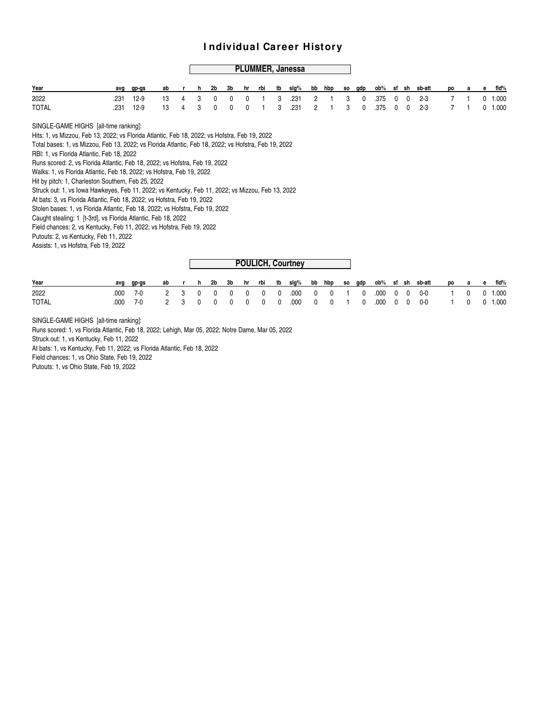#### **PLUMMER, Janessa**

| Year  | avg gp-gs ab r h 2b 3b hr rbi tb slg% bb hbp so gdp ob% sf sh sb-att po a e fld% |  |  |  |  |  |  |  |  |  |  |  |
|-------|----------------------------------------------------------------------------------|--|--|--|--|--|--|--|--|--|--|--|
| 2022  | .231 12-9 13 4 3 0 0 0 1 3 .231 2 1 3 0 .375 0 0 2-3 7 1 0 1.000                 |  |  |  |  |  |  |  |  |  |  |  |
| TOTAL | .231 12-9 13 4 3 0 0 0 1 3 .231 2 1 3 0 .375 0 0 2-3 7 1 0 1.000                 |  |  |  |  |  |  |  |  |  |  |  |

SINGLE-GAME HIGHS [all-time ranking]:

Hits: 1, vs Mizzou, Feb 13, 2022; vs Florida Atlantic, Feb 18, 2022; vs Hofstra, Feb 19, 2022

Total bases: 1, vs Mizzou, Feb 13, 2022; vs Florida Atlantic, Feb 18, 2022; vs Hofstra, Feb 19, 2022

RBI: 1, vs Florida Atlantic, Feb 18, 2022

Runs scored: 2, vs Florida Atlantic, Feb 18, 2022; vs Hofstra, Feb 19, 2022

Walks: 1, vs Florida Atlantic, Feb 18, 2022; vs Hofstra, Feb 19, 2022

Hit by pitch: 1, Charleston Southern, Feb 25, 2022

Struck out: 1, vs Iowa Hawkeyes, Feb 11, 2022; vs Kentucky, Feb 11, 2022; vs Mizzou, Feb 13, 2022

At bats: 3, vs Florida Atlantic, Feb 18, 2022; vs Hofstra, Feb 19, 2022

Stolen bases: 1, vs Florida Atlantic, Feb 18, 2022; vs Hofstra, Feb 19, 2022

Caught stealing: 1 [t-3rd], vs Florida Atlantic, Feb 18, 2022

Field chances: 2, vs Kentucky, Feb 11, 2022; vs Hofstra, Feb 19, 2022

Putouts: 2, vs Kentucky, Feb 11, 2022

Assists: 1, vs Hofstra, Feb 19, 2022

| <b>POULICH, Courtney</b> |
|--------------------------|
|--------------------------|

| Year         | avq | ap-as    |                                                     |  |  |  |  |  |  |  |  | ab r h 2b 3b hr rbi tb slq% bb hbp so qdp ob% sf sh sb-att po a e fld% |  |  |
|--------------|-----|----------|-----------------------------------------------------|--|--|--|--|--|--|--|--|------------------------------------------------------------------------|--|--|
| 2022         |     | .000 7-0 |                                                     |  |  |  |  |  |  |  |  |                                                                        |  |  |
| <b>TOTAL</b> |     | .000 7-0 | 2 3 0 0 0 0 0 0 000 0 0 1 0 000 0 0 0-0 1 0 0 1.000 |  |  |  |  |  |  |  |  |                                                                        |  |  |

SINGLE-GAME HIGHS [all-time ranking]:

Runs scored: 1, vs Florida Atlantic, Feb 18, 2022; Lehigh, Mar 05, 2022; Notre Dame, Mar 05, 2022 Struck out: 1, vs Kentucky, Feb 11, 2022 At bats: 1, vs Kentucky, Feb 11, 2022; vs Florida Atlantic, Feb 18, 2022 Field chances: 1, vs Ohio State, Feb 19, 2022 Putouts: 1, vs Ohio State, Feb 19, 2022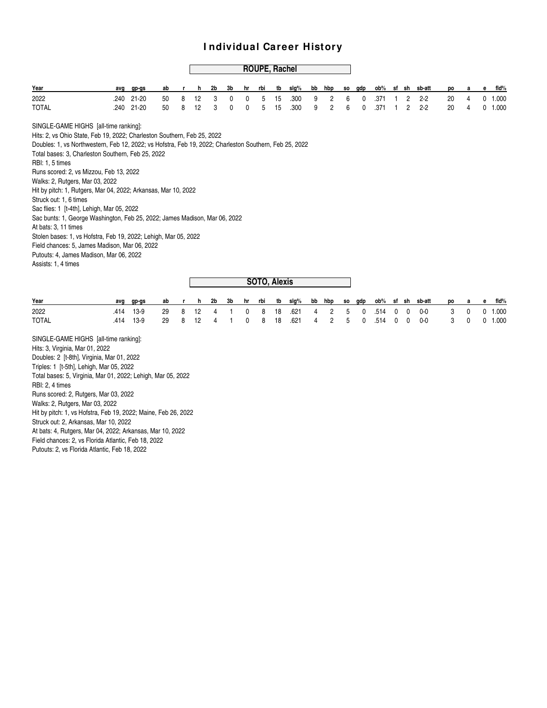# **ROUPE, Rachel**

| Year                                                                                                   | avq  | gp-gs     | ab |   | h  | 2b | 3b | hr | rbi | tb           | slg% | bb | hbp            | SO.       | gdp | ob%  |   |                | sf sh sb-att | po | а | е | fid%      |
|--------------------------------------------------------------------------------------------------------|------|-----------|----|---|----|----|----|----|-----|--------------|------|----|----------------|-----------|-----|------|---|----------------|--------------|----|---|---|-----------|
| 2022                                                                                                   | .240 | $21 - 20$ | 50 | 8 | 12 | 3  | 0  | 0  | 5   | 15           | .300 | 9  | $\overline{2}$ | 6         | 0   | .371 |   | $\overline{2}$ | $2 - 2$      | 20 | 4 |   | $0$ 1.000 |
| <b>TOTAL</b>                                                                                           | .240 | $21 - 20$ | 50 | 8 | 12 | 3  | 0  | 0  | 5   | 15           | .300 | 9  | 2              | 6         | 0   | .371 |   | 2              | $2 - 2$      | 20 | 4 |   | 0 1.000   |
| SINGLE-GAME HIGHS [all-time ranking]:                                                                  |      |           |    |   |    |    |    |    |     |              |      |    |                |           |     |      |   |                |              |    |   |   |           |
| Hits: 2, vs Ohio State, Feb 19, 2022; Charleston Southern, Feb 25, 2022                                |      |           |    |   |    |    |    |    |     |              |      |    |                |           |     |      |   |                |              |    |   |   |           |
| Doubles: 1, vs Northwestern, Feb 12, 2022; vs Hofstra, Feb 19, 2022; Charleston Southern, Feb 25, 2022 |      |           |    |   |    |    |    |    |     |              |      |    |                |           |     |      |   |                |              |    |   |   |           |
| Total bases: 3, Charleston Southern, Feb 25, 2022                                                      |      |           |    |   |    |    |    |    |     |              |      |    |                |           |     |      |   |                |              |    |   |   |           |
| RBI: 1, 5 times                                                                                        |      |           |    |   |    |    |    |    |     |              |      |    |                |           |     |      |   |                |              |    |   |   |           |
| Runs scored: 2, vs Mizzou, Feb 13, 2022                                                                |      |           |    |   |    |    |    |    |     |              |      |    |                |           |     |      |   |                |              |    |   |   |           |
| Walks: 2, Rutgers, Mar 03, 2022                                                                        |      |           |    |   |    |    |    |    |     |              |      |    |                |           |     |      |   |                |              |    |   |   |           |
| Hit by pitch: 1, Rutgers, Mar 04, 2022; Arkansas, Mar 10, 2022                                         |      |           |    |   |    |    |    |    |     |              |      |    |                |           |     |      |   |                |              |    |   |   |           |
| Struck out: 1, 6 times                                                                                 |      |           |    |   |    |    |    |    |     |              |      |    |                |           |     |      |   |                |              |    |   |   |           |
| Sac flies: 1 [t-4th], Lehigh, Mar 05, 2022                                                             |      |           |    |   |    |    |    |    |     |              |      |    |                |           |     |      |   |                |              |    |   |   |           |
| Sac bunts: 1, George Washington, Feb 25, 2022; James Madison, Mar 06, 2022                             |      |           |    |   |    |    |    |    |     |              |      |    |                |           |     |      |   |                |              |    |   |   |           |
| At bats: 3, 11 times                                                                                   |      |           |    |   |    |    |    |    |     |              |      |    |                |           |     |      |   |                |              |    |   |   |           |
| Stolen bases: 1, vs Hofstra, Feb 19, 2022; Lehigh, Mar 05, 2022                                        |      |           |    |   |    |    |    |    |     |              |      |    |                |           |     |      |   |                |              |    |   |   |           |
| Field chances: 5, James Madison, Mar 06, 2022                                                          |      |           |    |   |    |    |    |    |     |              |      |    |                |           |     |      |   |                |              |    |   |   |           |
| Putouts: 4, James Madison, Mar 06, 2022                                                                |      |           |    |   |    |    |    |    |     |              |      |    |                |           |     |      |   |                |              |    |   |   |           |
| Assists: 1, 4 times                                                                                    |      |           |    |   |    |    |    |    |     |              |      |    |                |           |     |      |   |                |              |    |   |   |           |
|                                                                                                        |      |           |    |   |    |    |    |    |     | SOTO, Alexis |      |    |                |           |     |      |   |                |              |    |   |   |           |
|                                                                                                        |      |           |    |   |    |    |    |    |     |              |      |    |                |           |     |      |   |                |              |    |   |   |           |
| Year                                                                                                   | avg  | gp-gs     | ab | r | h  | 2b | 3b | hr | rbi | tb           | slg% | bb | hbp            | <b>SO</b> | gdp | ob%  |   | sf sh          | sb-att       | po | a | e | fid%      |
| 2022                                                                                                   | .414 | $13-9$    | 29 | 8 | 12 | 4  |    | 0  | 8   | 18           | .621 | 4  | 2              | 5         | 0   | .514 | 0 | 0              | $0-0$        | 3  | 0 |   | $0$ 1.000 |
| <b>TOTAL</b>                                                                                           | .414 | $13-9$    | 29 | 8 | 12 | 4  | 1  | 0  | 8   | 18           | .621 | 4  | 2              | 5         | 0   | .514 | 0 | 0              | 0-0          | 3  | 0 |   | 0 1.000   |
| SINGLE-GAME HIGHS [all-time ranking]:                                                                  |      |           |    |   |    |    |    |    |     |              |      |    |                |           |     |      |   |                |              |    |   |   |           |
| Hits: 3, Virginia, Mar 01, 2022                                                                        |      |           |    |   |    |    |    |    |     |              |      |    |                |           |     |      |   |                |              |    |   |   |           |
| Doubles: 2 [t-8th], Virginia, Mar 01, 2022                                                             |      |           |    |   |    |    |    |    |     |              |      |    |                |           |     |      |   |                |              |    |   |   |           |
| Triples: 1 [t-5th], Lehigh, Mar 05, 2022                                                               |      |           |    |   |    |    |    |    |     |              |      |    |                |           |     |      |   |                |              |    |   |   |           |
| Total bases: 5, Virginia, Mar 01, 2022; Lehigh, Mar 05, 2022                                           |      |           |    |   |    |    |    |    |     |              |      |    |                |           |     |      |   |                |              |    |   |   |           |
| P <sub>1</sub>                                                                                         |      |           |    |   |    |    |    |    |     |              |      |    |                |           |     |      |   |                |              |    |   |   |           |

RBI: 2, 4 times Runs scored: 2, Rutgers, Mar 03, 2022 Walks: 2, Rutgers, Mar 03, 2022 Hit by pitch: 1, vs Hofstra, Feb 19, 2022; Maine, Feb 26, 2022 Struck out: 2, Arkansas, Mar 10, 2022 At bats: 4, Rutgers, Mar 04, 2022; Arkansas, Mar 10, 2022 Field chances: 2, vs Florida Atlantic, Feb 18, 2022

Putouts: 2, vs Florida Atlantic, Feb 18, 2022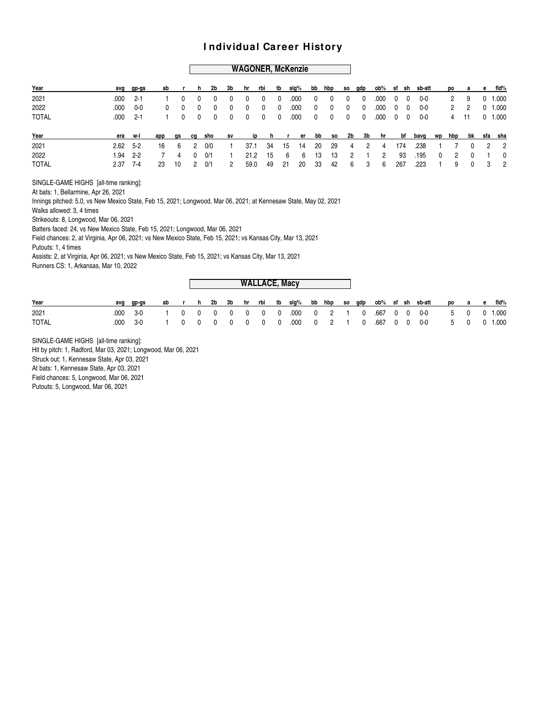#### **WAGONER, McKenzie**

|      |       |                                                                                    |     |                  |            |                                                              |                         |             |                                                                     |                                                                                    |                 |                          |                                                 |                         |                                        |                                |                          |                                      |                                        |                                |                |                                              | e fld%                                                          |
|------|-------|------------------------------------------------------------------------------------|-----|------------------|------------|--------------------------------------------------------------|-------------------------|-------------|---------------------------------------------------------------------|------------------------------------------------------------------------------------|-----------------|--------------------------|-------------------------------------------------|-------------------------|----------------------------------------|--------------------------------|--------------------------|--------------------------------------|----------------------------------------|--------------------------------|----------------|----------------------------------------------|-----------------------------------------------------------------|
| .000 | - 2-1 |                                                                                    |     | - 0              | 0          | 0                                                            | $\mathbf{0}$            | $\mathbf 0$ |                                                                     | .000                                                                               | 0               | 0                        | $\mathbf 0$                                     | 0                       | .000                                   |                                |                          | 0-0                                  |                                        |                                | 9              |                                              | $0$ 1.000                                                       |
| .000 | 0-0   | $^{\circ}$                                                                         |     |                  | 0          | $\overline{\mathbf{0}}$                                      | $\overline{\mathbf{0}}$ |             |                                                                     | .000                                                                               |                 | $^{\circ}$               | $\overline{0}$                                  | $\overline{\mathbf{0}}$ |                                        |                                |                          | 0-0                                  |                                        | 2                              | $\overline{2}$ |                                              | $0$ 1.000                                                       |
|      |       |                                                                                    |     |                  |            |                                                              |                         |             |                                                                     | .000                                                                               |                 |                          |                                                 |                         |                                        |                                |                          | 0-0                                  |                                        |                                |                |                                              | $0$ 1.000                                                       |
|      |       | app                                                                                |     |                  |            | sv                                                           |                         |             |                                                                     |                                                                                    |                 |                          |                                                 |                         |                                        |                                |                          |                                      |                                        |                                |                |                                              |                                                                 |
|      |       | 16                                                                                 | - 6 | - 2              |            |                                                              |                         |             |                                                                     |                                                                                    |                 |                          |                                                 |                         |                                        |                                |                          | .238                                 |                                        |                                |                |                                              | 2 <sub>2</sub>                                                  |
|      |       |                                                                                    | 4   | $\Omega$         |            |                                                              |                         |             |                                                                     |                                                                                    |                 |                          |                                                 |                         | $\overline{2}$                         |                                |                          |                                      | $\overline{0}$                         |                                | $\Omega$       |                                              | 1 0                                                             |
|      |       | 23                                                                                 |     | 2                |            | 2                                                            |                         |             |                                                                     |                                                                                    |                 |                          |                                                 |                         | - 6                                    |                                |                          | .223                                 |                                        |                                |                |                                              | 32                                                              |
|      |       | avg gp-gs<br>$.000$ 2-1<br>era w-l<br>$2.62 \quad 5-2$<br>$1.94$ 2-2<br>$2.37$ 7-4 |     | <b>as</b><br>-10 | ab r<br>cq | h.<br>$0\qquad 0$<br>$0\qquad 0$<br>sho<br>0/0<br>0/1<br>0/1 | 2b<br>$0\quad 0$        |             | 3b hr rbi<br>$\overline{\phantom{0}}$<br>$0\quad 0$<br>21.2<br>59.0 | - 0<br>$\overline{\mathbf{0}}$<br>$\overline{\mathbf{0}}$<br>37.1 34<br>- 15<br>49 | 15<br>6<br>- 21 | tb slg%<br>14<br>6<br>20 | $\mathbf 0$<br>$0\qquad 0$<br>20<br>- 13<br>-33 | - 29<br>13<br>42        | $0\qquad 0$<br>$\overline{2}$<br>$6 -$ | 4 2 4<br>$\overline{1}$<br>- 3 | ip h r er bb so 2b 3b hr | $.000 \t 0 \t 0$<br>174<br>93<br>267 | $0\quad 0$<br>$.000 \t 0 \t 0$<br>.195 | bb hbp so gdp ob% sf sh sb-att | $\sim$ 1       | 4 11<br>7<br>$\overline{\phantom{a}}$ 2<br>9 | po a<br>bf bavg wp hbp bk sfa sha<br>$\Omega$<br>$\overline{0}$ |

SINGLE-GAME HIGHS [all-time ranking]:

At bats: 1, Bellarmine, Apr 26, 2021

Innings pitched: 5.0, vs New Mexico State, Feb 15, 2021; Longwood, Mar 06, 2021; at Kennesaw State, May 02, 2021

Walks allowed: 3, 4 times

Strikeouts: 8, Longwood, Mar 06, 2021

Batters faced: 24, vs New Mexico State, Feb 15, 2021; Longwood, Mar 06, 2021

Field chances: 2, at Virginia, Apr 06, 2021; vs New Mexico State, Feb 15, 2021; vs Kansas City, Mar 13, 2021 Putouts: 1, 4 times

Assists: 2, at Virginia, Apr 06, 2021; vs New Mexico State, Feb 15, 2021; vs Kansas City, Mar 13, 2021 Runners CS: 1, Arkansas, Mar 10, 2022

|              |      |       |    |          |          |     |                |                         |                                             |                | <b>WALLACE, Macy</b> |                |        |          |           |          |          |        |       |          |   |       |
|--------------|------|-------|----|----------|----------|-----|----------------|-------------------------|---------------------------------------------|----------------|----------------------|----------------|--------|----------|-----------|----------|----------|--------|-------|----------|---|-------|
| Year         | avq  | gp-gs | ab |          |          | 2b  | 3b             | hr                      | rbi                                         | tb             | slg%                 |                | bb hbp | so gdp   | ob% sf sh |          |          | sb-att | po    | a        | e | fid%  |
| 2021         | .000 | 3-0   |    | $\Omega$ | $\Omega$ | - 0 | $\overline{0}$ | $\overline{\mathbf{0}}$ | $\ddot{\phantom{1}}$ 0 $\ddot{\phantom{1}}$ | $\overline{0}$ | .000                 | $\overline{0}$ | 2      | 0        | .667 0 0  |          |          | 0-0    |       | 5 0      |   | 1.000 |
| <b>TOTAL</b> | .000 | $3-0$ |    |          | $\Omega$ |     | - 0            | - 0                     | $\Omega$                                    | - 0            | .000                 |                |        | $\Omega$ | .667      | $\Omega$ | $\Omega$ | 0-0    | $5 -$ | $\Omega$ |   | 0.000 |

SINGLE-GAME HIGHS [all-time ranking]: Hit by pitch: 1, Radford, Mar 03, 2021; Longwood, Mar 06, 2021 Struck out: 1, Kennesaw State, Apr 03, 2021 At bats: 1, Kennesaw State, Apr 03, 2021 Field chances: 5, Longwood, Mar 06, 2021 Putouts: 5, Longwood, Mar 06, 2021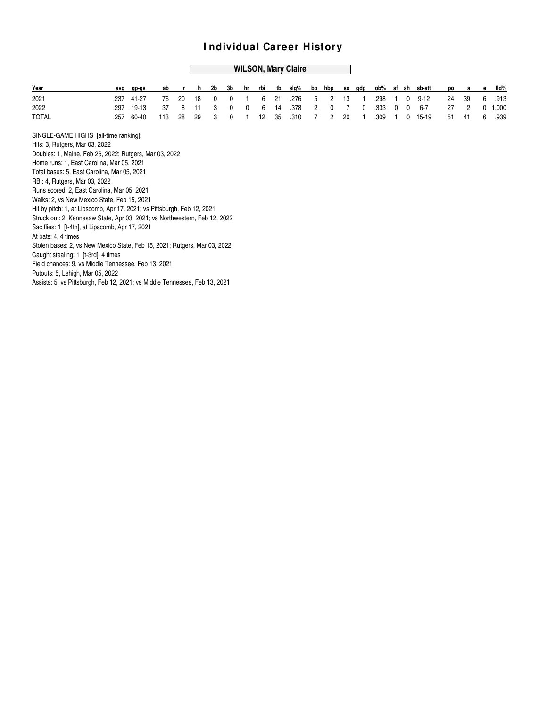#### **WILSON, Mary Claire**

| Year                                                                       |      | avg gp-gs | ab  |    | h.  | 2b | 3b | hr | rbi | tb | slg% | bb             | hbp            | SO. | qdp | ob%  | sf |            | sh sb-att | po | a  | е            | fid%  |
|----------------------------------------------------------------------------|------|-----------|-----|----|-----|----|----|----|-----|----|------|----------------|----------------|-----|-----|------|----|------------|-----------|----|----|--------------|-------|
| 2021                                                                       | .237 | 41-27     | 76  | 20 | 18  | 0  | 0  |    | 6   | 21 | .276 | 5              | 2              | 13  |     | .298 |    | $^{\circ}$ | $9 - 12$  | 24 | 39 | 6            | .913  |
| 2022                                                                       | .297 | 19-13     | 37  | 8  | -11 | 3  | 0  | 0  | 6   | 14 | .378 | $\overline{2}$ | $\mathbf{0}$   | 7   |     | .333 |    | 0          | $6 - 7$   | 27 | 2  | $\mathbf{0}$ | 1.000 |
| <b>TOTAL</b>                                                               | .257 | 60-40     | 113 | 28 | 29  | 3  | 0  |    | 12  | 35 | .310 |                | $\overline{2}$ | 20  |     | .309 |    | 0          | 15-19     | 51 | 41 | 6            | .939  |
| SINGLE-GAME HIGHS [all-time ranking]:                                      |      |           |     |    |     |    |    |    |     |    |      |                |                |     |     |      |    |            |           |    |    |              |       |
| Hits: 3, Rutgers, Mar 03, 2022                                             |      |           |     |    |     |    |    |    |     |    |      |                |                |     |     |      |    |            |           |    |    |              |       |
| Doubles: 1, Maine, Feb 26, 2022; Rutgers, Mar 03, 2022                     |      |           |     |    |     |    |    |    |     |    |      |                |                |     |     |      |    |            |           |    |    |              |       |
| Home runs: 1, East Carolina, Mar 05, 2021                                  |      |           |     |    |     |    |    |    |     |    |      |                |                |     |     |      |    |            |           |    |    |              |       |
| Total bases: 5, East Carolina, Mar 05, 2021                                |      |           |     |    |     |    |    |    |     |    |      |                |                |     |     |      |    |            |           |    |    |              |       |
| RBI: 4, Rutgers, Mar 03, 2022                                              |      |           |     |    |     |    |    |    |     |    |      |                |                |     |     |      |    |            |           |    |    |              |       |
| Runs scored: 2, East Carolina, Mar 05, 2021                                |      |           |     |    |     |    |    |    |     |    |      |                |                |     |     |      |    |            |           |    |    |              |       |
| Walks: 2, vs New Mexico State, Feb 15, 2021                                |      |           |     |    |     |    |    |    |     |    |      |                |                |     |     |      |    |            |           |    |    |              |       |
| Hit by pitch: 1, at Lipscomb, Apr 17, 2021; vs Pittsburgh, Feb 12, 2021    |      |           |     |    |     |    |    |    |     |    |      |                |                |     |     |      |    |            |           |    |    |              |       |
| Struck out: 2, Kennesaw State, Apr 03, 2021; vs Northwestern, Feb 12, 2022 |      |           |     |    |     |    |    |    |     |    |      |                |                |     |     |      |    |            |           |    |    |              |       |
| Sac flies: 1 [t-4th], at Lipscomb, Apr 17, 2021                            |      |           |     |    |     |    |    |    |     |    |      |                |                |     |     |      |    |            |           |    |    |              |       |
| At bats: 4, 4 times                                                        |      |           |     |    |     |    |    |    |     |    |      |                |                |     |     |      |    |            |           |    |    |              |       |
| Stolen bases: 2, vs New Mexico State, Feb 15, 2021; Rutgers, Mar 03, 2022  |      |           |     |    |     |    |    |    |     |    |      |                |                |     |     |      |    |            |           |    |    |              |       |
| Caught stealing: 1 [t-3rd], 4 times                                        |      |           |     |    |     |    |    |    |     |    |      |                |                |     |     |      |    |            |           |    |    |              |       |
| Field chances: 9, vs Middle Tennessee, Feb 13, 2021                        |      |           |     |    |     |    |    |    |     |    |      |                |                |     |     |      |    |            |           |    |    |              |       |
| Putouts: 5, Lehigh, Mar 05, 2022                                           |      |           |     |    |     |    |    |    |     |    |      |                |                |     |     |      |    |            |           |    |    |              |       |
| Assists: 5, vs Pittsburgh, Feb 12, 2021; vs Middle Tennessee, Feb 13, 2021 |      |           |     |    |     |    |    |    |     |    |      |                |                |     |     |      |    |            |           |    |    |              |       |
|                                                                            |      |           |     |    |     |    |    |    |     |    |      |                |                |     |     |      |    |            |           |    |    |              |       |